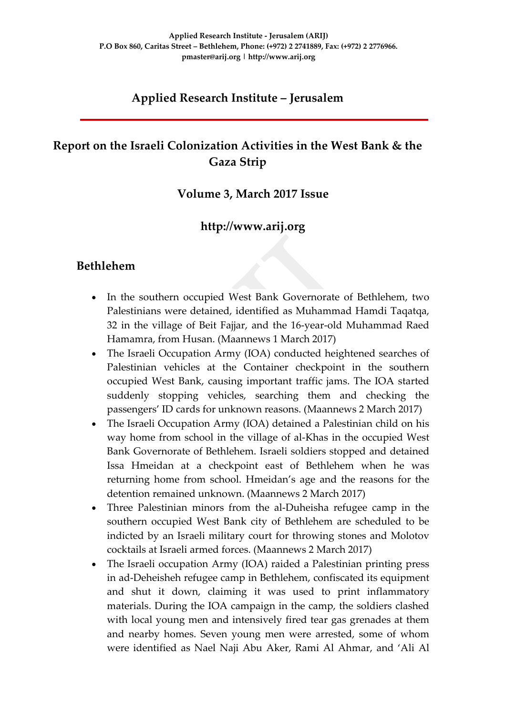# **Applied Research Institute – Jerusalem**

# **Report on the Israeli Colonization Activities in the West Bank & the Gaza Strip**

#### **Volume 3, March 2017 Issue**

### **http://www.arij.org**

#### **Bethlehem**

- In the southern occupied West Bank Governorate of Bethlehem, two Palestinians were detained, identified as Muhammad Hamdi Taqatqa, 32 in the village of Beit Fajjar, and the 16-year-old Muhammad Raed Hamamra, from Husan. (Maannews 1 March 2017)
- The Israeli Occupation Army (IOA) conducted heightened searches of Palestinian vehicles at the Container checkpoint in the southern occupied West Bank, causing important traffic jams. The IOA started suddenly stopping vehicles, searching them and checking the passengers' ID cards for unknown reasons. (Maannews 2 March 2017)
- The Israeli Occupation Army (IOA) detained a Palestinian child on his way home from school in the village of al-Khas in the occupied West Bank Governorate of Bethlehem. Israeli soldiers stopped and detained Issa Hmeidan at a checkpoint east of Bethlehem when he was returning home from school. Hmeidan's age and the reasons for the detention remained unknown. (Maannews 2 March 2017)
- Three Palestinian minors from the al-Duheisha refugee camp in the southern occupied West Bank city of Bethlehem are scheduled to be indicted by an Israeli military court for throwing stones and Molotov cocktails at Israeli armed forces. (Maannews 2 March 2017)
- The Israeli occupation Army (IOA) raided a Palestinian printing press in ad-Deheisheh refugee camp in Bethlehem, confiscated its equipment and shut it down, claiming it was used to print inflammatory materials. During the IOA campaign in the camp, the soldiers clashed with local young men and intensively fired tear gas grenades at them and nearby homes. Seven young men were arrested, some of whom were identified as Nael Naji Abu Aker, Rami Al Ahmar, and 'Ali Al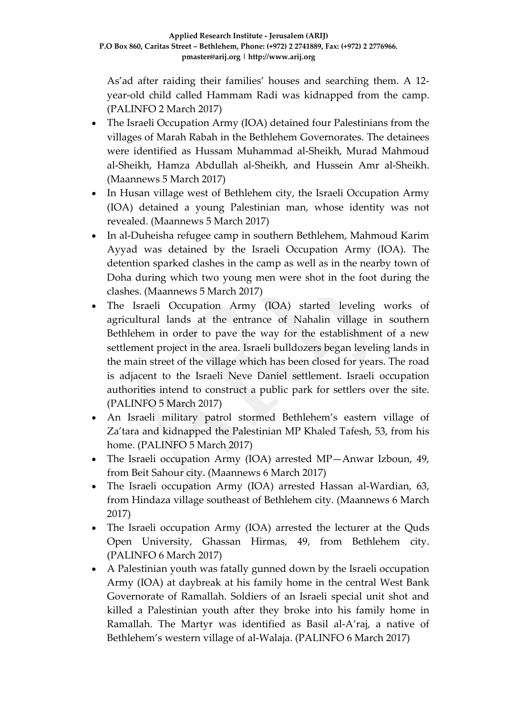As'ad after raiding their families' houses and searching them. A 12 year-old child called Hammam Radi was kidnapped from the camp. (PALINFO 2 March 2017)

- The Israeli Occupation Army (IOA) detained four Palestinians from the villages of Marah Rabah in the Bethlehem Governorates. The detainees were identified as Hussam Muhammad al-Sheikh, Murad Mahmoud al-Sheikh, Hamza Abdullah al-Sheikh, and Hussein Amr al-Sheikh. (Maannews 5 March 2017)
- In Husan village west of Bethlehem city, the Israeli Occupation Army (IOA) detained a young Palestinian man, whose identity was not revealed. (Maannews 5 March 2017)
- In al-Duheisha refugee camp in southern Bethlehem, Mahmoud Karim Ayyad was detained by the Israeli Occupation Army (IOA). The detention sparked clashes in the camp as well as in the nearby town of Doha during which two young men were shot in the foot during the clashes. (Maannews 5 March 2017)
- The Israeli Occupation Army (IOA) started leveling works of agricultural lands at the entrance of Nahalin village in southern Bethlehem in order to pave the way for the establishment of a new settlement project in the area. Israeli bulldozers began leveling lands in the main street of the village which has been closed for years. The road is adjacent to the Israeli Neve Daniel settlement. Israeli occupation authorities intend to construct a public park for settlers over the site. (PALINFO 5 March 2017)
- An Israeli military patrol stormed Bethlehem's eastern village of Za'tara and kidnapped the Palestinian MP Khaled Tafesh, 53, from his home. (PALINFO 5 March 2017)
- The Israeli occupation Army (IOA) arrested MP—Anwar Izboun, 49, from Beit Sahour city. (Maannews 6 March 2017)
- The Israeli occupation Army (IOA) arrested Hassan al-Wardian, 63, from Hindaza village southeast of Bethlehem city. (Maannews 6 March 2017)
- The Israeli occupation Army (IOA) arrested the lecturer at the Quds Open University, Ghassan Hirmas, 49, from Bethlehem city. (PALINFO 6 March 2017)
- A Palestinian youth was fatally gunned down by the Israeli occupation Army (IOA) at daybreak at his family home in the central West Bank Governorate of Ramallah. Soldiers of an Israeli special unit shot and killed a Palestinian youth after they broke into his family home in Ramallah. The Martyr was identified as Basil al-A'raj, a native of Bethlehem's western village of al-Walaja. (PALINFO 6 March 2017)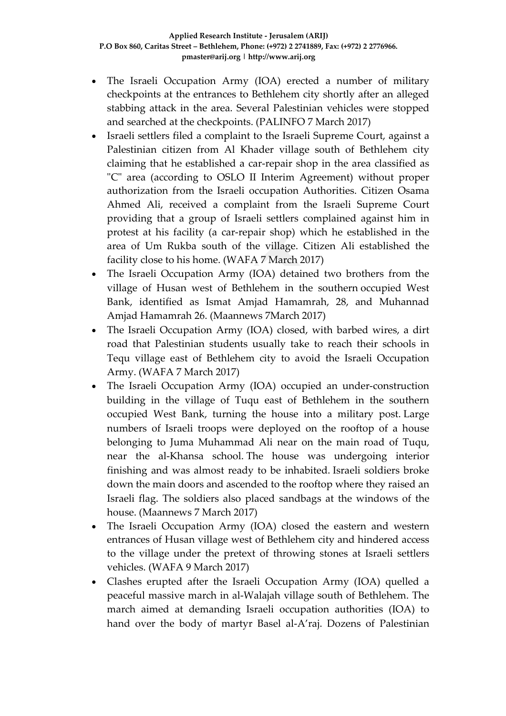- The Israeli Occupation Army (IOA) erected a number of military checkpoints at the entrances to Bethlehem city shortly after an alleged stabbing attack in the area. Several Palestinian vehicles were stopped and searched at the checkpoints. (PALINFO 7 March 2017)
- Israeli settlers filed a complaint to the Israeli Supreme Court, against a Palestinian citizen from Al Khader village south of Bethlehem city claiming that he established a car-repair shop in the area classified as "C" area (according to OSLO II Interim Agreement) without proper authorization from the Israeli occupation Authorities. Citizen Osama Ahmed Ali, received a complaint from the Israeli Supreme Court providing that a group of Israeli settlers complained against him in protest at his facility (a car-repair shop) which he established in the area of Um Rukba south of the village. Citizen Ali established the facility close to his home. (WAFA 7 March 2017)
- The Israeli Occupation Army (IOA) detained two brothers from the village of Husan west of Bethlehem in the southern occupied West Bank, identified as Ismat Amjad Hamamrah, 28, and Muhannad Amjad Hamamrah 26. (Maannews 7March 2017)
- The Israeli Occupation Army (IOA) closed, with barbed wires, a dirt road that Palestinian students usually take to reach their schools in Tequ village east of Bethlehem city to avoid the Israeli Occupation Army. (WAFA 7 March 2017)
- The Israeli Occupation Army (IOA) occupied an under-construction building in the village of Tuqu east of Bethlehem in the southern occupied West Bank, turning the house into a military post. Large numbers of Israeli troops were deployed on the rooftop of a house belonging to Juma Muhammad Ali near on the main road of Tuqu, near the al-Khansa school. The house was undergoing interior finishing and was almost ready to be inhabited. Israeli soldiers broke down the main doors and ascended to the rooftop where they raised an Israeli flag. The soldiers also placed sandbags at the windows of the house. (Maannews 7 March 2017)
- The Israeli Occupation Army (IOA) closed the eastern and western entrances of Husan village west of Bethlehem city and hindered access to the village under the pretext of throwing stones at Israeli settlers vehicles. (WAFA 9 March 2017)
- Clashes erupted after the Israeli Occupation Army (IOA) quelled a peaceful massive march in al-Walajah village south of Bethlehem. The march aimed at demanding Israeli occupation authorities (IOA) to hand over the body of martyr Basel al-A'raj. Dozens of Palestinian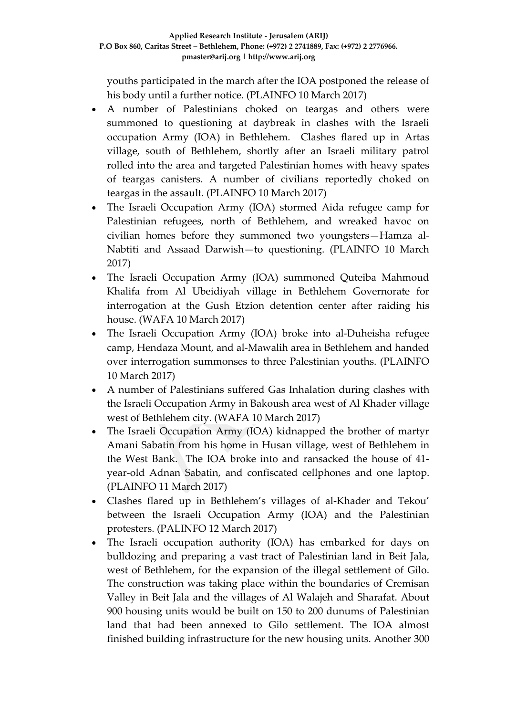youths participated in the march after the IOA postponed the release of his body until a further notice. (PLAINFO 10 March 2017)

- A number of Palestinians choked on teargas and others were summoned to questioning at daybreak in clashes with the Israeli occupation Army (IOA) in Bethlehem. Clashes flared up in Artas village, south of Bethlehem, shortly after an Israeli military patrol rolled into the area and targeted Palestinian homes with heavy spates of teargas canisters. A number of civilians reportedly choked on teargas in the assault. (PLAINFO 10 March 2017)
- The Israeli Occupation Army (IOA) stormed Aida refugee camp for Palestinian refugees, north of Bethlehem, and wreaked havoc on civilian homes before they summoned two youngsters—Hamza al-Nabtiti and Assaad Darwish—to questioning. (PLAINFO 10 March 2017)
- The Israeli Occupation Army (IOA) summoned Quteiba Mahmoud Khalifa from Al Ubeidiyah village in Bethlehem Governorate for interrogation at the Gush Etzion detention center after raiding his house. (WAFA 10 March 2017)
- The Israeli Occupation Army (IOA) broke into al-Duheisha refugee camp, Hendaza Mount, and al-Mawalih area in Bethlehem and handed over interrogation summonses to three Palestinian youths. (PLAINFO 10 March 2017)
- A number of Palestinians suffered Gas Inhalation during clashes with the Israeli Occupation Army in Bakoush area west of Al Khader village west of Bethlehem city. (WAFA 10 March 2017)
- The Israeli Occupation Army (IOA) kidnapped the brother of martyr Amani Sabatin from his home in Husan village, west of Bethlehem in the West Bank. The IOA broke into and ransacked the house of 41 year-old Adnan Sabatin, and confiscated cellphones and one laptop. (PLAINFO 11 March 2017)
- Clashes flared up in Bethlehem's villages of al-Khader and Tekou' between the Israeli Occupation Army (IOA) and the Palestinian protesters. (PALINFO 12 March 2017)
- The Israeli occupation authority (IOA) has embarked for days on bulldozing and preparing a vast tract of Palestinian land in Beit Jala, west of Bethlehem, for the expansion of the illegal settlement of Gilo. The construction was taking place within the boundaries of Cremisan Valley in Beit Jala and the villages of Al Walajeh and Sharafat. About 900 housing units would be built on 150 to 200 dunums of Palestinian land that had been annexed to Gilo settlement. The IOA almost finished building infrastructure for the new housing units. Another 300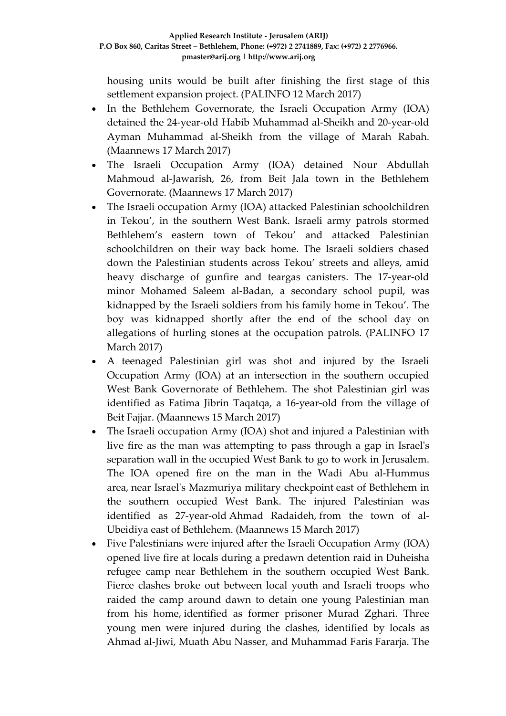housing units would be built after finishing the first stage of this settlement expansion project. (PALINFO 12 March 2017)

- In the Bethlehem Governorate, the Israeli Occupation Army (IOA) detained the 24-year-old Habib Muhammad al-Sheikh and 20-year-old Ayman Muhammad al-Sheikh from the village of Marah Rabah. (Maannews 17 March 2017)
- The Israeli Occupation Army (IOA) detained Nour Abdullah Mahmoud al-Jawarish, 26, from Beit Jala town in the Bethlehem Governorate. (Maannews 17 March 2017)
- The Israeli occupation Army (IOA) attacked Palestinian schoolchildren in Tekou', in the southern West Bank. Israeli army patrols stormed Bethlehem's eastern town of Tekou' and attacked Palestinian schoolchildren on their way back home. The Israeli soldiers chased down the Palestinian students across Tekou' streets and alleys, amid heavy discharge of gunfire and teargas canisters. The 17-year-old minor Mohamed Saleem al-Badan, a secondary school pupil, was kidnapped by the Israeli soldiers from his family home in Tekou'. The boy was kidnapped shortly after the end of the school day on allegations of hurling stones at the occupation patrols. (PALINFO 17 March 2017)
- A teenaged Palestinian girl was shot and injured by the Israeli Occupation Army (IOA) at an intersection in the southern occupied West Bank Governorate of Bethlehem. The shot Palestinian girl was identified as Fatima Jibrin Taqatqa, a 16-year-old from the village of Beit Fajjar. (Maannews 15 March 2017)
- The Israeli occupation Army (IOA) shot and injured a Palestinian with live fire as the man was attempting to pass through a gap in Israel's separation wall in the occupied West Bank to go to work in Jerusalem. The IOA opened fire on the man in the Wadi Abu al-Hummus area, near Israel's Mazmuriya military checkpoint east of Bethlehem in the southern occupied West Bank. The injured Palestinian was identified as 27-year-old Ahmad Radaideh, from the town of al-Ubeidiya east of Bethlehem. (Maannews 15 March 2017)
- Five Palestinians were injured after the Israeli Occupation Army (IOA) opened live fire at locals during a predawn detention raid in Duheisha refugee camp near Bethlehem in the southern occupied West Bank. Fierce clashes broke out between local youth and Israeli troops who raided the camp around dawn to detain one young Palestinian man from his home, identified as former prisoner Murad Zghari. Three young men were injured during the clashes, identified by locals as Ahmad al-Jiwi, Muath Abu Nasser, and Muhammad Faris Fararja. The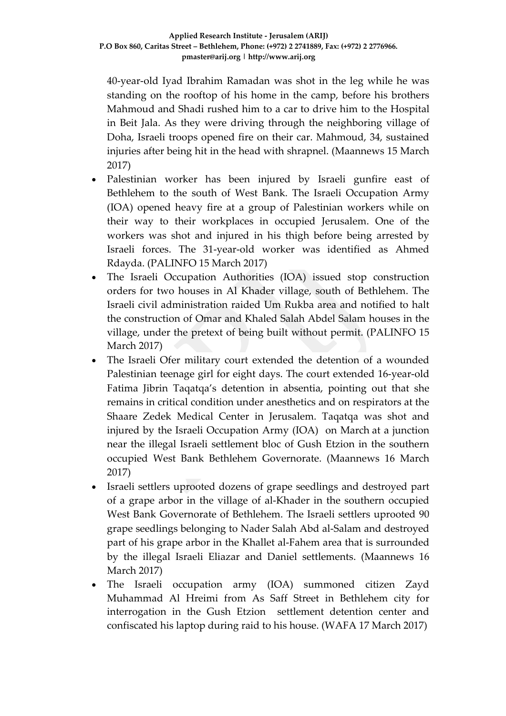40-year-old Iyad Ibrahim Ramadan was shot in the leg while he was standing on the rooftop of his home in the camp, before his brothers Mahmoud and Shadi rushed him to a car to drive him to the Hospital in Beit Jala. As they were driving through the neighboring village of Doha, Israeli troops opened fire on their car. Mahmoud, 34, sustained injuries after being hit in the head with shrapnel. (Maannews 15 March 2017)

- Palestinian worker has been injured by Israeli gunfire east of Bethlehem to the south of West Bank. The Israeli Occupation Army (IOA) opened heavy fire at a group of Palestinian workers while on their way to their workplaces in occupied Jerusalem. One of the workers was shot and injured in his thigh before being arrested by Israeli forces. The 31-year-old worker was identified as Ahmed Rdayda. (PALINFO 15 March 2017)
- The Israeli Occupation Authorities (IOA) issued stop construction orders for two houses in Al Khader village, south of Bethlehem. The Israeli civil administration raided Um Rukba area and notified to halt the construction of Omar and Khaled Salah Abdel Salam houses in the village, under the pretext of being built without permit. (PALINFO 15 March 2017)
- The Israeli Ofer military court extended the detention of a wounded Palestinian teenage girl for eight days. The court extended 16-year-old Fatima Jibrin Taqatqa's detention in absentia, pointing out that she remains in critical condition under anesthetics and on respirators at the Shaare Zedek Medical Center in Jerusalem. Taqatqa was shot and injured by the Israeli Occupation Army (IOA) on March at a junction near the illegal Israeli settlement bloc of Gush Etzion in the southern occupied West Bank Bethlehem Governorate. (Maannews 16 March 2017)
- Israeli settlers uprooted dozens of grape seedlings and destroyed part of a grape arbor in the village of al-Khader in the southern occupied West Bank Governorate of Bethlehem. The Israeli settlers uprooted 90 grape seedlings belonging to Nader Salah Abd al-Salam and destroyed part of his grape arbor in the Khallet al-Fahem area that is surrounded by the illegal Israeli Eliazar and Daniel settlements. (Maannews 16 March 2017)
- The Israeli occupation army (IOA) summoned citizen Zayd Muhammad Al Hreimi from As Saff Street in Bethlehem city for interrogation in the Gush Etzion settlement detention center and confiscated his laptop during raid to his house. (WAFA 17 March 2017)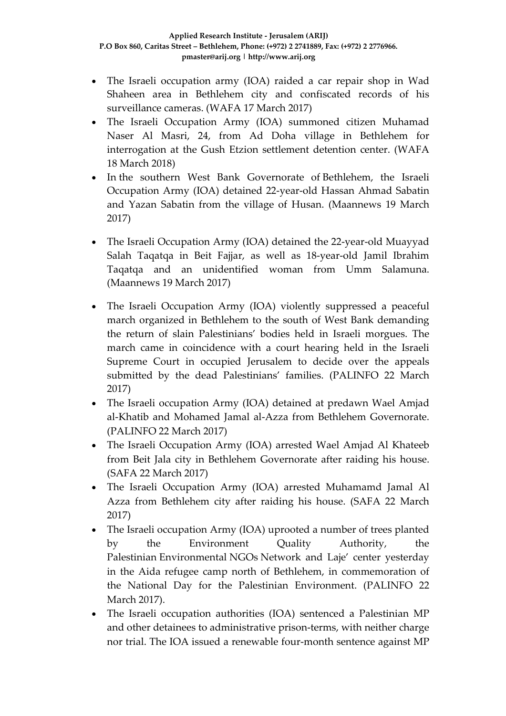- The Israeli occupation army (IOA) raided a car repair shop in Wad Shaheen area in Bethlehem city and confiscated records of his surveillance cameras. (WAFA 17 March 2017)
- The Israeli Occupation Army (IOA) summoned citizen Muhamad Naser Al Masri, 24, from Ad Doha village in Bethlehem for interrogation at the Gush Etzion settlement detention center. (WAFA 18 March 2018)
- In the southern West Bank Governorate of Bethlehem, the Israeli Occupation Army (IOA) detained 22-year-old Hassan Ahmad Sabatin and Yazan Sabatin from the village of Husan. (Maannews 19 March 2017)
- The Israeli Occupation Army (IOA) detained the 22-year-old Muayyad Salah Taqatqa in Beit Fajjar, as well as 18-year-old Jamil Ibrahim Taqatqa and an unidentified woman from Umm Salamuna. (Maannews 19 March 2017)
- The Israeli Occupation Army (IOA) violently suppressed a peaceful march organized in Bethlehem to the south of West Bank demanding the return of slain Palestinians' bodies held in Israeli morgues. The march came in coincidence with a court hearing held in the Israeli Supreme Court in occupied Jerusalem to decide over the appeals submitted by the dead Palestinians' families. (PALINFO 22 March 2017)
- The Israeli occupation Army (IOA) detained at predawn Wael Amjad al-Khatib and Mohamed Jamal al-Azza from Bethlehem Governorate. (PALINFO 22 March 2017)
- The Israeli Occupation Army (IOA) arrested Wael Amjad Al Khateeb from Beit Jala city in Bethlehem Governorate after raiding his house. (SAFA 22 March 2017)
- The Israeli Occupation Army (IOA) arrested Muhamamd Jamal Al Azza from Bethlehem city after raiding his house. (SAFA 22 March 2017)
- The Israeli occupation Army (IOA) uprooted a number of trees planted by the Environment Quality Authority, the Palestinian Environmental NGOs Network and Laje' center yesterday in the Aida refugee camp north of Bethlehem, in commemoration of the National Day for the Palestinian Environment. (PALINFO 22 March 2017).
- The Israeli occupation authorities (IOA) sentenced a Palestinian MP and other detainees to administrative prison-terms, with neither charge nor trial. The IOA issued a renewable four-month sentence against MP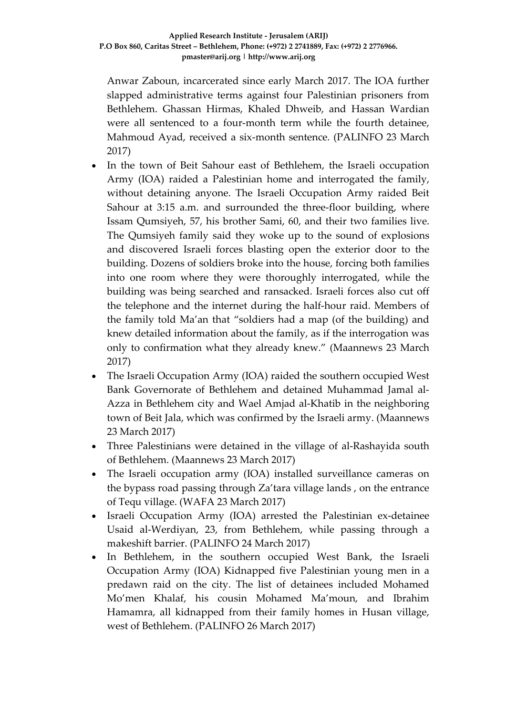Anwar Zaboun, incarcerated since early March 2017. The IOA further slapped administrative terms against four Palestinian prisoners from Bethlehem. Ghassan Hirmas, Khaled Dhweib, and Hassan Wardian were all sentenced to a four-month term while the fourth detainee, Mahmoud Ayad, received a six-month sentence. (PALINFO 23 March 2017)

- In the town of Beit Sahour east of Bethlehem, the Israeli occupation Army (IOA) raided a Palestinian home and interrogated the family, without detaining anyone. The Israeli Occupation Army raided Beit Sahour at 3:15 a.m. and surrounded the three-floor building, where Issam Qumsiyeh, 57, his brother Sami, 60, and their two families live. The Qumsiyeh family said they woke up to the sound of explosions and discovered Israeli forces blasting open the exterior door to the building. Dozens of soldiers broke into the house, forcing both families into one room where they were thoroughly interrogated, while the building was being searched and ransacked. Israeli forces also cut off the telephone and the internet during the half-hour raid. Members of the family told Ma'an that "soldiers had a map (of the building) and knew detailed information about the family, as if the interrogation was only to confirmation what they already knew." (Maannews 23 March 2017)
- The Israeli Occupation Army (IOA) raided the southern occupied West Bank Governorate of Bethlehem and detained Muhammad Jamal al-Azza in Bethlehem city and Wael Amjad al-Khatib in the neighboring town of Beit Jala, which was confirmed by the Israeli army. (Maannews 23 March 2017)
- Three Palestinians were detained in the village of al-Rashayida south of Bethlehem. (Maannews 23 March 2017)
- The Israeli occupation army (IOA) installed surveillance cameras on the bypass road passing through Za'tara village lands , on the entrance of Tequ village. (WAFA 23 March 2017)
- Israeli Occupation Army (IOA) arrested the Palestinian ex-detainee Usaid al-Werdiyan, 23, from Bethlehem, while passing through a makeshift barrier. (PALINFO 24 March 2017)
- In Bethlehem, in the southern occupied West Bank, the Israeli Occupation Army (IOA) Kidnapped five Palestinian young men in a predawn raid on the city. The list of detainees included Mohamed Mo'men Khalaf, his cousin Mohamed Ma'moun, and Ibrahim Hamamra, all kidnapped from their family homes in Husan village, west of Bethlehem. (PALINFO 26 March 2017)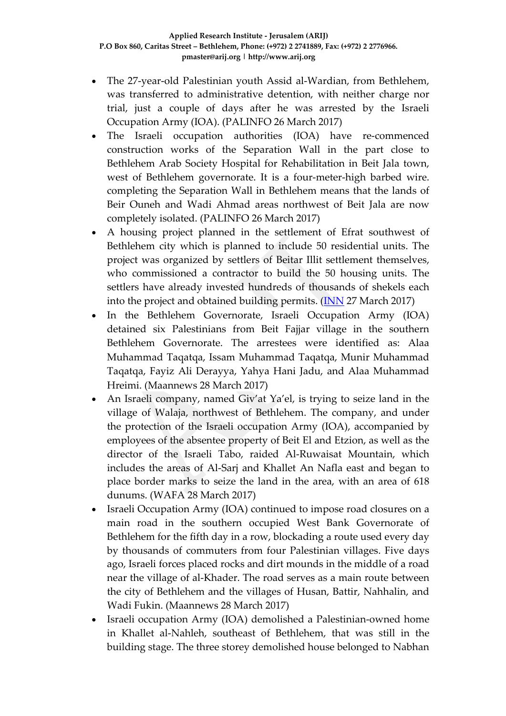- The 27-year-old Palestinian youth Assid al-Wardian, from Bethlehem, was transferred to administrative detention, with neither charge nor trial, just a couple of days after he was arrested by the Israeli Occupation Army (IOA). (PALINFO 26 March 2017)
- The Israeli occupation authorities (IOA) have re-commenced construction works of the Separation Wall in the part close to Bethlehem Arab Society Hospital for Rehabilitation in Beit Jala town, west of Bethlehem governorate. It is a four-meter-high barbed wire. completing the Separation Wall in Bethlehem means that the lands of Beir Ouneh and Wadi Ahmad areas northwest of Beit Jala are now completely isolated. (PALINFO 26 March 2017)
- A housing project planned in the settlement of Efrat southwest of Bethlehem city which is planned to include 50 residential units. The project was organized by settlers of Beitar Illit settlement themselves, who commissioned a contractor to build the 50 housing units. The settlers have already invested hundreds of thousands of shekels each into the project and obtained building permits. [\(INN](http://www.israelnationalnews.com/News/News.aspx/227329) 27 March 2017)
- In the Bethlehem Governorate, Israeli Occupation Army (IOA) detained six Palestinians from Beit Fajjar village in the southern Bethlehem Governorate. The arrestees were identified as: Alaa Muhammad Taqatqa, Issam Muhammad Taqatqa, Munir Muhammad Taqatqa, Fayiz Ali Derayya, Yahya Hani Jadu, and Alaa Muhammad Hreimi. (Maannews 28 March 2017)
- An Israeli company, named Giv'at Ya'el, is trying to seize land in the village of Walaja, northwest of Bethlehem. The company, and under the protection of the Israeli occupation Army (IOA), accompanied by employees of the absentee property of Beit El and Etzion, as well as the director of the Israeli Tabo, raided Al-Ruwaisat Mountain, which includes the areas of Al-Sarj and Khallet An Nafla east and began to place border marks to seize the land in the area, with an area of 618 dunums. (WAFA 28 March 2017)
- Israeli Occupation Army (IOA) continued to impose road closures on a main road in the southern occupied West Bank Governorate of Bethlehem for the fifth day in a row, blockading a route used every day by thousands of commuters from four Palestinian villages. Five days ago, Israeli forces placed rocks and dirt mounds in the middle of a road near the village of al-Khader. The road serves as a main route between the city of Bethlehem and the villages of Husan, Battir, Nahhalin, and Wadi Fukin. (Maannews 28 March 2017)
- Israeli occupation Army (IOA) demolished a Palestinian-owned home in Khallet al-Nahleh, southeast of Bethlehem, that was still in the building stage. The three storey demolished house belonged to Nabhan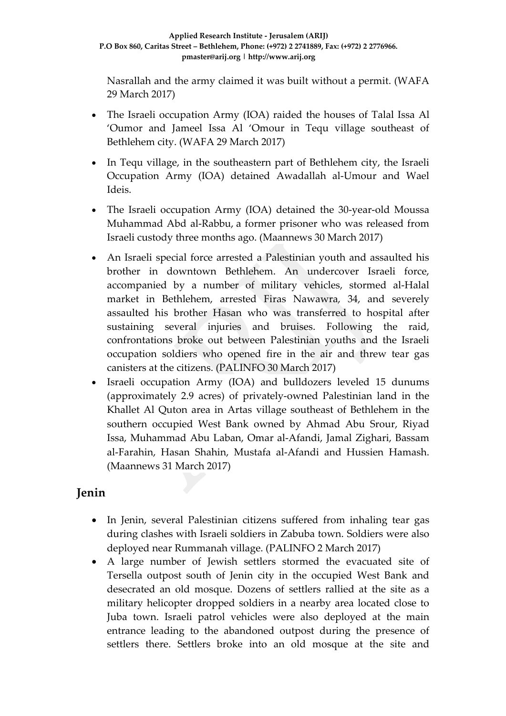Nasrallah and the army claimed it was built without a permit. (WAFA 29 March 2017)

- The Israeli occupation Army (IOA) raided the houses of Talal Issa Al 'Oumor and Jameel Issa Al 'Omour in Tequ village southeast of Bethlehem city. (WAFA 29 March 2017)
- In Tequ village, in the southeastern part of Bethlehem city, the Israeli Occupation Army (IOA) detained Awadallah al-Umour and Wael Ideis.
- The Israeli occupation Army (IOA) detained the 30-year-old Moussa Muhammad Abd al-Rabbu, a former prisoner who was released from Israeli custody three months ago. (Maannews 30 March 2017)
- An Israeli special force arrested a Palestinian youth and assaulted his brother in downtown Bethlehem. An undercover Israeli force, accompanied by a number of military vehicles, stormed al-Halal market in Bethlehem, arrested Firas Nawawra, 34, and severely assaulted his brother Hasan who was transferred to hospital after sustaining several injuries and bruises. Following the raid, confrontations broke out between Palestinian youths and the Israeli occupation soldiers who opened fire in the air and threw tear gas canisters at the citizens. (PALINFO 30 March 2017)
- Israeli occupation Army (IOA) and bulldozers leveled 15 dunums (approximately 2.9 acres) of privately-owned Palestinian land in the Khallet Al Quton area in Artas village southeast of Bethlehem in the southern occupied West Bank owned by Ahmad Abu Srour, Riyad Issa, Muhammad Abu Laban, Omar al-Afandi, Jamal Zighari, Bassam al-Farahin, Hasan Shahin, Mustafa al-Afandi and Hussien Hamash. (Maannews 31 March 2017)

# **Jenin**

- In Jenin, several Palestinian citizens suffered from inhaling tear gas during clashes with Israeli soldiers in Zabuba town. Soldiers were also deployed near Rummanah village. (PALINFO 2 March 2017)
- A large number of Jewish settlers stormed the evacuated site of Tersella outpost south of Jenin city in the occupied West Bank and desecrated an old mosque. Dozens of settlers rallied at the site as a military helicopter dropped soldiers in a nearby area located close to Juba town. Israeli patrol vehicles were also deployed at the main entrance leading to the abandoned outpost during the presence of settlers there. Settlers broke into an old mosque at the site and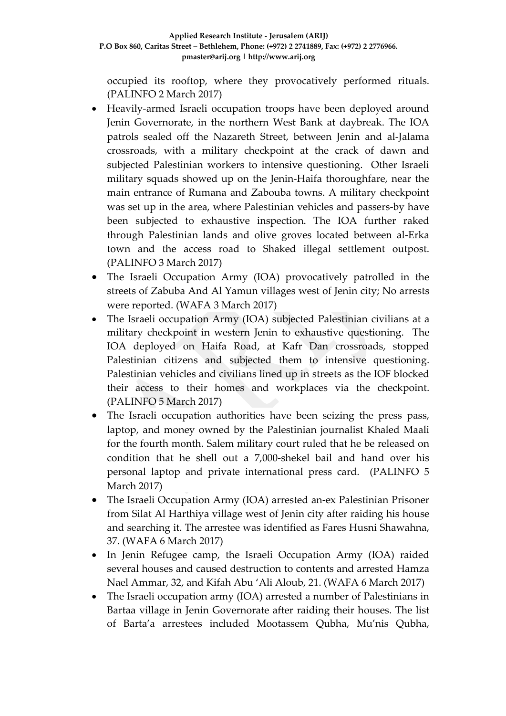occupied its rooftop, where they provocatively performed rituals. (PALINFO 2 March 2017)

- Heavily-armed Israeli occupation troops have been deployed around Jenin Governorate, in the northern West Bank at daybreak. The IOA patrols sealed off the Nazareth Street, between Jenin and al-Jalama crossroads, with a military checkpoint at the crack of dawn and subjected Palestinian workers to intensive questioning. Other Israeli military squads showed up on the Jenin-Haifa thoroughfare, near the main entrance of Rumana and Zabouba towns. A military checkpoint was set up in the area, where Palestinian vehicles and passers-by have been subjected to exhaustive inspection. The IOA further raked through Palestinian lands and olive groves located between al-Erka town and the access road to Shaked illegal settlement outpost. (PALINFO 3 March 2017)
- The Israeli Occupation Army (IOA) provocatively patrolled in the streets of Zabuba And Al Yamun villages west of Jenin city; No arrests were reported. (WAFA 3 March 2017)
- The Israeli occupation Army (IOA) subjected Palestinian civilians at a military checkpoint in western Jenin to exhaustive questioning. The IOA deployed on Haifa Road, at Kafr Dan crossroads, stopped Palestinian citizens and subjected them to intensive questioning. Palestinian vehicles and civilians lined up in streets as the IOF blocked their access to their homes and workplaces via the checkpoint. (PALINFO 5 March 2017)
- The Israeli occupation authorities have been seizing the press pass, laptop, and money owned by the Palestinian journalist Khaled Maali for the fourth month. Salem military court ruled that he be released on condition that he shell out a 7,000-shekel bail and hand over his personal laptop and private international press card. (PALINFO 5 March 2017)
- The Israeli Occupation Army (IOA) arrested an-ex Palestinian Prisoner from Silat Al Harthiya village west of Jenin city after raiding his house and searching it. The arrestee was identified as Fares Husni Shawahna, 37. (WAFA 6 March 2017)
- In Jenin Refugee camp, the Israeli Occupation Army (IOA) raided several houses and caused destruction to contents and arrested Hamza Nael Ammar, 32, and Kifah Abu 'Ali Aloub, 21. (WAFA 6 March 2017)
- The Israeli occupation army (IOA) arrested a number of Palestinians in Bartaa village in Jenin Governorate after raiding their houses. The list of Barta'a arrestees included Mootassem Qubha, Mu'nis Qubha,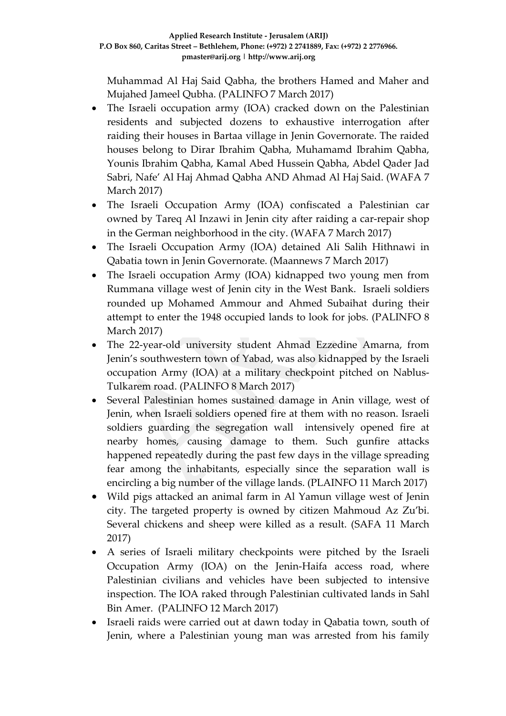Muhammad Al Haj Said Qabha, the brothers Hamed and Maher and Mujahed Jameel Qubha. (PALINFO 7 March 2017)

- The Israeli occupation army (IOA) cracked down on the Palestinian residents and subjected dozens to exhaustive interrogation after raiding their houses in Bartaa village in Jenin Governorate. The raided houses belong to Dirar Ibrahim Qabha, Muhamamd Ibrahim Qabha, Younis Ibrahim Qabha, Kamal Abed Hussein Qabha, Abdel Qader Jad Sabri, Nafe' Al Haj Ahmad Qabha AND Ahmad Al Haj Said. (WAFA 7 March 2017)
- The Israeli Occupation Army (IOA) confiscated a Palestinian car owned by Tareq Al Inzawi in Jenin city after raiding a car-repair shop in the German neighborhood in the city. (WAFA 7 March 2017)
- The Israeli Occupation Army (IOA) detained Ali Salih Hithnawi in Qabatia town in Jenin Governorate. (Maannews 7 March 2017)
- The Israeli occupation Army (IOA) kidnapped two young men from Rummana village west of Jenin city in the West Bank. Israeli soldiers rounded up Mohamed Ammour and Ahmed Subaihat during their attempt to enter the 1948 occupied lands to look for jobs. (PALINFO 8 March 2017)
- The 22-year-old university student Ahmad Ezzedine Amarna, from Jenin's southwestern town of Yabad, was also kidnapped by the Israeli occupation Army (IOA) at a military checkpoint pitched on Nablus-Tulkarem road. (PALINFO 8 March 2017)
- Several Palestinian homes sustained damage in Anin village, west of Jenin, when Israeli soldiers opened fire at them with no reason. Israeli soldiers guarding the segregation wall intensively opened fire at nearby homes, causing damage to them. Such gunfire attacks happened repeatedly during the past few days in the village spreading fear among the inhabitants, especially since the separation wall is encircling a big number of the village lands. (PLAINFO 11 March 2017)
- Wild pigs attacked an animal farm in Al Yamun village west of Jenin city. The targeted property is owned by citizen Mahmoud Az Zu'bi. Several chickens and sheep were killed as a result. (SAFA 11 March 2017)
- A series of Israeli military checkpoints were pitched by the Israeli Occupation Army (IOA) on the Jenin-Haifa access road, where Palestinian civilians and vehicles have been subjected to intensive inspection. The IOA raked through Palestinian cultivated lands in Sahl Bin Amer. (PALINFO 12 March 2017)
- Israeli raids were carried out at dawn today in Qabatia town, south of Jenin, where a Palestinian young man was arrested from his family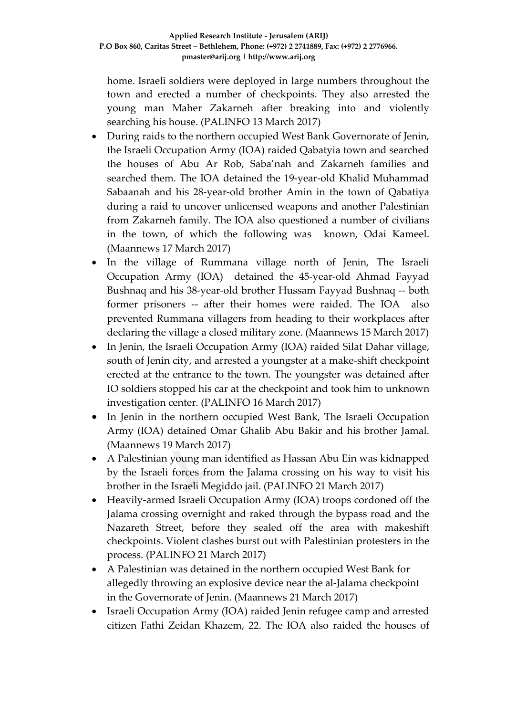home. Israeli soldiers were deployed in large numbers throughout the town and erected a number of checkpoints. They also arrested the young man Maher Zakarneh after breaking into and violently searching his house. (PALINFO 13 March 2017)

- During raids to the northern occupied West Bank Governorate of Jenin, the Israeli Occupation Army (IOA) raided Qabatyia town and searched the houses of Abu Ar Rob, Saba'nah and Zakarneh families and searched them. The IOA detained the 19-year-old Khalid Muhammad Sabaanah and his 28-year-old brother Amin in the town of Qabatiya during a raid to uncover unlicensed weapons and another Palestinian from Zakarneh family. The IOA also questioned a number of civilians in the town, of which the following was known, Odai Kameel. (Maannews 17 March 2017)
- In the village of Rummana village north of Jenin, The Israeli Occupation Army (IOA) detained the 45-year-old Ahmad Fayyad Bushnaq and his 38-year-old brother Hussam Fayyad Bushnaq -- both former prisoners -- after their homes were raided. The IOA also prevented Rummana villagers from heading to their workplaces after declaring the village a closed military zone. (Maannews 15 March 2017)
- In Jenin, the Israeli Occupation Army (IOA) raided Silat Dahar village, south of Jenin city, and arrested a youngster at a make-shift checkpoint erected at the entrance to the town. The youngster was detained after IO soldiers stopped his car at the checkpoint and took him to unknown investigation center. (PALINFO 16 March 2017)
- In Jenin in the northern occupied West Bank, The Israeli Occupation Army (IOA) detained Omar Ghalib Abu Bakir and his brother Jamal. (Maannews 19 March 2017)
- A Palestinian young man identified as Hassan Abu Ein was kidnapped by the Israeli forces from the Jalama crossing on his way to visit his brother in the Israeli Megiddo jail. (PALINFO 21 March 2017)
- Heavily-armed Israeli Occupation Army (IOA) troops cordoned off the Jalama crossing overnight and raked through the bypass road and the Nazareth Street, before they sealed off the area with makeshift checkpoints. Violent clashes burst out with Palestinian protesters in the process. (PALINFO 21 March 2017)
- A Palestinian was detained in the northern occupied West Bank for allegedly throwing an explosive device near the al-Jalama checkpoint in the Governorate of Jenin. (Maannews 21 March 2017)
- Israeli Occupation Army (IOA) raided Jenin refugee camp and arrested citizen Fathi Zeidan Khazem, 22. The IOA also raided the houses of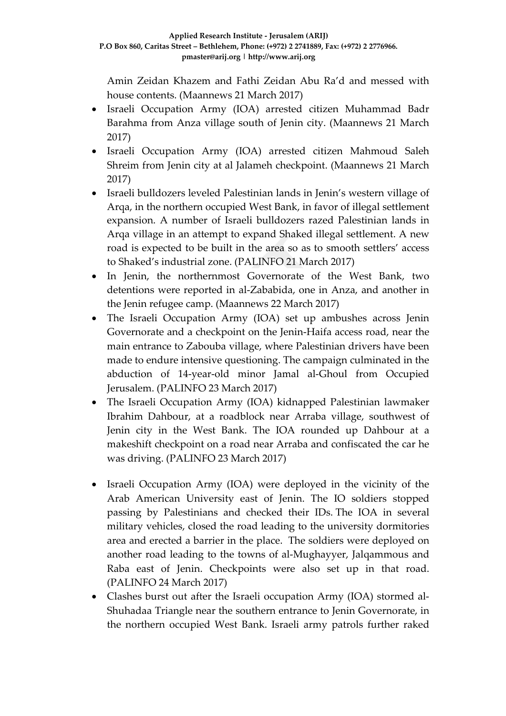Amin Zeidan Khazem and Fathi Zeidan Abu Ra'd and messed with house contents. (Maannews 21 March 2017)

- Israeli Occupation Army (IOA) arrested citizen Muhammad Badr Barahma from Anza village south of Jenin city. (Maannews 21 March 2017)
- Israeli Occupation Army (IOA) arrested citizen Mahmoud Saleh Shreim from Jenin city at al Jalameh checkpoint. (Maannews 21 March 2017)
- Israeli bulldozers leveled Palestinian lands in Jenin's western village of Arqa, in the northern occupied West Bank, in favor of illegal settlement expansion. A number of Israeli bulldozers razed Palestinian lands in Arqa village in an attempt to expand Shaked illegal settlement. A new road is expected to be built in the area so as to smooth settlers' access to Shaked's industrial zone. (PALINFO 21 March 2017)
- In Jenin, the northernmost Governorate of the West Bank, two detentions were reported in al-Zababida, one in Anza, and another in the Jenin refugee camp. (Maannews 22 March 2017)
- The Israeli Occupation Army (IOA) set up ambushes across Jenin Governorate and a checkpoint on the Jenin-Haifa access road, near the main entrance to Zabouba village, where Palestinian drivers have been made to endure intensive questioning. The campaign culminated in the abduction of 14-year-old minor Jamal al-Ghoul from Occupied Jerusalem. (PALINFO 23 March 2017)
- The Israeli Occupation Army (IOA) kidnapped Palestinian lawmaker Ibrahim Dahbour, at a roadblock near Arraba village, southwest of Jenin city in the West Bank. The IOA rounded up Dahbour at a makeshift checkpoint on a road near Arraba and confiscated the car he was driving. (PALINFO 23 March 2017)
- Israeli Occupation Army (IOA) were deployed in the vicinity of the Arab American University east of Jenin. The IO soldiers stopped passing by Palestinians and checked their IDs. The IOA in several military vehicles, closed the road leading to the university dormitories area and erected a barrier in the place. The soldiers were deployed on another road leading to the towns of al-Mughayyer, Jalqammous and Raba east of Jenin. Checkpoints were also set up in that road. (PALINFO 24 March 2017)
- Clashes burst out after the Israeli occupation Army (IOA) stormed al-Shuhadaa Triangle near the southern entrance to Jenin Governorate, in the northern occupied West Bank. Israeli army patrols further raked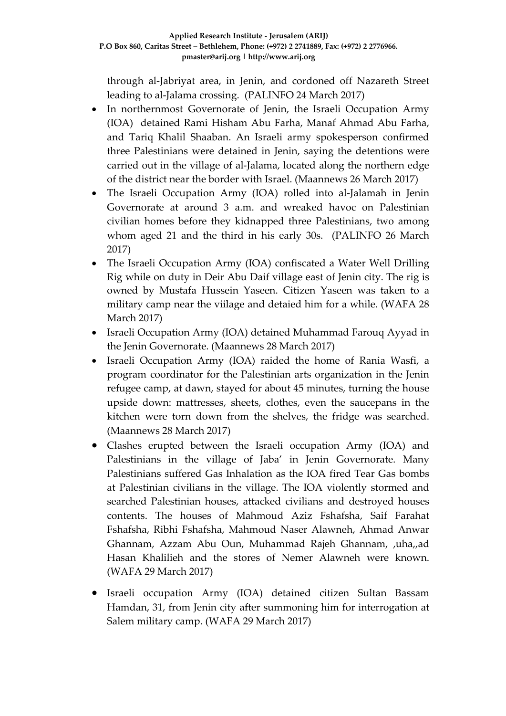through al-Jabriyat area, in Jenin, and cordoned off Nazareth Street leading to al-Jalama crossing. (PALINFO 24 March 2017)

- In northernmost Governorate of Jenin, the Israeli Occupation Army (IOA) detained Rami Hisham Abu Farha, Manaf Ahmad Abu Farha, and Tariq Khalil Shaaban. An Israeli army spokesperson confirmed three Palestinians were detained in Jenin, saying the detentions were carried out in the village of al-Jalama, located along the northern edge of the district near the border with Israel. (Maannews 26 March 2017)
- The Israeli Occupation Army (IOA) rolled into al-Jalamah in Jenin Governorate at around 3 a.m. and wreaked havoc on Palestinian civilian homes before they kidnapped three Palestinians, two among whom aged 21 and the third in his early 30s. (PALINFO 26 March 2017)
- The Israeli Occupation Army (IOA) confiscated a Water Well Drilling Rig while on duty in Deir Abu Daif village east of Jenin city. The rig is owned by Mustafa Hussein Yaseen. Citizen Yaseen was taken to a military camp near the viilage and detaied him for a while. (WAFA 28 March 2017)
- Israeli Occupation Army (IOA) detained Muhammad Farouq Ayyad in the Jenin Governorate. (Maannews 28 March 2017)
- Israeli Occupation Army (IOA) raided the home of Rania Wasfi, a program coordinator for the Palestinian arts organization in the Jenin refugee camp, at dawn, stayed for about 45 minutes, turning the house upside down: mattresses, sheets, clothes, even the saucepans in the kitchen were torn down from the shelves, the fridge was searched. (Maannews 28 March 2017)
- Clashes erupted between the Israeli occupation Army (IOA) and Palestinians in the village of Jaba' in Jenin Governorate. Many Palestinians suffered Gas Inhalation as the IOA fired Tear Gas bombs at Palestinian civilians in the village. The IOA violently stormed and searched Palestinian houses, attacked civilians and destroyed houses contents. The houses of Mahmoud Aziz Fshafsha, Saif Farahat Fshafsha, Ribhi Fshafsha, Mahmoud Naser Alawneh, Ahmad Anwar Ghannam, Azzam Abu Oun, Muhammad Rajeh Ghannam, ,uha,,ad Hasan Khalilieh and the stores of Nemer Alawneh were known. (WAFA 29 March 2017)
- Israeli occupation Army (IOA) detained citizen Sultan Bassam Hamdan, 31, from Jenin city after summoning him for interrogation at Salem military camp. (WAFA 29 March 2017)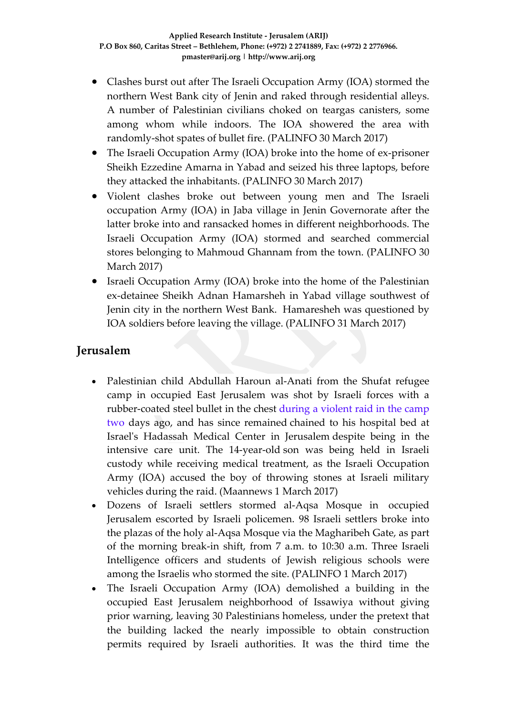- Clashes burst out after The Israeli Occupation Army (IOA) stormed the northern West Bank city of Jenin and raked through residential alleys. A number of Palestinian civilians choked on teargas canisters, some among whom while indoors. The IOA showered the area with randomly-shot spates of bullet fire. (PALINFO 30 March 2017)
- The Israeli Occupation Army (IOA) broke into the home of ex-prisoner Sheikh Ezzedine Amarna in Yabad and seized his three laptops, before they attacked the inhabitants. (PALINFO 30 March 2017)
- Violent clashes broke out between young men and The Israeli occupation Army (IOA) in Jaba village in Jenin Governorate after the latter broke into and ransacked homes in different neighborhoods. The Israeli Occupation Army (IOA) stormed and searched commercial stores belonging to Mahmoud Ghannam from the town. (PALINFO 30 March 2017)
- Israeli Occupation Army (IOA) broke into the home of the Palestinian ex-detainee Sheikh Adnan Hamarsheh in Yabad village southwest of Jenin city in the northern West Bank. Hamaresheh was questioned by IOA soldiers before leaving the village. (PALINFO 31 March 2017)

## **Jerusalem**

- Palestinian child Abdullah Haroun al-Anati from the Shufat refugee camp in occupied East Jerusalem was shot by Israeli forces with a rubber-coated steel bullet in the chest during a violent raid in the camp two days ago, and has since remained chained to his hospital bed at Israel's Hadassah Medical Center in Jerusalem despite being in the intensive care unit. The 14-year-old son was being held in Israeli custody while receiving medical treatment, as the Israeli Occupation Army (IOA) accused the boy of throwing stones at Israeli military vehicles during the raid. (Maannews 1 March 2017)
- Dozens of Israeli settlers stormed al-Aqsa Mosque in occupied Jerusalem escorted by Israeli policemen. 98 Israeli settlers broke into the plazas of the holy al-Aqsa Mosque via the Magharibeh Gate, as part of the morning break-in shift, from 7 a.m. to 10:30 a.m. Three Israeli Intelligence officers and students of Jewish religious schools were among the Israelis who stormed the site. (PALINFO 1 March 2017)
- The Israeli Occupation Army (IOA) demolished a building in the occupied East Jerusalem neighborhood of Issawiya without giving prior warning, leaving 30 Palestinians homeless, under the pretext that the building lacked the nearly impossible to obtain construction permits required by Israeli authorities. It was the third time the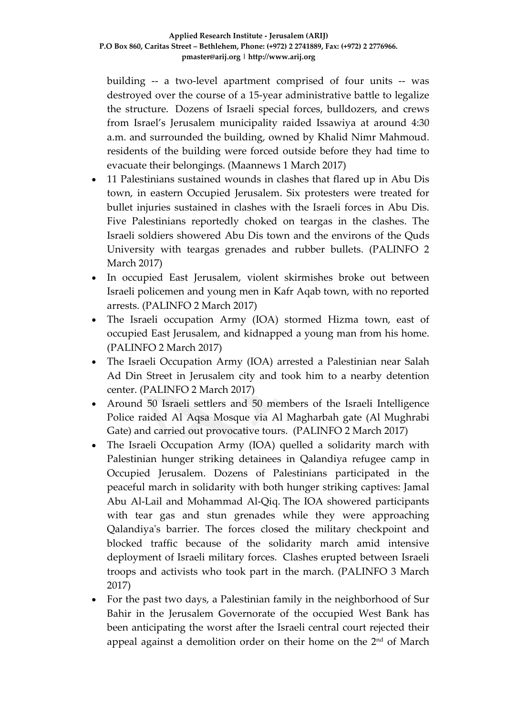building -- a two-level apartment comprised of four units -- was destroyed over the course of a 15-year administrative battle to legalize the structure. Dozens of Israeli special forces, bulldozers, and crews from Israel's Jerusalem municipality raided Issawiya at around 4:30 a.m. and surrounded the building, owned by Khalid Nimr Mahmoud. residents of the building were forced outside before they had time to evacuate their belongings. (Maannews 1 March 2017)

- 11 Palestinians sustained wounds in clashes that flared up in Abu Dis town, in eastern Occupied Jerusalem. Six protesters were treated for bullet injuries sustained in clashes with the Israeli forces in Abu Dis. Five Palestinians reportedly choked on teargas in the clashes. The Israeli soldiers showered Abu Dis town and the environs of the Quds University with teargas grenades and rubber bullets. (PALINFO 2 March 2017)
- In occupied East Jerusalem, violent skirmishes broke out between Israeli policemen and young men in Kafr Aqab town, with no reported arrests. (PALINFO 2 March 2017)
- The Israeli occupation Army (IOA) stormed Hizma town, east of occupied East Jerusalem, and kidnapped a young man from his home. (PALINFO 2 March 2017)
- The Israeli Occupation Army (IOA) arrested a Palestinian near Salah Ad Din Street in Jerusalem city and took him to a nearby detention center. (PALINFO 2 March 2017)
- Around 50 Israeli settlers and 50 members of the Israeli Intelligence Police raided Al Aqsa Mosque via Al Magharbah gate (Al Mughrabi Gate) and carried out provocative tours. (PALINFO 2 March 2017)
- The Israeli Occupation Army (IOA) quelled a solidarity march with Palestinian hunger striking detainees in Qalandiya refugee camp in Occupied Jerusalem. Dozens of Palestinians participated in the peaceful march in solidarity with both hunger striking captives: Jamal Abu Al-Lail and Mohammad Al-Qiq. The IOA showered participants with tear gas and stun grenades while they were approaching Qalandiya's barrier. The forces closed the military checkpoint and blocked traffic because of the solidarity march amid intensive deployment of Israeli military forces. Clashes erupted between Israeli troops and activists who took part in the march. (PALINFO 3 March 2017)
- For the past two days, a Palestinian family in the neighborhood of Sur Bahir in the Jerusalem Governorate of the occupied West Bank has been anticipating the worst after the Israeli central court rejected their appeal against a demolition order on their home on the  $2<sup>nd</sup>$  of March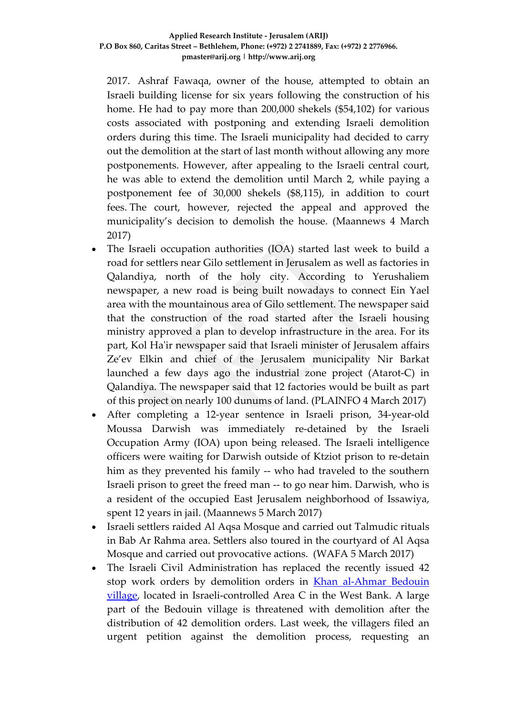2017. Ashraf Fawaqa, owner of the house, attempted to obtain an Israeli building license for six years following the construction of his home. He had to pay more than 200,000 shekels (\$54,102) for various costs associated with postponing and extending Israeli demolition orders during this time. The Israeli municipality had decided to carry out the demolition at the start of last month without allowing any more postponements. However, after appealing to the Israeli central court, he was able to extend the demolition until March 2, while paying a postponement fee of 30,000 shekels (\$8,115), in addition to court fees. The court, however, rejected the appeal and approved the municipality's decision to demolish the house. (Maannews 4 March 2017)

- The Israeli occupation authorities (IOA) started last week to build a road for settlers near Gilo settlement in Jerusalem as well as factories in Qalandiya, north of the holy city. According to Yerushaliem newspaper, a new road is being built nowadays to connect Ein Yael area with the mountainous area of Gilo settlement. The newspaper said that the construction of the road started after the Israeli housing ministry approved a plan to develop infrastructure in the area. For its part, Kol Ha'ir newspaper said that Israeli minister of Jerusalem affairs Ze'ev Elkin and chief of the Jerusalem municipality Nir Barkat launched a few days ago the industrial zone project (Atarot-C) in Qalandiya. The newspaper said that 12 factories would be built as part of this project on nearly 100 dunums of land. (PLAINFO 4 March 2017)
- After completing a 12-year sentence in Israeli prison, 34-year-old Moussa Darwish was immediately re-detained by the Israeli Occupation Army (IOA) upon being released. The Israeli intelligence officers were waiting for Darwish outside of Ktziot prison to re-detain him as they prevented his family -- who had traveled to the southern Israeli prison to greet the freed man -- to go near him. Darwish, who is a resident of the occupied East Jerusalem neighborhood of Issawiya, spent 12 years in jail. (Maannews 5 March 2017)
- Israeli settlers raided Al Aqsa Mosque and carried out Talmudic rituals in Bab Ar Rahma area. Settlers also toured in the courtyard of Al Aqsa Mosque and carried out provocative actions. (WAFA 5 March 2017)
- The Israeli Civil Administration has replaced the recently issued 42 stop work orders by demolition orders in [Khan al-Ahmar Bedouin](http://www.jpost.com/Arab-Israeli-Conflict/IDF-orders-demolition-of-Palestinian-Beduin-village-483369)  [village,](http://www.jpost.com/Arab-Israeli-Conflict/IDF-orders-demolition-of-Palestinian-Beduin-village-483369) located in Israeli-controlled Area C in the West Bank. A large part of the Bedouin village is threatened with demolition after the distribution of 42 demolition orders. Last week, the villagers filed an urgent petition against the demolition process, requesting an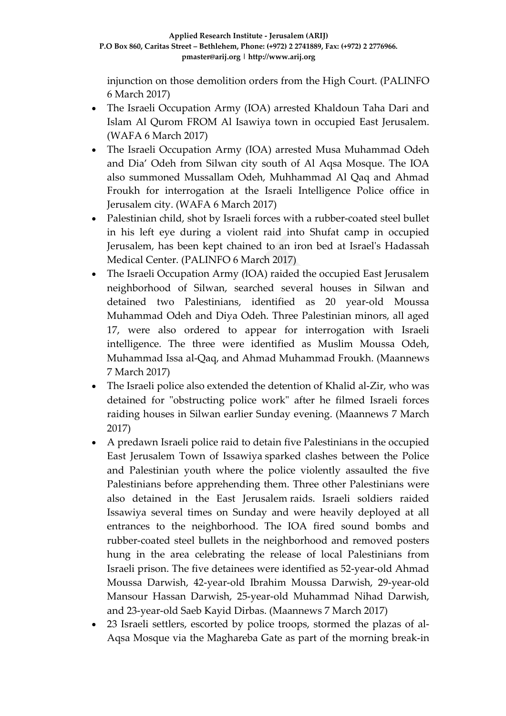injunction on those demolition orders from the High Court. (PALINFO 6 March 2017)

- The Israeli Occupation Army (IOA) arrested Khaldoun Taha Dari and Islam Al Qurom FROM Al Isawiya town in occupied East Jerusalem. (WAFA 6 March 2017)
- The Israeli Occupation Army (IOA) arrested Musa Muhammad Odeh and Dia' Odeh from Silwan city south of Al Aqsa Mosque. The IOA also summoned Mussallam Odeh, Muhhammad Al Qaq and Ahmad Froukh for interrogation at the Israeli Intelligence Police office in Jerusalem city. (WAFA 6 March 2017)
- Palestinian child, shot by Israeli forces with a rubber-coated steel bullet in his left eye during a violent raid into Shufat camp in occupied Jerusalem, has been kept chained to an iron bed at Israel's Hadassah Medical Center. (PALINFO 6 March 2017)
- The Israeli Occupation Army (IOA) raided the occupied East Jerusalem neighborhood of Silwan, searched several houses in Silwan and detained two Palestinians, identified as 20 year-old Moussa Muhammad Odeh and Diya Odeh. Three Palestinian minors, all aged 17, were also ordered to appear for interrogation with Israeli intelligence. The three were identified as Muslim Moussa Odeh, Muhammad Issa al-Qaq, and Ahmad Muhammad Froukh. (Maannews 7 March 2017)
- The Israeli police also extended the detention of Khalid al-Zir, who was detained for "obstructing police work" after he filmed Israeli forces raiding houses in Silwan earlier Sunday evening. (Maannews 7 March 2017)
- A predawn Israeli police raid to detain five Palestinians in the occupied East Jerusalem Town of Issawiya sparked clashes between the Police and Palestinian youth where the police violently assaulted the five Palestinians before apprehending them. Three other Palestinians were also detained in the East Jerusalem raids. Israeli soldiers raided Issawiya several times on Sunday and were heavily deployed at all entrances to the neighborhood. The IOA fired sound bombs and rubber-coated steel bullets in the neighborhood and removed posters hung in the area celebrating the release of local Palestinians from Israeli prison. The five detainees were identified as 52-year-old Ahmad Moussa Darwish, 42-year-old Ibrahim Moussa Darwish, 29-year-old Mansour Hassan Darwish, 25-year-old Muhammad Nihad Darwish, and 23-year-old Saeb Kayid Dirbas. (Maannews 7 March 2017)
- 23 Israeli settlers, escorted by police troops, stormed the plazas of al-Aqsa Mosque via the Maghareba Gate as part of the morning break-in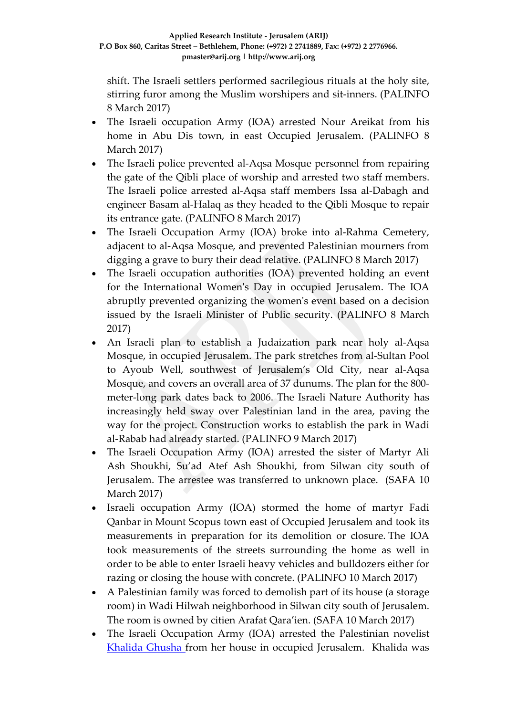shift. The Israeli settlers performed sacrilegious rituals at the holy site, stirring furor among the Muslim worshipers and sit-inners. (PALINFO 8 March 2017)

- The Israeli occupation Army (IOA) arrested Nour Areikat from his home in Abu Dis town, in east Occupied Jerusalem. (PALINFO 8 March 2017)
- The Israeli police prevented al-Aqsa Mosque personnel from repairing the gate of the Qibli place of worship and arrested two staff members. The Israeli police arrested al-Aqsa staff members Issa al-Dabagh and engineer Basam al-Halaq as they headed to the Qibli Mosque to repair its entrance gate. (PALINFO 8 March 2017)
- The Israeli Occupation Army (IOA) broke into al-Rahma Cemetery, adjacent to al-Aqsa Mosque, and prevented Palestinian mourners from digging a grave to bury their dead relative. (PALINFO 8 March 2017)
- The Israeli occupation authorities (IOA) prevented holding an event for the International Women's Day in occupied Jerusalem. The IOA abruptly prevented organizing the women's event based on a decision issued by the Israeli Minister of Public security. (PALINFO 8 March 2017)
- An Israeli plan to establish a Judaization park near holy al-Aqsa Mosque, in occupied Jerusalem. The park stretches from al-Sultan Pool to Ayoub Well, southwest of Jerusalem's Old City, near al-Aqsa Mosque, and covers an overall area of 37 dunums. The plan for the 800 meter-long park dates back to 2006. The Israeli Nature Authority has increasingly held sway over Palestinian land in the area, paving the way for the project. Construction works to establish the park in Wadi al-Rabab had already started. (PALINFO 9 March 2017)
- The Israeli Occupation Army (IOA) arrested the sister of Martyr Ali Ash Shoukhi, Su'ad Atef Ash Shoukhi, from Silwan city south of Jerusalem. The arrestee was transferred to unknown place. (SAFA 10 March 2017)
- Israeli occupation Army (IOA) stormed the home of martyr Fadi Qanbar in Mount Scopus town east of Occupied Jerusalem and took its measurements in preparation for its demolition or closure. The IOA took measurements of the streets surrounding the home as well in order to be able to enter Israeli heavy vehicles and bulldozers either for razing or closing the house with concrete. (PALINFO 10 March 2017)
- A Palestinian family was forced to demolish part of its house (a storage room) in Wadi Hilwah neighborhood in Silwan city south of Jerusalem. The room is owned by citien Arafat Qara'ien. (SAFA 10 March 2017)
- The Israeli Occupation Army (IOA) arrested the Palestinian novelist [Khalida Ghusha f](http://www.maannews.com/Content.aspx?id=775895)rom her house in occupied Jerusalem. Khalida was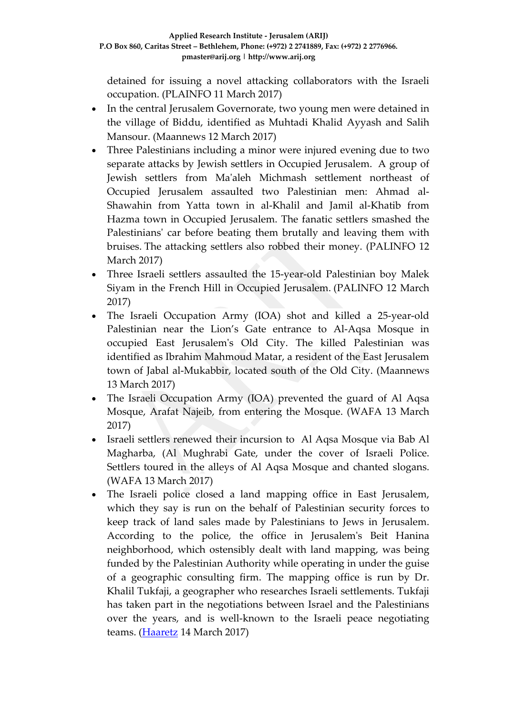detained for issuing a novel attacking collaborators with the Israeli occupation. (PLAINFO 11 March 2017)

- In the central Jerusalem Governorate, two young men were detained in the village of Biddu, identified as Muhtadi Khalid Ayyash and Salih Mansour. (Maannews 12 March 2017)
- Three Palestinians including a minor were injured evening due to two separate attacks by Jewish settlers in Occupied Jerusalem. A group of Jewish settlers from Ma'aleh Michmash settlement northeast of Occupied Jerusalem assaulted two Palestinian men: Ahmad al-Shawahin from Yatta town in al-Khalil and Jamil al-Khatib from Hazma town in Occupied Jerusalem. The fanatic settlers smashed the Palestinians' car before beating them brutally and leaving them with bruises. The attacking settlers also robbed their money. (PALINFO 12 March 2017)
- Three Israeli settlers assaulted the 15-year-old Palestinian boy Malek Siyam in the French Hill in Occupied Jerusalem. (PALINFO 12 March 2017)
- The Israeli Occupation Army (IOA) shot and killed a 25-year-old Palestinian near the Lion's Gate entrance to Al-Aqsa Mosque in occupied East Jerusalem's Old City. The killed Palestinian was identified as Ibrahim Mahmoud Matar, a resident of the East Jerusalem town of Jabal al-Mukabbir, located south of the Old City. (Maannews 13 March 2017)
- The Israeli Occupation Army (IOA) prevented the guard of Al Aqsa Mosque, Arafat Najeib, from entering the Mosque. (WAFA 13 March 2017)
- Israeli settlers renewed their incursion to Al Aqsa Mosque via Bab Al Magharba, (Al Mughrabi Gate, under the cover of Israeli Police. Settlers toured in the alleys of Al Aqsa Mosque and chanted slogans. (WAFA 13 March 2017)
- The Israeli police closed a land mapping office in East Jerusalem, which they say is run on the behalf of Palestinian security forces to keep track of land sales made by Palestinians to Jews in Jerusalem. According to the police, the office in Jerusalem's Beit Hanina neighborhood, which ostensibly dealt with land mapping, was being funded by the Palestinian Authority while operating in under the guise of a geographic consulting firm. The mapping office is run by Dr. Khalil Tukfaji, a geographer who researches Israeli settlements. Tukfaji has taken part in the negotiations between Israel and the Palestinians over the years, and is well-known to the Israeli peace negotiating teams. [\(Haaretz](http://www.haaretz.com/israel-news/1.777285) 14 March 2017)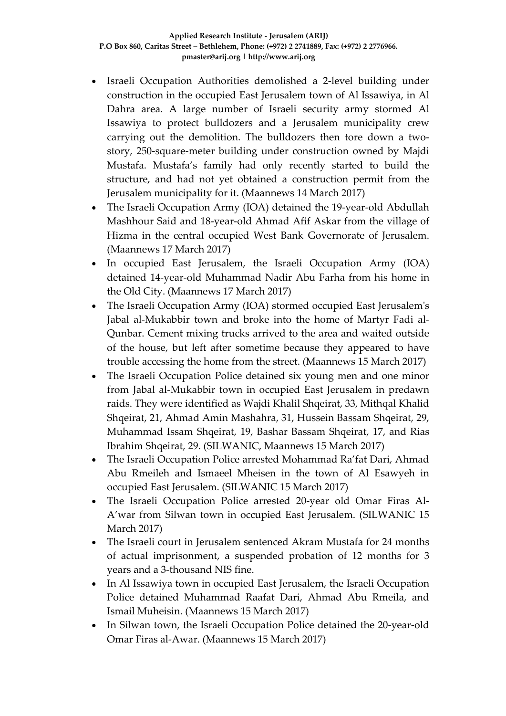- Israeli Occupation Authorities demolished a 2-level building under construction in the occupied East Jerusalem town of Al Issawiya, in Al Dahra area. A large number of Israeli security army stormed Al Issawiya to protect bulldozers and a Jerusalem municipality crew carrying out the demolition. The bulldozers then tore down a twostory, 250-square-meter building under construction owned by Majdi Mustafa. Mustafa's family had only recently started to build the structure, and had not yet obtained a construction permit from the Jerusalem municipality for it. (Maannews 14 March 2017)
- The Israeli Occupation Army (IOA) detained the 19-year-old Abdullah Mashhour Said and 18-year-old Ahmad Afif Askar from the village of Hizma in the central occupied West Bank Governorate of Jerusalem. (Maannews 17 March 2017)
- In occupied East Jerusalem, the Israeli Occupation Army (IOA) detained 14-year-old Muhammad Nadir Abu Farha from his home in the Old City. (Maannews 17 March 2017)
- The Israeli Occupation Army (IOA) stormed occupied East Jerusalem's Jabal al-Mukabbir town and broke into the home of Martyr Fadi al-Qunbar. Cement mixing trucks arrived to the area and waited outside of the house, but left after sometime because they appeared to have trouble accessing the home from the street. (Maannews 15 March 2017)
- The Israeli Occupation Police detained six young men and one minor from Jabal al-Mukabbir town in occupied East Jerusalem in predawn raids. They were identified as Wajdi Khalil Shqeirat, 33, Mithqal Khalid Shqeirat, 21, Ahmad Amin Mashahra, 31, Hussein Bassam Shqeirat, 29, Muhammad Issam Shqeirat, 19, Bashar Bassam Shqeirat, 17, and Rias Ibrahim Shqeirat, 29. (SILWANIC, Maannews 15 March 2017)
- The Israeli Occupation Police arrested Mohammad Ra'fat Dari, Ahmad Abu Rmeileh and Ismaeel Mheisen in the town of Al Esawyeh in occupied East Jerusalem. (SILWANIC 15 March 2017)
- The Israeli Occupation Police arrested 20-year old Omar Firas Al-A'war from Silwan town in occupied East Jerusalem. (SILWANIC 15 March 2017)
- The Israeli court in Jerusalem sentenced Akram Mustafa for 24 months of actual imprisonment, a suspended probation of 12 months for 3 years and a 3-thousand NIS fine.
- In Al Issawiya town in occupied East Jerusalem, the Israeli Occupation Police detained Muhammad Raafat Dari, Ahmad Abu Rmeila, and Ismail Muheisin. (Maannews 15 March 2017)
- In Silwan town, the Israeli Occupation Police detained the 20-year-old Omar Firas al-Awar. (Maannews 15 March 2017)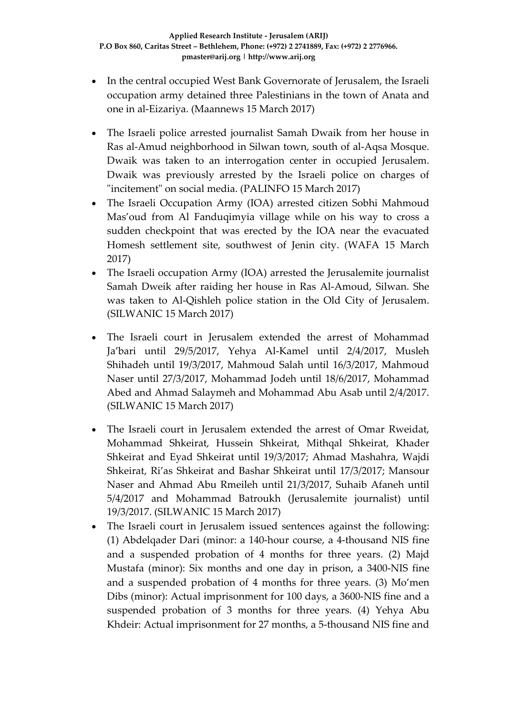- In the central occupied West Bank Governorate of Jerusalem, the Israeli occupation army detained three Palestinians in the town of Anata and one in al-Eizariya. (Maannews 15 March 2017)
- The Israeli police arrested journalist Samah Dwaik from her house in Ras al-Amud neighborhood in Silwan town, south of al-Aqsa Mosque. Dwaik was taken to an interrogation center in occupied Jerusalem. Dwaik was previously arrested by the Israeli police on charges of "incitement" on social media. (PALINFO 15 March 2017)
- The Israeli Occupation Army (IOA) arrested citizen Sobhi Mahmoud Mas'oud from Al Fanduqimyia village while on his way to cross a sudden checkpoint that was erected by the IOA near the evacuated Homesh settlement site, southwest of Jenin city. (WAFA 15 March 2017)
- The Israeli occupation Army (IOA) arrested the Jerusalemite journalist Samah Dweik after raiding her house in Ras Al-Amoud, Silwan. She was taken to Al-Qishleh police station in the Old City of Jerusalem. (SILWANIC 15 March 2017)
- The Israeli court in Jerusalem extended the arrest of Mohammad Ja'bari until 29/5/2017, Yehya Al-Kamel until 2/4/2017, Musleh Shihadeh until 19/3/2017, Mahmoud Salah until 16/3/2017, Mahmoud Naser until 27/3/2017, Mohammad Jodeh until 18/6/2017, Mohammad Abed and Ahmad Salaymeh and Mohammad Abu Asab until 2/4/2017. (SILWANIC 15 March 2017)
- The Israeli court in Jerusalem extended the arrest of Omar Rweidat, Mohammad Shkeirat, Hussein Shkeirat, Mithqal Shkeirat, Khader Shkeirat and Eyad Shkeirat until 19/3/2017; Ahmad Mashahra, Wajdi Shkeirat, Ri'as Shkeirat and Bashar Shkeirat until 17/3/2017; Mansour Naser and Ahmad Abu Rmeileh until 21/3/2017, Suhaib Afaneh until 5/4/2017 and Mohammad Batroukh (Jerusalemite journalist) until 19/3/2017. (SILWANIC 15 March 2017)
- The Israeli court in Jerusalem issued sentences against the following: (1) Abdelqader Dari (minor: a 140-hour course, a 4-thousand NIS fine and a suspended probation of 4 months for three years. (2) Majd Mustafa (minor): Six months and one day in prison, a 3400-NIS fine and a suspended probation of 4 months for three years. (3) Mo'men Dibs (minor): Actual imprisonment for 100 days, a 3600-NIS fine and a suspended probation of 3 months for three years. (4) Yehya Abu Khdeir: Actual imprisonment for 27 months, a 5-thousand NIS fine and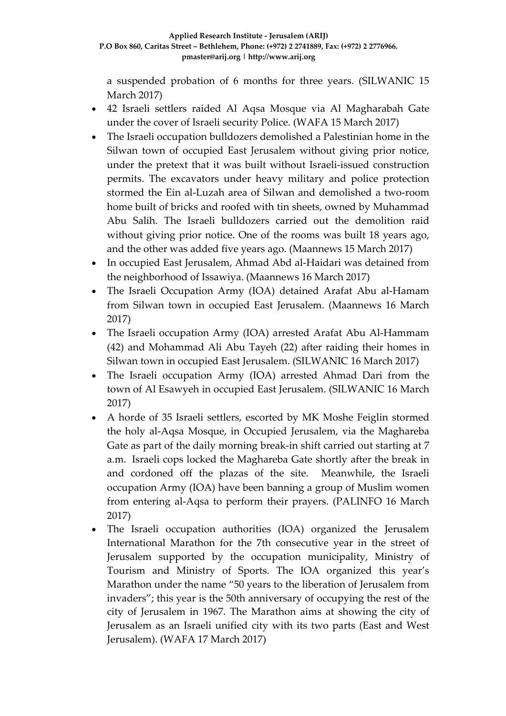a suspended probation of 6 months for three years. (SILWANIC 15 March 2017)

- 42 Israeli settlers raided Al Aqsa Mosque via Al Magharabah Gate under the cover of Israeli security Police. (WAFA 15 March 2017)
- The Israeli occupation bulldozers demolished a Palestinian home in the Silwan town of occupied East Jerusalem without giving prior notice, under the pretext that it was built without Israeli-issued construction permits. The excavators under heavy military and police protection stormed the Ein al-Luzah area of Silwan and demolished a two-room home built of bricks and roofed with tin sheets, owned by Muhammad Abu Salih. The Israeli bulldozers carried out the demolition raid without giving prior notice. One of the rooms was built 18 years ago, and the other was added five years ago. (Maannews 15 March 2017)
- In occupied East Jerusalem, Ahmad Abd al-Haidari was detained from the neighborhood of Issawiya. (Maannews 16 March 2017)
- The Israeli Occupation Army (IOA) detained Arafat Abu al-Hamam from Silwan town in occupied East Jerusalem. (Maannews 16 March 2017)
- The Israeli occupation Army (IOA) arrested Arafat Abu Al-Hammam (42) and Mohammad Ali Abu Tayeh (22) after raiding their homes in Silwan town in occupied East Jerusalem. (SILWANIC 16 March 2017)
- The Israeli occupation Army (IOA) arrested Ahmad Dari from the town of Al Esawyeh in occupied East Jerusalem. (SILWANIC 16 March 2017)
- A horde of 35 Israeli settlers, escorted by MK Moshe Feiglin stormed the holy al-Aqsa Mosque, in Occupied Jerusalem, via the Maghareba Gate as part of the daily morning break-in shift carried out starting at 7 a.m. Israeli cops locked the Maghareba Gate shortly after the break in and cordoned off the plazas of the site. Meanwhile, the Israeli occupation Army (IOA) have been banning a group of Muslim women from entering al-Aqsa to perform their prayers. (PALINFO 16 March 2017)
- The Israeli occupation authorities (IOA) organized the Jerusalem International Marathon for the 7th consecutive year in the street of Jerusalem supported by the occupation municipality, Ministry of Tourism and Ministry of Sports. The IOA organized this year's Marathon under the name "50 years to the liberation of Jerusalem from invaders"; this year is the 50th anniversary of occupying the rest of the city of Jerusalem in 1967. The Marathon aims at showing the city of Jerusalem as an Israeli unified city with its two parts (East and West Jerusalem). (WAFA 17 March 2017)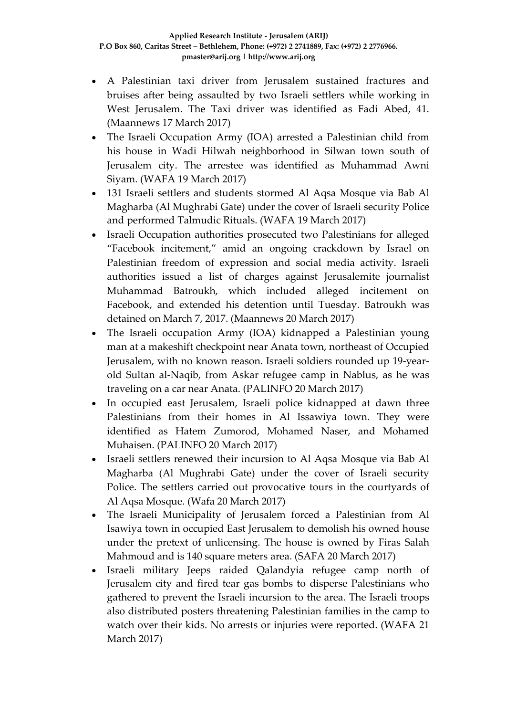- A Palestinian taxi driver from Jerusalem sustained fractures and bruises after being assaulted by two Israeli settlers while working in West Jerusalem. The Taxi driver was identified as Fadi Abed, 41. (Maannews 17 March 2017)
- The Israeli Occupation Army (IOA) arrested a Palestinian child from his house in Wadi Hilwah neighborhood in Silwan town south of Jerusalem city. The arrestee was identified as Muhammad Awni Siyam. (WAFA 19 March 2017)
- 131 Israeli settlers and students stormed Al Aqsa Mosque via Bab Al Magharba (Al Mughrabi Gate) under the cover of Israeli security Police and performed Talmudic Rituals. (WAFA 19 March 2017)
- Israeli Occupation authorities prosecuted two Palestinians for alleged "Facebook incitement," amid an ongoing crackdown by Israel on Palestinian freedom of expression and social media activity. Israeli authorities issued a list of charges against Jerusalemite journalist Muhammad Batroukh, which included alleged incitement on Facebook, and extended his detention until Tuesday. Batroukh was detained on March 7, 2017. (Maannews 20 March 2017)
- The Israeli occupation Army (IOA) kidnapped a Palestinian young man at a makeshift checkpoint near Anata town, northeast of Occupied Jerusalem, with no known reason. Israeli soldiers rounded up 19-yearold Sultan al-Naqib, from Askar refugee camp in Nablus, as he was traveling on a car near Anata. (PALINFO 20 March 2017)
- In occupied east Jerusalem, Israeli police kidnapped at dawn three Palestinians from their homes in Al Issawiya town. They were identified as Hatem Zumorod, Mohamed Naser, and Mohamed Muhaisen. (PALINFO 20 March 2017)
- Israeli settlers renewed their incursion to Al Aqsa Mosque via Bab Al Magharba (Al Mughrabi Gate) under the cover of Israeli security Police. The settlers carried out provocative tours in the courtyards of Al Aqsa Mosque. (Wafa 20 March 2017)
- The Israeli Municipality of Jerusalem forced a Palestinian from Al Isawiya town in occupied East Jerusalem to demolish his owned house under the pretext of unlicensing. The house is owned by Firas Salah Mahmoud and is 140 square meters area. (SAFA 20 March 2017)
- Israeli military Jeeps raided Qalandyia refugee camp north of Jerusalem city and fired tear gas bombs to disperse Palestinians who gathered to prevent the Israeli incursion to the area. The Israeli troops also distributed posters threatening Palestinian families in the camp to watch over their kids. No arrests or injuries were reported. (WAFA 21 March 2017)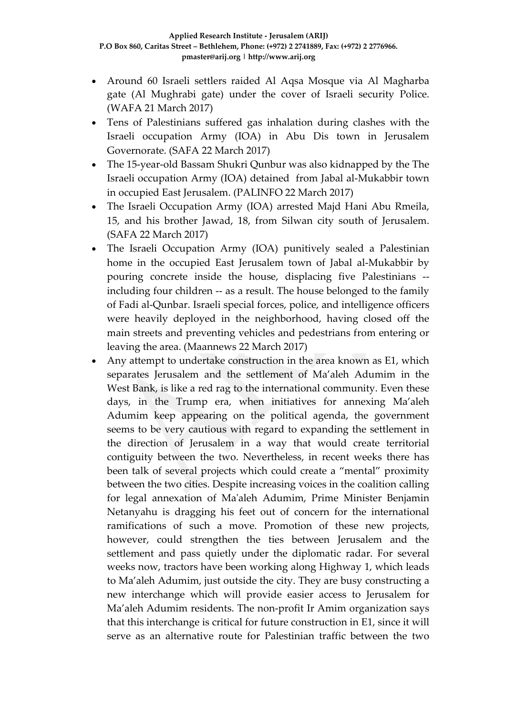- Around 60 Israeli settlers raided Al Aqsa Mosque via Al Magharba gate (Al Mughrabi gate) under the cover of Israeli security Police. (WAFA 21 March 2017)
- Tens of Palestinians suffered gas inhalation during clashes with the Israeli occupation Army (IOA) in Abu Dis town in Jerusalem Governorate. (SAFA 22 March 2017)
- The 15-year-old Bassam Shukri Qunbur was also kidnapped by the The Israeli occupation Army (IOA) detained from Jabal al-Mukabbir town in occupied East Jerusalem. (PALINFO 22 March 2017)
- The Israeli Occupation Army (IOA) arrested Majd Hani Abu Rmeila, 15, and his brother Jawad, 18, from Silwan city south of Jerusalem. (SAFA 22 March 2017)
- The Israeli Occupation Army (IOA) punitively sealed a Palestinian home in the occupied East Jerusalem town of Jabal al-Mukabbir by pouring concrete inside the house, displacing five Palestinians - including four children -- as a result. The house belonged to the family of Fadi al-Qunbar. Israeli special forces, police, and intelligence officers were heavily deployed in the neighborhood, having closed off the main streets and preventing vehicles and pedestrians from entering or leaving the area. (Maannews 22 March 2017)
- Any attempt to undertake construction in the area known as E1, which separates Jerusalem and the settlement of Ma'aleh Adumim in the West Bank, is like a red rag to the international community. Even these days, in the Trump era, when initiatives for annexing Ma'aleh Adumim keep appearing on the political agenda, the government seems to be very cautious with regard to expanding the settlement in the direction of Jerusalem in a way that would create territorial contiguity between the two. Nevertheless, in recent weeks there has been talk of several projects which could create a "mental" proximity between the two cities. Despite increasing voices in the coalition calling for legal annexation of Ma'aleh Adumim, Prime Minister Benjamin Netanyahu is dragging his feet out of concern for the international ramifications of such a move. Promotion of these new projects, however, could strengthen the ties between Jerusalem and the settlement and pass quietly under the diplomatic radar. For several weeks now, tractors have been working along Highway 1, which leads to Ma'aleh Adumim, just outside the city. They are busy constructing a new interchange which will provide easier access to Jerusalem for Ma'aleh Adumim residents. The non-profit Ir Amim organization says that this interchange is critical for future construction in E1, since it will serve as an alternative route for Palestinian traffic between the two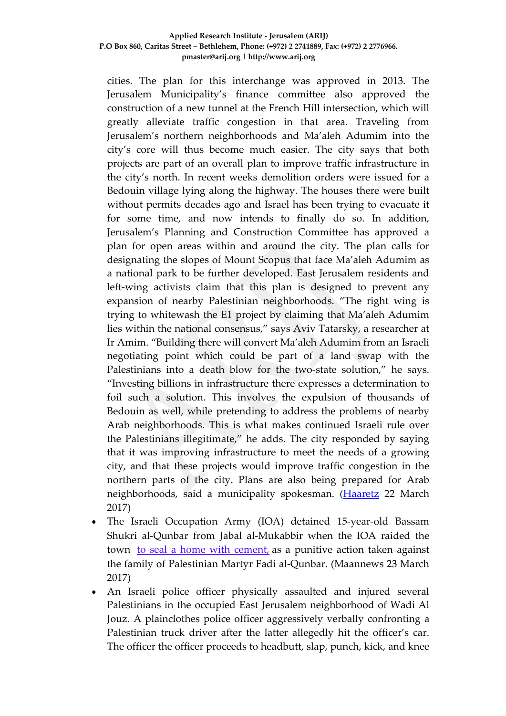#### **Applied Research Institute - Jerusalem (ARIJ) P.O Box 860, Caritas Street – Bethlehem, Phone: (+972) 2 2741889, Fax: (+972) 2 2776966. pmaster@arij.org | http://www.arij.org**

cities. The plan for this interchange was approved in 2013. The Jerusalem Municipality's finance committee also approved the construction of a new tunnel at the French Hill intersection, which will greatly alleviate traffic congestion in that area. Traveling from Jerusalem's northern neighborhoods and Ma'aleh Adumim into the city's core will thus become much easier. The city says that both projects are part of an overall plan to improve traffic infrastructure in the city's north. In recent weeks demolition orders were issued for a Bedouin village lying along the highway. The houses there were built without permits decades ago and Israel has been trying to evacuate it for some time, and now intends to finally do so. In addition, Jerusalem's Planning and Construction Committee has approved a plan for open areas within and around the city. The plan calls for designating the slopes of Mount Scopus that face Ma'aleh Adumim as a national park to be further developed. East Jerusalem residents and left-wing activists claim that this plan is designed to prevent any expansion of nearby Palestinian neighborhoods. "The right wing is trying to whitewash the E1 project by claiming that Ma'aleh Adumim lies within the national consensus," says Aviv Tatarsky, a researcher at Ir Amim. "Building there will convert Ma'aleh Adumim from an Israeli negotiating point which could be part of a land swap with the Palestinians into a death blow for the two-state solution," he says. "Investing billions in infrastructure there expresses a determination to foil such a solution. This involves the expulsion of thousands of Bedouin as well, while pretending to address the problems of nearby Arab neighborhoods. This is what makes continued Israeli rule over the Palestinians illegitimate," he adds. The city responded by saying that it was improving infrastructure to meet the needs of a growing city, and that these projects would improve traffic congestion in the northern parts of the city. Plans are also being prepared for Arab neighborhoods, said a municipality spokesman. [\(Haaretz](http://www.haaretz.com/israel-news/.premium-1.778761) 22 March 2017)

- The Israeli Occupation Army (IOA) detained 15-year-old Bassam Shukri al-Qunbar from Jabal al-Mukabbir when the IOA raided the town to seal a home with [cement,](http://www.maannews.com/Content.aspx?id=776051) as a punitive action taken against the family of Palestinian Martyr Fadi al-Qunbar. (Maannews 23 March 2017)
- An Israeli police officer physically assaulted and injured several Palestinians in the occupied East Jerusalem neighborhood of Wadi Al Jouz. A plainclothes police officer aggressively verbally confronting a Palestinian truck driver after the latter allegedly hit the officer's car. The officer the officer proceeds to headbutt, slap, punch, kick, and knee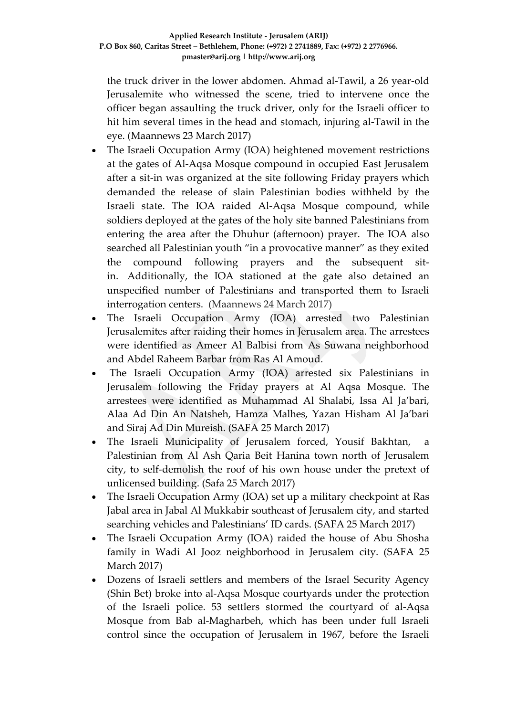the truck driver in the lower abdomen. Ahmad al-Tawil, a 26 year-old Jerusalemite who witnessed the scene, tried to intervene once the officer began assaulting the truck driver, only for the Israeli officer to hit him several times in the head and stomach, injuring al-Tawil in the eye. (Maannews 23 March 2017)

- The Israeli Occupation Army (IOA) heightened movement restrictions at the gates of Al-Aqsa Mosque compound in occupied East Jerusalem after a sit-in was organized at the site following Friday prayers which demanded the release of slain Palestinian bodies withheld by the Israeli state. The IOA raided Al-Aqsa Mosque compound, while soldiers deployed at the gates of the holy site banned Palestinians from entering the area after the Dhuhur (afternoon) prayer. The IOA also searched all Palestinian youth "in a provocative manner" as they exited the compound following prayers and the subsequent sitin. Additionally, the IOA stationed at the gate also detained an unspecified number of Palestinians and transported them to Israeli interrogation centers. (Maannews 24 March 2017)
- The Israeli Occupation Army (IOA) arrested two Palestinian Jerusalemites after raiding their homes in Jerusalem area. The arrestees were identified as Ameer Al Balbisi from As Suwana neighborhood and Abdel Raheem Barbar from Ras Al Amoud.
- The Israeli Occupation Army (IOA) arrested six Palestinians in Jerusalem following the Friday prayers at Al Aqsa Mosque. The arrestees were identified as Muhammad Al Shalabi, Issa Al Ja'bari, Alaa Ad Din An Natsheh, Hamza Malhes, Yazan Hisham Al Ja'bari and Siraj Ad Din Mureish. (SAFA 25 March 2017)
- The Israeli Municipality of Jerusalem forced, Yousif Bakhtan, a Palestinian from Al Ash Qaria Beit Hanina town north of Jerusalem city, to self-demolish the roof of his own house under the pretext of unlicensed building. (Safa 25 March 2017)
- The Israeli Occupation Army (IOA) set up a military checkpoint at Ras Jabal area in Jabal Al Mukkabir southeast of Jerusalem city, and started searching vehicles and Palestinians' ID cards. (SAFA 25 March 2017)
- The Israeli Occupation Army (IOA) raided the house of Abu Shosha family in Wadi Al Jooz neighborhood in Jerusalem city. (SAFA 25 March 2017)
- Dozens of Israeli settlers and members of the Israel Security Agency (Shin Bet) broke into al-Aqsa Mosque courtyards under the protection of the Israeli police. 53 settlers stormed the courtyard of al-Aqsa Mosque from Bab al-Magharbeh, which has been under full Israeli control since the occupation of Jerusalem in 1967, before the Israeli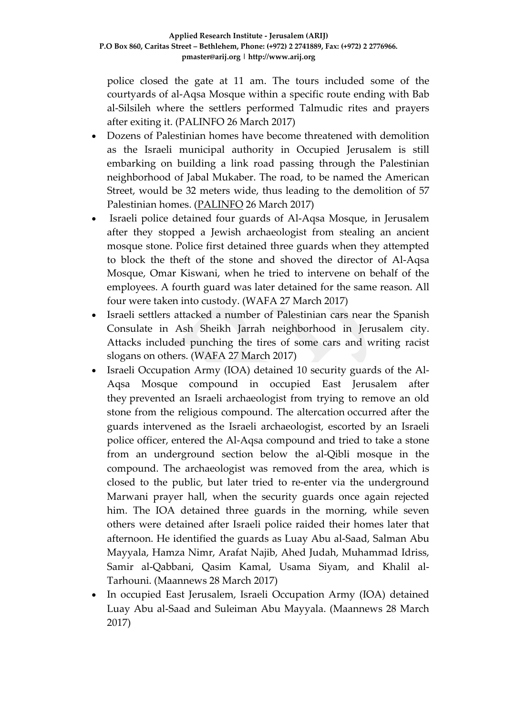police closed the gate at 11 am. The tours included some of the courtyards of al-Aqsa Mosque within a specific route ending with Bab al-Silsileh where the settlers performed Talmudic rites and prayers after exiting it. (PALINFO 26 March 2017)

- Dozens of Palestinian homes have become threatened with demolition as the Israeli municipal authority in Occupied Jerusalem is still embarking on building a link road passing through the Palestinian neighborhood of Jabal Mukaber. The road, to be named the American Street, would be 32 meters wide, thus leading to the demolition of 57 Palestinian homes. [\(PALINFO](https://english.palinfo.com/news/2017/3/25/Israel-to-raze-Jabal-Mukaber-homes-to-make-way-for-new-road) 26 March 2017)
- Israeli police detained four guards of Al-Aqsa Mosque, in Jerusalem after they stopped a Jewish archaeologist from stealing an ancient mosque stone. Police first detained three guards when they attempted to block the theft of the stone and shoved the director of Al-Aqsa Mosque, Omar Kiswani, when he tried to intervene on behalf of the employees. A fourth guard was later detained for the same reason. All four were taken into custody. (WAFA 27 March 2017)
- Israeli settlers attacked a number of Palestinian cars near the Spanish Consulate in Ash Sheikh Jarrah neighborhood in Jerusalem city. Attacks included punching the tires of some cars and writing racist slogans on others. (WAFA 27 March 2017)
- Israeli Occupation Army (IOA) detained 10 security guards of the Al-Aqsa Mosque compound in occupied East Jerusalem after they prevented an Israeli archaeologist from trying to remove an old stone from the religious compound. The altercation occurred after the guards intervened as the Israeli archaeologist, escorted by an Israeli police officer, entered the Al-Aqsa compound and tried to take a stone from an underground section below the al-Qibli mosque in the compound. The archaeologist was removed from the area, which is closed to the public, but later tried to re-enter via the underground Marwani prayer hall, when the security guards once again rejected him. The IOA detained three guards in the morning, while seven others were detained after Israeli police raided their homes later that afternoon. He identified the guards as Luay Abu al-Saad, Salman Abu Mayyala, Hamza Nimr, Arafat Najib, Ahed Judah, Muhammad Idriss, Samir al-Qabbani, Qasim Kamal, Usama Siyam, and Khalil al-Tarhouni. (Maannews 28 March 2017)
- In occupied East Jerusalem, Israeli Occupation Army (IOA) detained Luay Abu al-Saad and Suleiman Abu Mayyala. (Maannews 28 March 2017)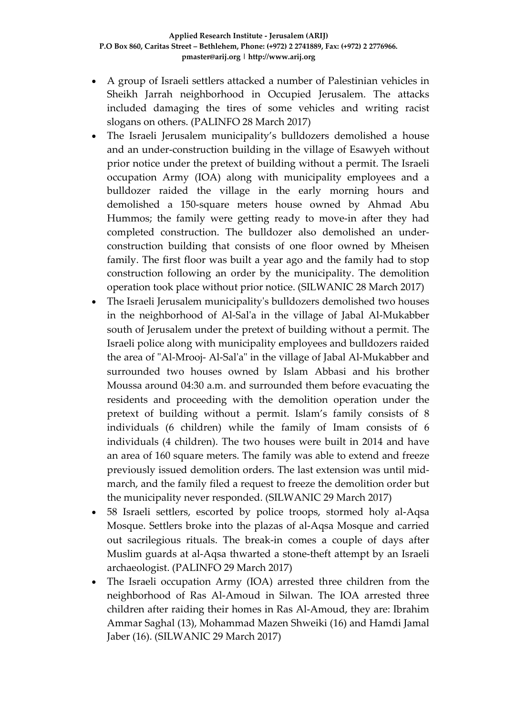- A group of Israeli settlers attacked a number of Palestinian vehicles in Sheikh Jarrah neighborhood in Occupied Jerusalem. The attacks included damaging the tires of some vehicles and writing racist slogans on others. (PALINFO 28 March 2017)
- The Israeli Jerusalem municipality's bulldozers demolished a house and an under-construction building in the village of Esawyeh without prior notice under the pretext of building without a permit. The Israeli occupation Army (IOA) along with municipality employees and a bulldozer raided the village in the early morning hours and demolished a 150-square meters house owned by Ahmad Abu Hummos; the family were getting ready to move-in after they had completed construction. The bulldozer also demolished an underconstruction building that consists of one floor owned by Mheisen family. The first floor was built a year ago and the family had to stop construction following an order by the municipality. The demolition operation took place without prior notice. (SILWANIC 28 March 2017)
- The Israeli Jerusalem municipality's bulldozers demolished two houses in the neighborhood of Al-Sal'a in the village of Jabal Al-Mukabber south of Jerusalem under the pretext of building without a permit. The Israeli police along with municipality employees and bulldozers raided the area of "Al-Mrooj- Al-Sal'a" in the village of Jabal Al-Mukabber and surrounded two houses owned by Islam Abbasi and his brother Moussa around 04:30 a.m. and surrounded them before evacuating the residents and proceeding with the demolition operation under the pretext of building without a permit. Islam's family consists of 8 individuals (6 children) while the family of Imam consists of 6 individuals (4 children). The two houses were built in 2014 and have an area of 160 square meters. The family was able to extend and freeze previously issued demolition orders. The last extension was until midmarch, and the family filed a request to freeze the demolition order but the municipality never responded. (SILWANIC 29 March 2017)
- 58 Israeli settlers, escorted by police troops, stormed holy al-Aqsa Mosque. Settlers broke into the plazas of al-Aqsa Mosque and carried out sacrilegious rituals. The break-in comes a couple of days after Muslim guards at al-Aqsa thwarted a stone-theft attempt by an Israeli archaeologist. (PALINFO 29 March 2017)
- The Israeli occupation Army (IOA) arrested three children from the neighborhood of Ras Al-Amoud in Silwan. The IOA arrested three children after raiding their homes in Ras Al-Amoud, they are: Ibrahim Ammar Saghal (13), Mohammad Mazen Shweiki (16) and Hamdi Jamal Jaber (16). (SILWANIC 29 March 2017)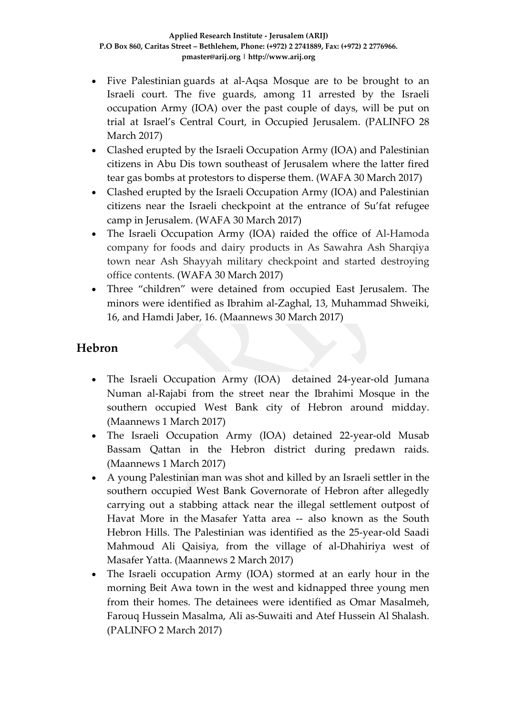- Five Palestinian guards at al-Aqsa Mosque are to be brought to an Israeli court. The five guards, among 11 arrested by the Israeli occupation Army (IOA) over the past couple of days, will be put on trial at Israel's Central Court, in Occupied Jerusalem. (PALINFO 28 March 2017)
- Clashed erupted by the Israeli Occupation Army (IOA) and Palestinian citizens in Abu Dis town southeast of Jerusalem where the latter fired tear gas bombs at protestors to disperse them. (WAFA 30 March 2017)
- Clashed erupted by the Israeli Occupation Army (IOA) and Palestinian citizens near the Israeli checkpoint at the entrance of Su'fat refugee camp in Jerusalem. (WAFA 30 March 2017)
- The Israeli Occupation Army (IOA) raided the office of Al-Hamoda company for foods and dairy products in As Sawahra Ash Sharqiya town near Ash Shayyah military checkpoint and started destroying office contents. (WAFA 30 March 2017)
- Three "children" were detained from occupied East Jerusalem. The minors were identified as Ibrahim al-Zaghal, 13, Muhammad Shweiki, 16, and Hamdi Jaber, 16. (Maannews 30 March 2017)

### **Hebron**

- The Israeli Occupation Army (IOA) detained 24-year-old Jumana Numan al-Rajabi from the street near the Ibrahimi Mosque in the southern occupied West Bank city of Hebron around midday. (Maannews 1 March 2017)
- The Israeli Occupation Army (IOA) detained 22-year-old Musab Bassam Qattan in the Hebron district during predawn raids. (Maannews 1 March 2017)
- A young Palestinian man was shot and killed by an Israeli settler in the southern occupied West Bank Governorate of Hebron after allegedly carrying out a stabbing attack near the illegal settlement outpost of Havat More in the Masafer Yatta area -- also known as the South Hebron Hills. The Palestinian was identified as the 25-year-old Saadi Mahmoud Ali Qaisiya, from the village of al-Dhahiriya west of Masafer Yatta. (Maannews 2 March 2017)
- The Israeli occupation Army (IOA) stormed at an early hour in the morning Beit Awa town in the west and kidnapped three young men from their homes. The detainees were identified as Omar Masalmeh, Farouq Hussein Masalma, Ali as-Suwaiti and Atef Hussein Al Shalash. (PALINFO 2 March 2017)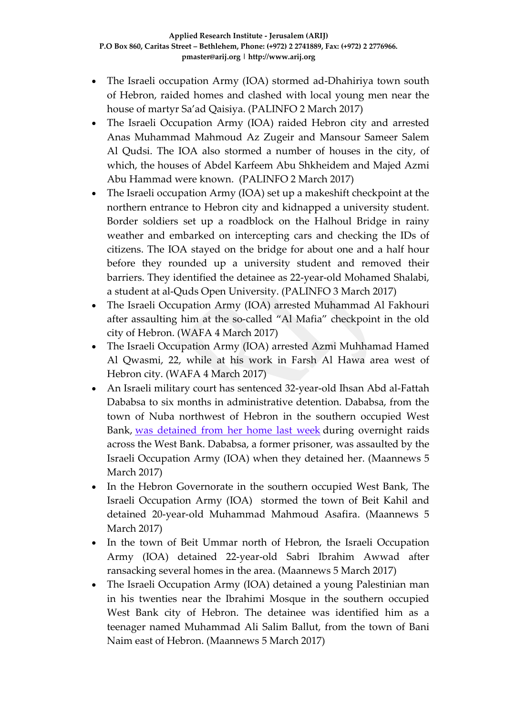- The Israeli occupation Army (IOA) stormed ad-Dhahiriya town south of Hebron, raided homes and clashed with local young men near the house of martyr Sa'ad Qaisiya. (PALINFO 2 March 2017)
- The Israeli Occupation Army (IOA) raided Hebron city and arrested Anas Muhammad Mahmoud Az Zugeir and Mansour Sameer Salem Al Qudsi. The IOA also stormed a number of houses in the city, of which, the houses of Abdel Karfeem Abu Shkheidem and Majed Azmi Abu Hammad were known. (PALINFO 2 March 2017)
- The Israeli occupation Army (IOA) set up a makeshift checkpoint at the northern entrance to Hebron city and kidnapped a university student. Border soldiers set up a roadblock on the Halhoul Bridge in rainy weather and embarked on intercepting cars and checking the IDs of citizens. The IOA stayed on the bridge for about one and a half hour before they rounded up a university student and removed their barriers. They identified the detainee as 22-year-old Mohamed Shalabi, a student at al-Quds Open University. (PALINFO 3 March 2017)
- The Israeli Occupation Army (IOA) arrested Muhammad Al Fakhouri after assaulting him at the so-called "Al Mafia" checkpoint in the old city of Hebron. (WAFA 4 March 2017)
- The Israeli Occupation Army (IOA) arrested Azmi Muhhamad Hamed Al Qwasmi, 22, while at his work in Farsh Al Hawa area west of Hebron city. (WAFA 4 March 2017)
- An Israeli military court has sentenced 32-year-old Ihsan Abd al-Fattah Dababsa to six months in administrative detention. Dababsa, from the town of Nuba northwest of Hebron in the southern occupied West Bank, was [detained](http://www.maannews.com/Content.aspx?id=775682) from her home last week during overnight raids across the West Bank. Dababsa, a former prisoner, was assaulted by the Israeli Occupation Army (IOA) when they detained her. (Maannews 5 March 2017)
- In the Hebron Governorate in the southern occupied West Bank, The Israeli Occupation Army (IOA) stormed the town of Beit Kahil and detained 20-year-old Muhammad Mahmoud Asafira. (Maannews 5 March 2017)
- In the town of Beit Ummar north of Hebron, the Israeli Occupation Army (IOA) detained 22-year-old Sabri Ibrahim Awwad after ransacking several homes in the area. (Maannews 5 March 2017)
- The Israeli Occupation Army (IOA) detained a young Palestinian man in his twenties near the Ibrahimi Mosque in the southern occupied West Bank city of Hebron. The detainee was identified him as a teenager named Muhammad Ali Salim Ballut, from the town of Bani Naim east of Hebron. (Maannews 5 March 2017)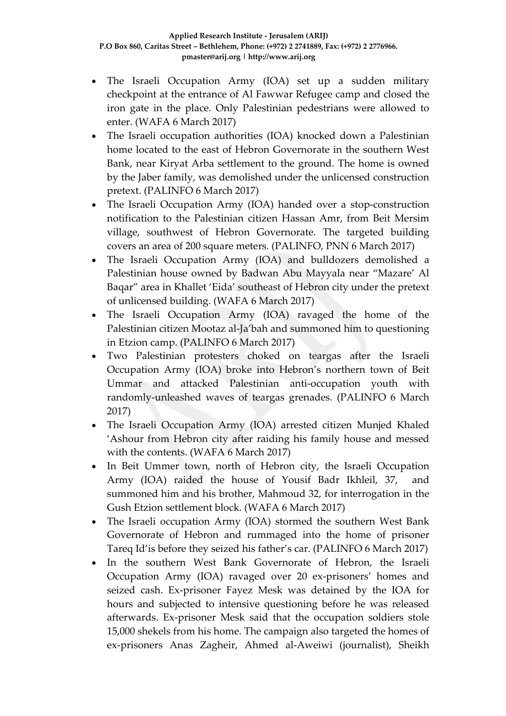- The Israeli Occupation Army (IOA) set up a sudden military checkpoint at the entrance of Al Fawwar Refugee camp and closed the iron gate in the place. Only Palestinian pedestrians were allowed to enter. (WAFA 6 March 2017)
- The Israeli occupation authorities (IOA) knocked down a Palestinian home located to the east of Hebron Governorate in the southern West Bank, near Kiryat Arba settlement to the ground. The home is owned by the Jaber family, was demolished under the unlicensed construction pretext. (PALINFO 6 March 2017)
- The Israeli Occupation Army (IOA) handed over a stop-construction notification to the Palestinian citizen Hassan Amr, from Beit Mersim village, southwest of Hebron Governorate. The targeted building covers an area of 200 square meters. (PALINFO, PNN 6 March 2017)
- The Israeli Occupation Army (IOA) and bulldozers demolished a Palestinian house owned by Badwan Abu Mayyala near "Mazare' Al Baqar" area in Khallet 'Eida' southeast of Hebron city under the pretext of unlicensed building. (WAFA 6 March 2017)
- The Israeli Occupation Army (IOA) ravaged the home of the Palestinian citizen Mootaz al-Ja'bah and summoned him to questioning in Etzion camp. (PALINFO 6 March 2017)
- Two Palestinian protesters choked on teargas after the Israeli Occupation Army (IOA) broke into Hebron's northern town of Beit Ummar and attacked Palestinian anti-occupation youth with randomly-unleashed waves of teargas grenades. (PALINFO 6 March 2017)
- The Israeli Occupation Army (IOA) arrested citizen Munjed Khaled 'Ashour from Hebron city after raiding his family house and messed with the contents. (WAFA 6 March 2017)
- In Beit Ummer town, north of Hebron city, the Israeli Occupation Army (IOA) raided the house of Yousif Badr Ikhleil, 37, and summoned him and his brother, Mahmoud 32, for interrogation in the Gush Etzion settlement block. (WAFA 6 March 2017)
- The Israeli occupation Army (IOA) stormed the southern West Bank Governorate of Hebron and rummaged into the home of prisoner Tareq Id'is before they seized his father's car. (PALINFO 6 March 2017)
- In the southern West Bank Governorate of Hebron, the Israeli Occupation Army (IOA) ravaged over 20 ex-prisoners' homes and seized cash. Ex-prisoner Fayez Mesk was detained by the IOA for hours and subjected to intensive questioning before he was released afterwards. Ex-prisoner Mesk said that the occupation soldiers stole 15,000 shekels from his home. The campaign also targeted the homes of ex-prisoners Anas Zagheir, Ahmed al-Aweiwi (journalist), Sheikh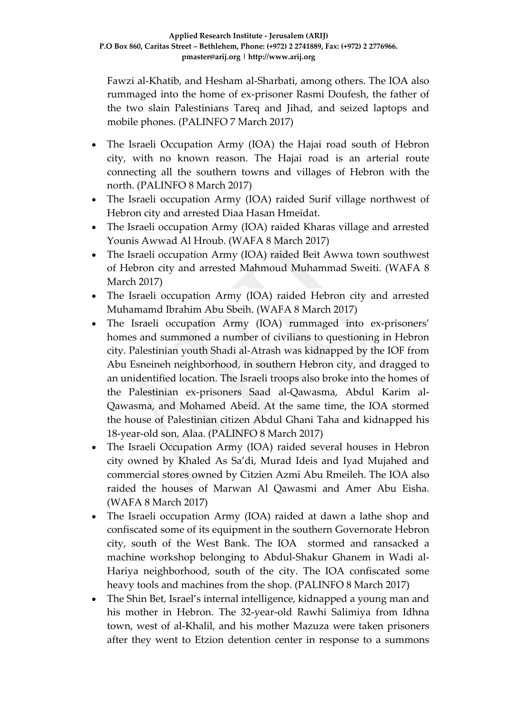Fawzi al-Khatib, and Hesham al-Sharbati, among others. The IOA also rummaged into the home of ex-prisoner Rasmi Doufesh, the father of the two slain Palestinians Tareq and Jihad, and seized laptops and mobile phones. (PALINFO 7 March 2017)

- The Israeli Occupation Army (IOA) the Hajai road south of Hebron city, with no known reason. The Hajai road is an arterial route connecting all the southern towns and villages of Hebron with the north. (PALINFO 8 March 2017)
- The Israeli occupation Army (IOA) raided Surif village northwest of Hebron city and arrested Diaa Hasan Hmeidat.
- The Israeli occupation Army (IOA) raided Kharas village and arrested Younis Awwad Al Hroub. (WAFA 8 March 2017)
- The Israeli occupation Army (IOA) raided Beit Awwa town southwest of Hebron city and arrested Mahmoud Muhammad Sweiti. (WAFA 8 March 2017)
- The Israeli occupation Army (IOA) raided Hebron city and arrested Muhamamd Ibrahim Abu Sbeih. (WAFA 8 March 2017)
- The Israeli occupation Army (IOA) rummaged into ex-prisoners' homes and summoned a number of civilians to questioning in Hebron city. Palestinian youth Shadi al-Atrash was kidnapped by the IOF from Abu Esneineh neighborhood, in southern Hebron city, and dragged to an unidentified location. The Israeli troops also broke into the homes of the Palestinian ex-prisoners Saad al-Qawasma, Abdul Karim al-Qawasma, and Mohamed Abeid. At the same time, the IOA stormed the house of Palestinian citizen Abdul Ghani Taha and kidnapped his 18-year-old son, Alaa. (PALINFO 8 March 2017)
- The Israeli Occupation Army (IOA) raided several houses in Hebron city owned by Khaled As Sa'di, Murad Ideis and Iyad Mujahed and commercial stores owned by Citzien Azmi Abu Rmeileh. The IOA also raided the houses of Marwan Al Qawasmi and Amer Abu Eisha. (WAFA 8 March 2017)
- The Israeli occupation Army (IOA) raided at dawn a lathe shop and confiscated some of its equipment in the southern Governorate Hebron city, south of the West Bank. The IOA stormed and ransacked a machine workshop belonging to Abdul-Shakur Ghanem in Wadi al-Hariya neighborhood, south of the city. The IOA confiscated some heavy tools and machines from the shop. (PALINFO 8 March 2017)
- The Shin Bet, Israel's internal intelligence, kidnapped a young man and his mother in Hebron. The 32-year-old Rawhi Salimiya from Idhna town, west of al-Khalil, and his mother Mazuza were taken prisoners after they went to Etzion detention center in response to a summons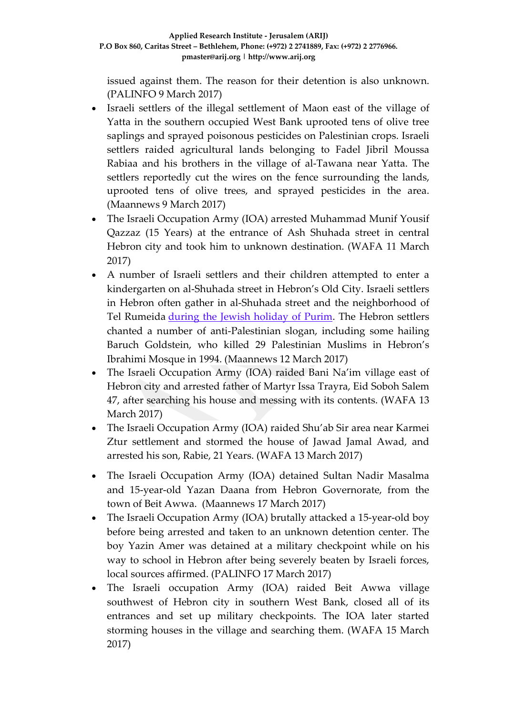issued against them. The reason for their detention is also unknown. (PALINFO 9 March 2017)

- Israeli settlers of the illegal settlement of Maon east of the village of Yatta in the southern occupied West Bank uprooted tens of olive tree saplings and sprayed poisonous pesticides on Palestinian crops. Israeli settlers raided agricultural lands belonging to Fadel Jibril Moussa Rabiaa and his brothers in the village of al-Tawana near Yatta. The settlers reportedly cut the wires on the fence surrounding the lands, uprooted tens of olive trees, and sprayed pesticides in the area. (Maannews 9 March 2017)
- The Israeli Occupation Army (IOA) arrested Muhammad Munif Yousif Qazzaz (15 Years) at the entrance of Ash Shuhada street in central Hebron city and took him to unknown destination. (WAFA 11 March 2017)
- A number of Israeli settlers and their children attempted to enter a kindergarten on al-Shuhada street in Hebron's Old City. Israeli settlers in Hebron often gather in al-Shuhada street and the neighborhood of Tel Rumeida during the Jewish [holiday](http://www.maannews.com/Content.aspx?id=770807) of Purim. The Hebron settlers chanted a number of anti-Palestinian slogan, including some hailing Baruch Goldstein, who killed 29 Palestinian Muslims in Hebron's Ibrahimi Mosque in 1994. (Maannews 12 March 2017)
- The Israeli Occupation Army (IOA) raided Bani Na'im village east of Hebron city and arrested father of Martyr Issa Trayra, Eid Soboh Salem 47, after searching his house and messing with its contents. (WAFA 13 March 2017)
- The Israeli Occupation Army (IOA) raided Shu'ab Sir area near Karmei Ztur settlement and stormed the house of Jawad Jamal Awad, and arrested his son, Rabie, 21 Years. (WAFA 13 March 2017)
- The Israeli Occupation Army (IOA) detained Sultan Nadir Masalma and 15-year-old Yazan Daana from Hebron Governorate, from the town of Beit Awwa. (Maannews 17 March 2017)
- The Israeli Occupation Army (IOA) brutally attacked a 15-year-old boy before being arrested and taken to an unknown detention center. The boy Yazin Amer was detained at a military checkpoint while on his way to school in Hebron after being severely beaten by Israeli forces, local sources affirmed. (PALINFO 17 March 2017)
- The Israeli occupation Army (IOA) raided Beit Awwa village southwest of Hebron city in southern West Bank, closed all of its entrances and set up military checkpoints. The IOA later started storming houses in the village and searching them. (WAFA 15 March 2017)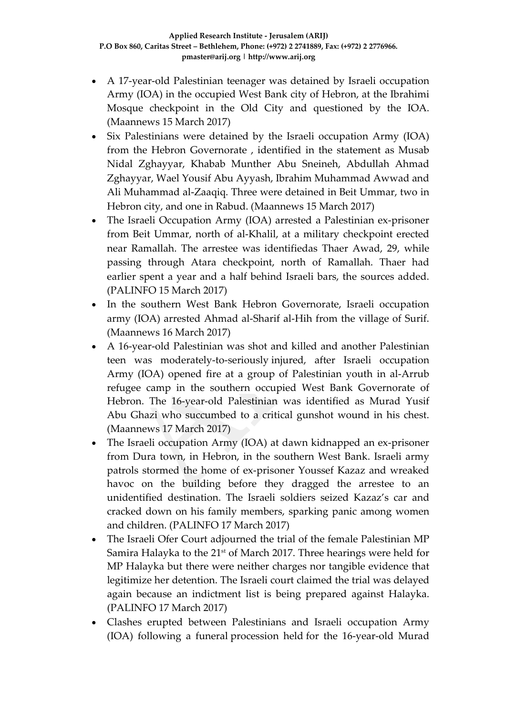- A 17-year-old Palestinian teenager was detained by Israeli occupation Army (IOA) in the occupied West Bank city of Hebron, at the Ibrahimi Mosque checkpoint in the Old City and questioned by the IOA. (Maannews 15 March 2017)
- Six Palestinians were detained by the Israeli occupation Army (IOA) from the Hebron Governorate , identified in the statement as Musab Nidal Zghayyar, Khabab Munther Abu Sneineh, Abdullah Ahmad Zghayyar, Wael Yousif Abu Ayyash, Ibrahim Muhammad Awwad and Ali Muhammad al-Zaaqiq. Three were detained in Beit Ummar, two in Hebron city, and one in Rabud. (Maannews 15 March 2017)
- The Israeli Occupation Army (IOA) arrested a Palestinian ex-prisoner from Beit Ummar, north of al-Khalil, at a military checkpoint erected near Ramallah. The arrestee was identifiedas Thaer Awad, 29, while passing through Atara checkpoint, north of Ramallah. Thaer had earlier spent a year and a half behind Israeli bars, the sources added. (PALINFO 15 March 2017)
- In the southern West Bank Hebron Governorate, Israeli occupation army (IOA) arrested Ahmad al-Sharif al-Hih from the village of Surif. (Maannews 16 March 2017)
- A 16-year-old Palestinian was shot and killed and another Palestinian teen was moderately-to-seriously injured, after Israeli occupation Army (IOA) opened fire at a group of Palestinian youth in al-Arrub refugee camp in the southern occupied West Bank Governorate of Hebron. The 16-year-old Palestinian was identified as Murad Yusif Abu Ghazi who succumbed to a critical gunshot wound in his chest. (Maannews 17 March 2017)
- The Israeli occupation Army (IOA) at dawn kidnapped an ex-prisoner from Dura town, in Hebron, in the southern West Bank. Israeli army patrols stormed the home of ex-prisoner Youssef Kazaz and wreaked havoc on the building before they dragged the arrestee to an unidentified destination. The Israeli soldiers seized Kazaz's car and cracked down on his family members, sparking panic among women and children. (PALINFO 17 March 2017)
- The Israeli Ofer Court adjourned the trial of the female Palestinian MP Samira Halayka to the 21<sup>st</sup> of March 2017. Three hearings were held for MP Halayka but there were neither charges nor tangible evidence that legitimize her detention. The Israeli court claimed the trial was delayed again because an indictment list is being prepared against Halayka. (PALINFO 17 March 2017)
- Clashes erupted between Palestinians and Israeli occupation Army (IOA) following a funeral procession held for the 16-year-old Murad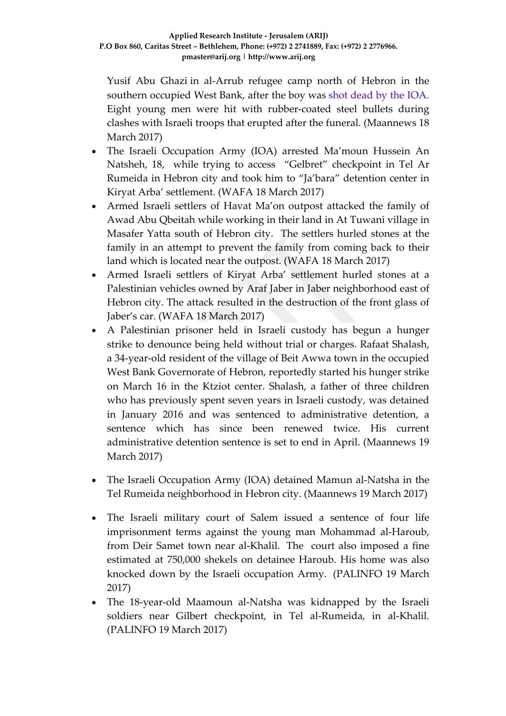Yusif Abu Ghazi in al-Arrub refugee camp north of Hebron in the southern occupied West Bank, after the boy was shot dead by the IOA. Eight young men were hit with rubber-coated steel bullets during clashes with Israeli troops that erupted after the funeral. (Maannews 18 March 2017)

- The Israeli Occupation Army (IOA) arrested Ma'moun Hussein An Natsheh, 18, while trying to access "Gelbret" checkpoint in Tel Ar Rumeida in Hebron city and took him to "Ja'bara" detention center in Kiryat Arba' settlement. (WAFA 18 March 2017)
- Armed Israeli settlers of Havat Ma'on outpost attacked the family of Awad Abu Qbeitah while working in their land in At Tuwani village in Masafer Yatta south of Hebron city. The settlers hurled stones at the family in an attempt to prevent the family from coming back to their land which is located near the outpost. (WAFA 18 March 2017)
- Armed Israeli settlers of Kiryat Arba' settlement hurled stones at a Palestinian vehicles owned by Araf Jaber in Jaber neighborhood east of Hebron city. The attack resulted in the destruction of the front glass of Jaber's car. (WAFA 18 March 2017)
- A Palestinian prisoner held in Israeli custody has begun a hunger strike to denounce being held without trial or charges. Rafaat Shalash, a 34-year-old resident of the village of Beit Awwa town in the occupied West Bank Governorate of Hebron, reportedly started his hunger strike on March 16 in the Ktziot center. Shalash, a father of three children who has previously spent seven years in Israeli custody, was detained in January 2016 and was sentenced to administrative detention, a sentence which has since been renewed twice. His current administrative detention sentence is set to end in April. (Maannews 19 March 2017)
- The Israeli Occupation Army (IOA) detained Mamun al-Natsha in the Tel Rumeida neighborhood in Hebron city. (Maannews 19 March 2017)
- The Israeli military court of Salem issued a sentence of four life imprisonment terms against the young man Mohammad al-Haroub, from Deir Samet town near al-Khalil. The court also imposed a fine estimated at 750,000 shekels on detainee Haroub. His home was also knocked down by the Israeli occupation Army. (PALINFO 19 March 2017)
- The 18-year-old Maamoun al-Natsha was kidnapped by the Israeli soldiers near Gilbert checkpoint, in Tel al-Rumeida, in al-Khalil. (PALINFO 19 March 2017)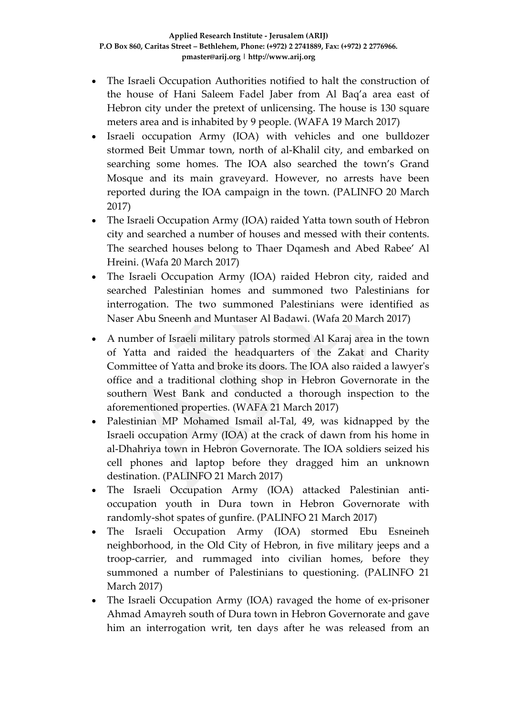- The Israeli Occupation Authorities notified to halt the construction of the house of Hani Saleem Fadel Jaber from Al Baq'a area east of Hebron city under the pretext of unlicensing. The house is 130 square meters area and is inhabited by 9 people. (WAFA 19 March 2017)
- Israeli occupation Army (IOA) with vehicles and one bulldozer stormed Beit Ummar town, north of al-Khalil city, and embarked on searching some homes. The IOA also searched the town's Grand Mosque and its main graveyard. However, no arrests have been reported during the IOA campaign in the town. (PALINFO 20 March 2017)
- The Israeli Occupation Army (IOA) raided Yatta town south of Hebron city and searched a number of houses and messed with their contents. The searched houses belong to Thaer Dqamesh and Abed Rabee' Al Hreini. (Wafa 20 March 2017)
- The Israeli Occupation Army (IOA) raided Hebron city, raided and searched Palestinian homes and summoned two Palestinians for interrogation. The two summoned Palestinians were identified as Naser Abu Sneenh and Muntaser Al Badawi. (Wafa 20 March 2017)
- A number of Israeli military patrols stormed Al Karaj area in the town of Yatta and raided the headquarters of the Zakat and Charity Committee of Yatta and broke its doors. The IOA also raided a lawyer's office and a traditional clothing shop in Hebron Governorate in the southern West Bank and conducted a thorough inspection to the aforementioned properties. (WAFA 21 March 2017)
- Palestinian MP Mohamed Ismail al-Tal, 49, was kidnapped by the Israeli occupation Army (IOA) at the crack of dawn from his home in al-Dhahriya town in Hebron Governorate. The IOA soldiers seized his cell phones and laptop before they dragged him an unknown destination. (PALINFO 21 March 2017)
- The Israeli Occupation Army (IOA) attacked Palestinian antioccupation youth in Dura town in Hebron Governorate with randomly-shot spates of gunfire. (PALINFO 21 March 2017)
- The Israeli Occupation Army (IOA) stormed Ebu Esneineh neighborhood, in the Old City of Hebron, in five military jeeps and a troop-carrier, and rummaged into civilian homes, before they summoned a number of Palestinians to questioning. (PALINFO 21 March 2017)
- The Israeli Occupation Army (IOA) ravaged the home of ex-prisoner Ahmad Amayreh south of Dura town in Hebron Governorate and gave him an interrogation writ, ten days after he was released from an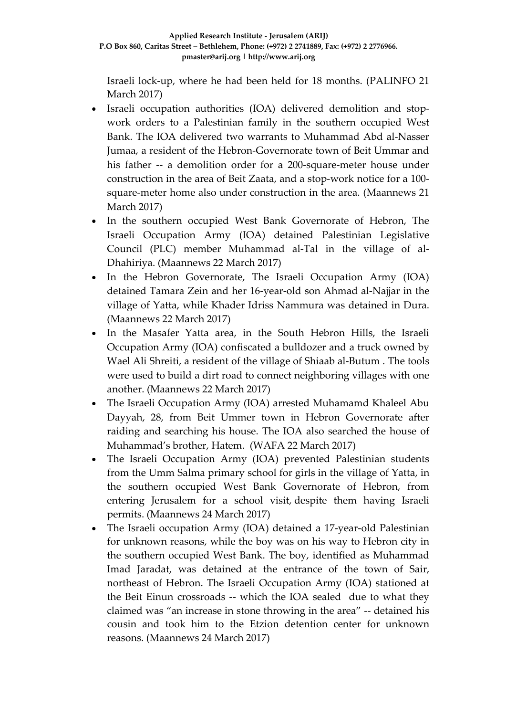Israeli lock-up, where he had been held for 18 months. (PALINFO 21 March 2017)

- Israeli occupation authorities (IOA) delivered demolition and stopwork orders to a Palestinian family in the southern occupied West Bank. The IOA delivered two warrants to Muhammad Abd al-Nasser Jumaa, a resident of the Hebron-Governorate town of Beit Ummar and his father -- a demolition order for a 200-square-meter house under construction in the area of Beit Zaata, and a stop-work notice for a 100 square-meter home also under construction in the area. (Maannews 21 March 2017)
- In the southern occupied West Bank Governorate of Hebron, The Israeli Occupation Army (IOA) detained Palestinian Legislative Council (PLC) member Muhammad al-Tal in the village of al-Dhahiriya. (Maannews 22 March 2017)
- In the Hebron Governorate, The Israeli Occupation Army (IOA) detained Tamara Zein and her 16-year-old son Ahmad al-Najjar in the village of Yatta, while Khader Idriss Nammura was detained in Dura. (Maannews 22 March 2017)
- In the Masafer Yatta area, in the South Hebron Hills, the Israeli Occupation Army (IOA) confiscated a bulldozer and a truck owned by Wael Ali Shreiti, a resident of the village of Shiaab al-Butum . The tools were used to build a dirt road to connect neighboring villages with one another. (Maannews 22 March 2017)
- The Israeli Occupation Army (IOA) arrested Muhamamd Khaleel Abu Dayyah, 28, from Beit Ummer town in Hebron Governorate after raiding and searching his house. The IOA also searched the house of Muhammad's brother, Hatem. (WAFA 22 March 2017)
- The Israeli Occupation Army (IOA) prevented Palestinian students from the Umm Salma primary school for girls in the village of Yatta, in the southern occupied West Bank Governorate of Hebron, from entering Jerusalem for a school visit, despite them having Israeli permits. (Maannews 24 March 2017)
- The Israeli occupation Army (IOA) detained a 17-year-old Palestinian for unknown reasons, while the boy was on his way to Hebron city in the southern occupied West Bank. The boy, identified as Muhammad Imad Jaradat, was detained at the entrance of the town of Sair, northeast of Hebron. The Israeli Occupation Army (IOA) stationed at the Beit Einun crossroads -- which the IOA sealed due to what they claimed was "an increase in stone throwing in the area" -- detained his cousin and took him to the Etzion detention center for unknown reasons. (Maannews 24 March 2017)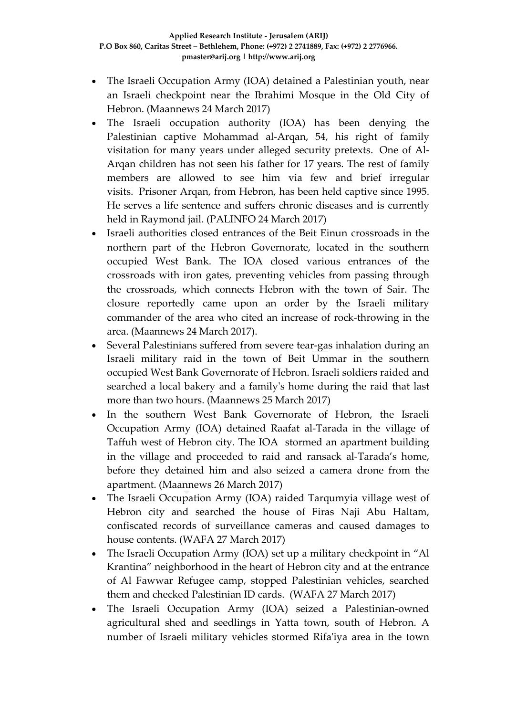- The Israeli Occupation Army (IOA) detained a Palestinian youth, near an Israeli checkpoint near the Ibrahimi Mosque in the Old City of Hebron. (Maannews 24 March 2017)
- The Israeli occupation authority (IOA) has been denying the Palestinian captive Mohammad al-Arqan, 54, his right of family visitation for many years under alleged security pretexts. One of Al-Arqan children has not seen his father for 17 years. The rest of family members are allowed to see him via few and brief irregular visits. Prisoner Arqan, from Hebron, has been held captive since 1995. He serves a life sentence and suffers chronic diseases and is currently held in Raymond jail. (PALINFO 24 March 2017)
- Israeli authorities closed entrances of the Beit Einun crossroads in the northern part of the Hebron Governorate, located in the southern occupied West Bank. The IOA closed various entrances of the crossroads with iron gates, preventing vehicles from passing through the crossroads, which connects Hebron with the town of Sair. The closure reportedly came upon an order by the Israeli military commander of the area who cited an increase of rock-throwing in the area. (Maannews 24 March 2017).
- Several Palestinians suffered from severe tear-gas inhalation during an Israeli military raid in the town of Beit Ummar in the southern occupied West Bank Governorate of Hebron. Israeli soldiers raided and searched a local bakery and a family's home during the raid that last more than two hours. (Maannews 25 March 2017)
- In the southern West Bank Governorate of Hebron, the Israeli Occupation Army (IOA) detained Raafat al-Tarada in the village of Taffuh west of Hebron city. The IOA stormed an apartment building in the village and proceeded to raid and ransack al-Tarada's home, before they detained him and also seized a camera drone from the apartment. (Maannews 26 March 2017)
- The Israeli Occupation Army (IOA) raided Tarqumyia village west of Hebron city and searched the house of Firas Naji Abu Haltam, confiscated records of surveillance cameras and caused damages to house contents. (WAFA 27 March 2017)
- The Israeli Occupation Army (IOA) set up a military checkpoint in "Al Krantina" neighborhood in the heart of Hebron city and at the entrance of Al Fawwar Refugee camp, stopped Palestinian vehicles, searched them and checked Palestinian ID cards. (WAFA 27 March 2017)
- The Israeli Occupation Army (IOA) seized a Palestinian-owned agricultural shed and seedlings in Yatta town, south of Hebron. A number of Israeli military vehicles stormed Rifa'iya area in the town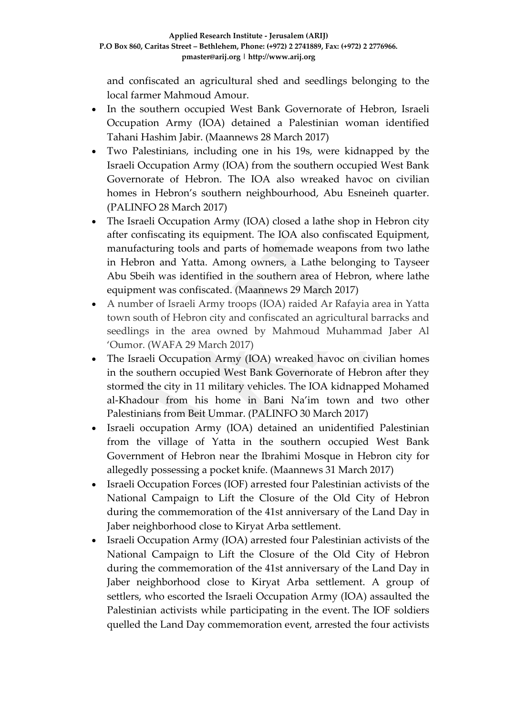and confiscated an agricultural shed and seedlings belonging to the local farmer Mahmoud Amour.

- In the southern occupied West Bank Governorate of Hebron, Israeli Occupation Army (IOA) detained a Palestinian woman identified Tahani Hashim Jabir. (Maannews 28 March 2017)
- Two Palestinians, including one in his 19s, were kidnapped by the Israeli Occupation Army (IOA) from the southern occupied West Bank Governorate of Hebron. The IOA also wreaked havoc on civilian homes in Hebron's southern neighbourhood, Abu Esneineh quarter. (PALINFO 28 March 2017)
- The Israeli Occupation Army (IOA) closed a lathe shop in Hebron city after confiscating its equipment. The IOA also confiscated Equipment, manufacturing tools and parts of homemade weapons from two lathe in Hebron and Yatta. Among owners, a Lathe belonging to Tayseer Abu Sbeih was identified in the southern area of Hebron, where lathe equipment was confiscated. (Maannews 29 March 2017)
- A number of Israeli Army troops (IOA) raided Ar Rafayia area in Yatta town south of Hebron city and confiscated an agricultural barracks and seedlings in the area owned by Mahmoud Muhammad Jaber Al 'Oumor. (WAFA 29 March 2017)
- The Israeli Occupation Army (IOA) wreaked havoc on civilian homes in the southern occupied West Bank Governorate of Hebron after they stormed the city in 11 military vehicles. The IOA kidnapped Mohamed al-Khadour from his home in Bani Na'im town and two other Palestinians from Beit Ummar. (PALINFO 30 March 2017)
- Israeli occupation Army (IOA) detained an unidentified Palestinian from the village of Yatta in the southern occupied West Bank Government of Hebron near the Ibrahimi Mosque in Hebron city for allegedly possessing a pocket knife. (Maannews 31 March 2017)
- Israeli Occupation Forces (IOF) arrested four Palestinian activists of the National Campaign to Lift the Closure of the Old City of Hebron during the commemoration of the 41st anniversary of the Land Day in Jaber neighborhood close to Kiryat Arba settlement.
- Israeli Occupation Army (IOA) arrested four Palestinian activists of the National Campaign to Lift the Closure of the Old City of Hebron during the commemoration of the 41st anniversary of the Land Day in Jaber neighborhood close to Kiryat Arba settlement. A group of settlers, who escorted the Israeli Occupation Army (IOA) assaulted the Palestinian activists while participating in the event. The IOF soldiers quelled the Land Day commemoration event, arrested the four activists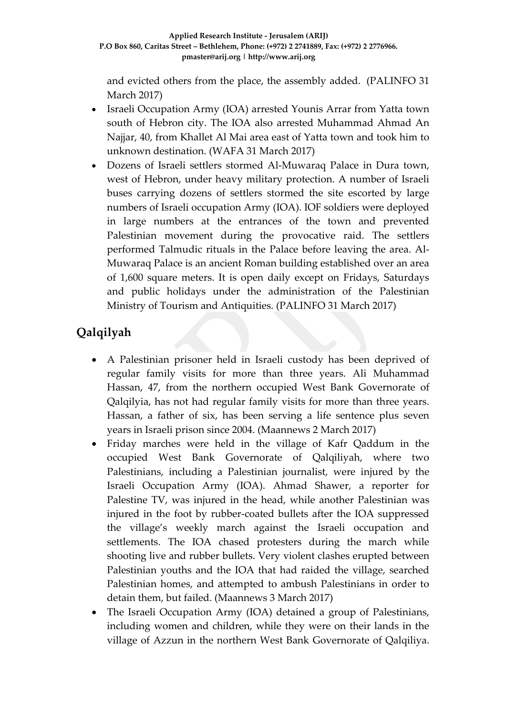and evicted others from the place, the assembly added. (PALINFO 31 March 2017)

- Israeli Occupation Army (IOA) arrested Younis Arrar from Yatta town south of Hebron city. The IOA also arrested Muhammad Ahmad An Najjar, 40, from Khallet Al Mai area east of Yatta town and took him to unknown destination. (WAFA 31 March 2017)
- Dozens of Israeli settlers stormed Al-Muwaraq Palace in Dura town, west of Hebron, under heavy military protection. A number of Israeli buses carrying dozens of settlers stormed the site escorted by large numbers of Israeli occupation Army (IOA). IOF soldiers were deployed in large numbers at the entrances of the town and prevented Palestinian movement during the provocative raid. The settlers performed Talmudic rituals in the Palace before leaving the area. Al-Muwaraq Palace is an ancient Roman building established over an area of 1,600 square meters. It is open daily except on Fridays, Saturdays and public holidays under the administration of the Palestinian Ministry of Tourism and Antiquities. (PALINFO 31 March 2017)

# **Qalqilyah**

- A Palestinian prisoner held in Israeli custody has been deprived of regular family visits for more than three years. Ali Muhammad Hassan, 47, from the northern occupied West Bank Governorate of Qalqilyia, has not had regular family visits for more than three years. Hassan, a father of six, has been serving a life sentence plus seven years in Israeli prison since 2004. (Maannews 2 March 2017)
- Friday marches were held in the village of Kafr Qaddum in the occupied West Bank Governorate of Qalqiliyah, where two Palestinians, including a Palestinian journalist, were injured by the Israeli Occupation Army (IOA). Ahmad Shawer, a reporter for Palestine TV, was injured in the head, while another Palestinian was injured in the foot by rubber-coated bullets after the IOA suppressed the village's weekly march against the Israeli occupation and settlements. The IOA chased protesters during the march while shooting live and rubber bullets. Very violent clashes erupted between Palestinian youths and the IOA that had raided the village, searched Palestinian homes, and attempted to ambush Palestinians in order to detain them, but failed. (Maannews 3 March 2017)
- The Israeli Occupation Army (IOA) detained a group of Palestinians, including women and children, while they were on their lands in the village of Azzun in the northern West Bank Governorate of Qalqiliya.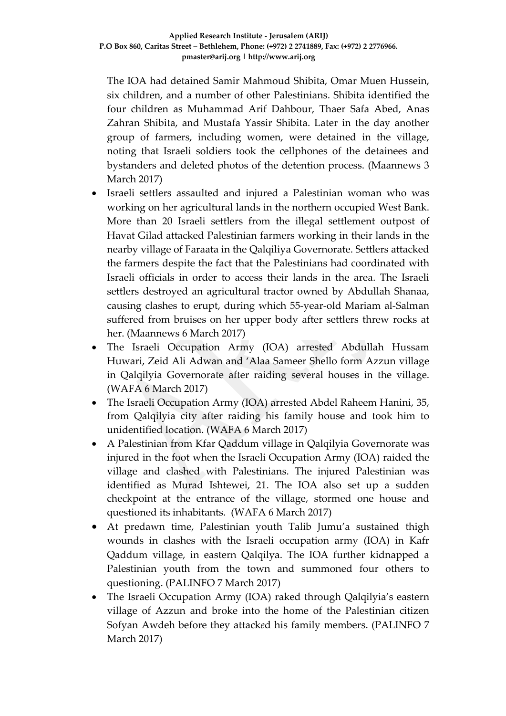The IOA had detained Samir Mahmoud Shibita, Omar Muen Hussein, six children, and a number of other Palestinians. Shibita identified the four children as Muhammad Arif Dahbour, Thaer Safa Abed, Anas Zahran Shibita, and Mustafa Yassir Shibita. Later in the day another group of farmers, including women, were detained in the village, noting that Israeli soldiers took the cellphones of the detainees and bystanders and deleted photos of the detention process. (Maannews 3 March 2017)

- Israeli settlers assaulted and injured a Palestinian woman who was working on her agricultural lands in the northern occupied West Bank. More than 20 Israeli settlers from the illegal settlement outpost of Havat Gilad attacked Palestinian farmers working in their lands in the nearby village of Faraata in the Qalqiliya Governorate. Settlers attacked the farmers despite the fact that the Palestinians had coordinated with Israeli officials in order to access their lands in the area. The Israeli settlers destroyed an agricultural tractor owned by Abdullah Shanaa, causing clashes to erupt, during which 55-year-old Mariam al-Salman suffered from bruises on her upper body after settlers threw rocks at her. (Maannews 6 March 2017)
- The Israeli Occupation Army (IOA) arrested Abdullah Hussam Huwari, Zeid Ali Adwan and 'Alaa Sameer Shello form Azzun village in Qalqilyia Governorate after raiding several houses in the village. (WAFA 6 March 2017)
- The Israeli Occupation Army (IOA) arrested Abdel Raheem Hanini, 35, from Qalqilyia city after raiding his family house and took him to unidentified location. (WAFA 6 March 2017)
- A Palestinian from Kfar Qaddum village in Qalqilyia Governorate was injured in the foot when the Israeli Occupation Army (IOA) raided the village and clashed with Palestinians. The injured Palestinian was identified as Murad Ishtewei, 21. The IOA also set up a sudden checkpoint at the entrance of the village, stormed one house and questioned its inhabitants. (WAFA 6 March 2017)
- At predawn time, Palestinian youth Talib Jumu'a sustained thigh wounds in clashes with the Israeli occupation army (IOA) in Kafr Qaddum village, in eastern Qalqilya. The IOA further kidnapped a Palestinian youth from the town and summoned four others to questioning. (PALINFO 7 March 2017)
- The Israeli Occupation Army (IOA) raked through Qalqilyia's eastern village of Azzun and broke into the home of the Palestinian citizen Sofyan Awdeh before they attack*e*d his family members. (PALINFO 7 March 2017)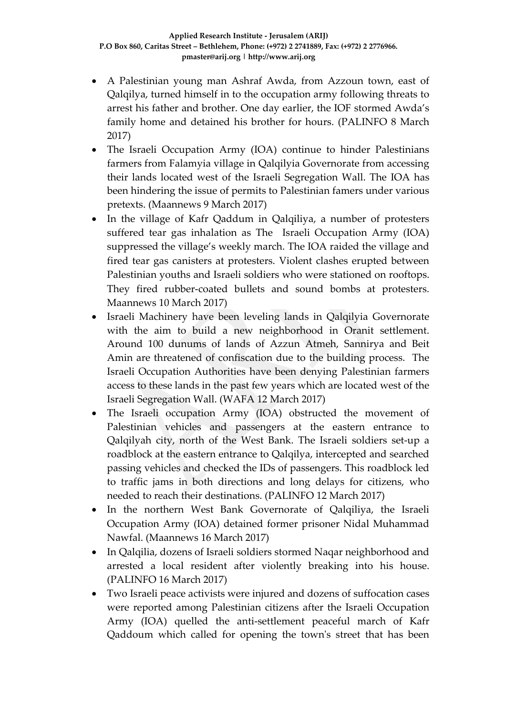- A Palestinian young man Ashraf Awda, from Azzoun town, east of Qalqilya, turned himself in to the occupation army following threats to arrest his father and brother. One day earlier, the IOF stormed Awda's family home and detained his brother for hours. (PALINFO 8 March 2017)
- The Israeli Occupation Army (IOA) continue to hinder Palestinians farmers from Falamyia village in Qalqilyia Governorate from accessing their lands located west of the Israeli Segregation Wall. The IOA has been hindering the issue of permits to Palestinian famers under various pretexts. (Maannews 9 March 2017)
- In the village of Kafr Qaddum in Qalqiliya, a number of protesters suffered tear gas inhalation as The Israeli Occupation Army (IOA) suppressed the village's weekly march. The IOA raided the village and fired tear gas canisters at protesters. Violent clashes erupted between Palestinian youths and Israeli soldiers who were stationed on rooftops. They fired rubber-coated bullets and sound bombs at protesters. Maannews 10 March 2017)
- Israeli Machinery have been leveling lands in Qalqilyia Governorate with the aim to build a new neighborhood in Oranit settlement. Around 100 dunums of lands of Azzun Atmeh, Sannirya and Beit Amin are threatened of confiscation due to the building process. The Israeli Occupation Authorities have been denying Palestinian farmers access to these lands in the past few years which are located west of the Israeli Segregation Wall. (WAFA 12 March 2017)
- The Israeli occupation Army (IOA) obstructed the movement of Palestinian vehicles and passengers at the eastern entrance to Qalqilyah city, north of the West Bank. The Israeli soldiers set-up a roadblock at the eastern entrance to Qalqilya, intercepted and searched passing vehicles and checked the IDs of passengers. This roadblock led to traffic jams in both directions and long delays for citizens, who needed to reach their destinations. (PALINFO 12 March 2017)
- In the northern West Bank Governorate of Qalqiliya, the Israeli Occupation Army (IOA) detained former prisoner Nidal Muhammad Nawfal. (Maannews 16 March 2017)
- In Qalqilia, dozens of Israeli soldiers stormed Naqar neighborhood and arrested a local resident after violently breaking into his house. (PALINFO 16 March 2017)
- Two Israeli peace activists were injured and dozens of suffocation cases were reported among Palestinian citizens after the Israeli Occupation Army (IOA) quelled the anti-settlement peaceful march of Kafr Qaddoum which called for opening the town's street that has been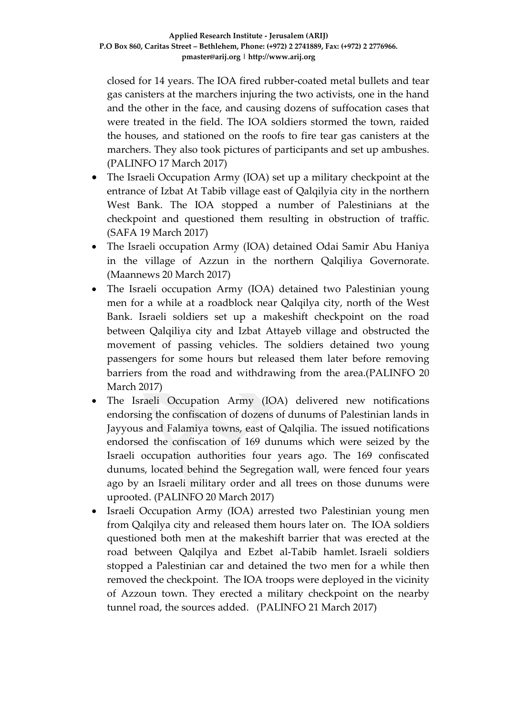closed for 14 years. The IOA fired rubber-coated metal bullets and tear gas canisters at the marchers injuring the two activists, one in the hand and the other in the face, and causing dozens of suffocation cases that were treated in the field. The IOA soldiers stormed the town, raided the houses, and stationed on the roofs to fire tear gas canisters at the marchers. They also took pictures of participants and set up ambushes. (PALINFO 17 March 2017)

- The Israeli Occupation Army (IOA) set up a military checkpoint at the entrance of Izbat At Tabib village east of Qalqilyia city in the northern West Bank. The IOA stopped a number of Palestinians at the checkpoint and questioned them resulting in obstruction of traffic. (SAFA 19 March 2017)
- The Israeli occupation Army (IOA) detained Odai Samir Abu Haniya in the village of Azzun in the northern Qalqiliya Governorate. (Maannews 20 March 2017)
- The Israeli occupation Army (IOA) detained two Palestinian young men for a while at a roadblock near Qalqilya city, north of the West Bank. Israeli soldiers set up a makeshift checkpoint on the road between Qalqiliya city and Izbat Attayeb village and obstructed the movement of passing vehicles. The soldiers detained two young passengers for some hours but released them later before removing barriers from the road and withdrawing from the area.(PALINFO 20 March 2017)
- The Israeli Occupation Army (IOA) delivered new notifications endorsing the confiscation of dozens of dunums of Palestinian lands in Jayyous and Falamiya towns, east of Qalqilia. The issued notifications endorsed the confiscation of 169 dunums which were seized by the Israeli occupation authorities four years ago. The 169 confiscated dunums, located behind the Segregation wall, were fenced four years ago by an Israeli military order and all trees on those dunums were uprooted. (PALINFO 20 March 2017)
- Israeli Occupation Army (IOA) arrested two Palestinian young men from Qalqilya city and released them hours later on. The IOA soldiers questioned both men at the makeshift barrier that was erected at the road between Qalqilya and Ezbet al-Tabib hamlet. Israeli soldiers stopped a Palestinian car and detained the two men for a while then removed the checkpoint. The IOA troops were deployed in the vicinity of Azzoun town. They erected a military checkpoint on the nearby tunnel road, the sources added. (PALINFO 21 March 2017)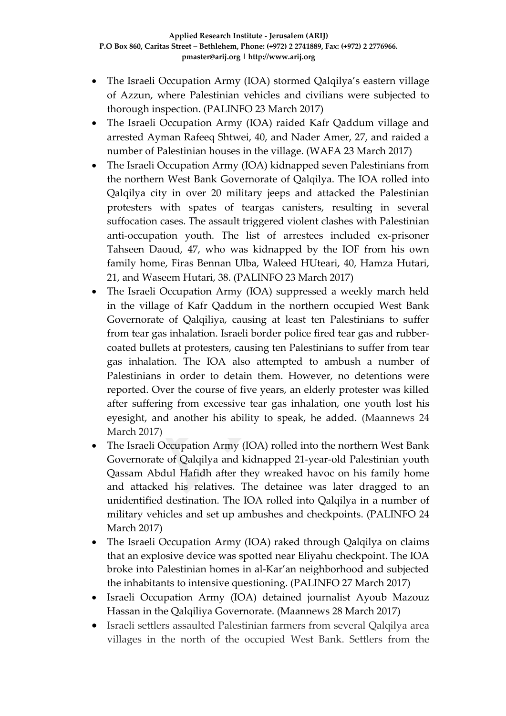- The Israeli Occupation Army (IOA) stormed Qalqilya's eastern village of Azzun, where Palestinian vehicles and civilians were subjected to thorough inspection. (PALINFO 23 March 2017)
- The Israeli Occupation Army (IOA) raided Kafr Qaddum village and arrested Ayman Rafeeq Shtwei, 40, and Nader Amer, 27, and raided a number of Palestinian houses in the village. (WAFA 23 March 2017)
- The Israeli Occupation Army (IOA) kidnapped seven Palestinians from the northern West Bank Governorate of Qalqilya. The IOA rolled into Qalqilya city in over 20 military jeeps and attacked the Palestinian protesters with spates of teargas canisters, resulting in several suffocation cases. The assault triggered violent clashes with Palestinian anti-occupation youth. The list of arrestees included ex-prisoner Tahseen Daoud, 47, who was kidnapped by the IOF from his own family home, Firas Bennan Ulba, Waleed HUteari, 40, Hamza Hutari, 21, and Waseem Hutari, 38. (PALINFO 23 March 2017)
- The Israeli Occupation Army (IOA) suppressed a weekly march held in the village of Kafr Qaddum in the northern occupied West Bank Governorate of Qalqiliya, causing at least ten Palestinians to suffer from tear gas inhalation. Israeli border police fired tear gas and rubbercoated bullets at protesters, causing ten Palestinians to suffer from tear gas inhalation. The IOA also attempted to ambush a number of Palestinians in order to detain them. However, no detentions were reported. Over the course of five years, an elderly protester was killed after suffering from excessive tear gas inhalation, one youth lost his eyesight, and another his ability to speak, he added. (Maannews 24 March 2017)
- The Israeli Occupation Army (IOA) rolled into the northern West Bank Governorate of Qalqilya and kidnapped 21-year-old Palestinian youth Qassam Abdul Hafidh after they wreaked havoc on his family home and attacked his relatives. The detainee was later dragged to an unidentified destination. The IOA rolled into Qalqilya in a number of military vehicles and set up ambushes and checkpoints. (PALINFO 24 March 2017)
- The Israeli Occupation Army (IOA) raked through Qalqilya on claims that an explosive device was spotted near Eliyahu checkpoint. The IOA broke into Palestinian homes in al-Kar'an neighborhood and subjected the inhabitants to intensive questioning. (PALINFO 27 March 2017)
- Israeli Occupation Army (IOA) detained journalist Ayoub Mazouz Hassan in the Qalqiliya Governorate. (Maannews 28 March 2017)
- Israeli settlers assaulted Palestinian farmers from several Qalqilya area villages in the north of the occupied West Bank. Settlers from the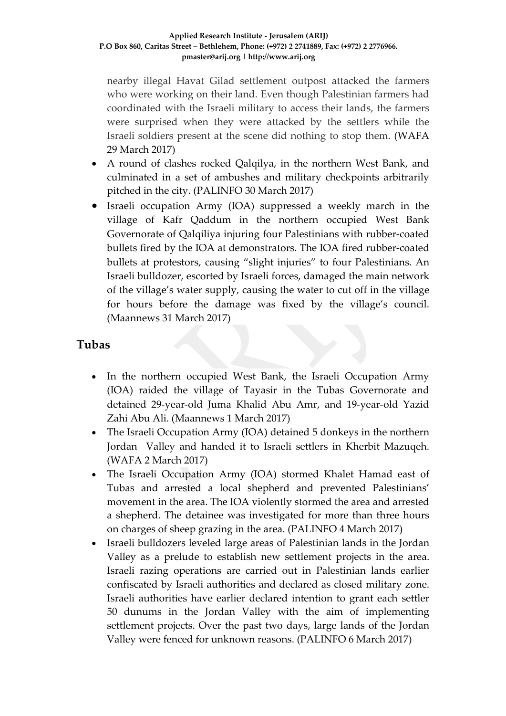nearby illegal Havat Gilad settlement outpost attacked the farmers who were working on their land. Even though Palestinian farmers had coordinated with the Israeli military to access their lands, the farmers were surprised when they were attacked by the settlers while the Israeli soldiers present at the scene did nothing to stop them. (WAFA 29 March 2017)

- A round of clashes rocked Qalqilya, in the northern West Bank, and culminated in a set of ambushes and military checkpoints arbitrarily pitched in the city. (PALINFO 30 March 2017)
- Israeli occupation Army (IOA) suppressed a weekly march in the village of Kafr Qaddum in the northern occupied West Bank Governorate of Qalqiliya injuring four Palestinians with rubber-coated bullets fired by the IOA at demonstrators. The IOA fired rubber-coated bullets at protestors, causing "slight injuries" to four Palestinians. An Israeli bulldozer, escorted by Israeli forces, damaged the main network of the village's water supply, causing the water to cut off in the village for hours before the damage was fixed by the village's council. (Maannews 31 March 2017)

#### **Tubas**

- In the northern occupied West Bank, the Israeli Occupation Army (IOA) raided the village of Tayasir in the Tubas Governorate and detained 29-year-old Juma Khalid Abu Amr, and 19-year-old Yazid Zahi Abu Ali. (Maannews 1 March 2017)
- The Israeli Occupation Army (IOA) detained 5 donkeys in the northern Jordan Valley and handed it to Israeli settlers in Kherbit Mazuqeh. (WAFA 2 March 2017)
- The Israeli Occupation Army (IOA) stormed Khalet Hamad east of Tubas and arrested a local shepherd and prevented Palestinians' movement in the area. The IOA violently stormed the area and arrested a shepherd. The detainee was investigated for more than three hours on charges of sheep grazing in the area. (PALINFO 4 March 2017)
- Israeli bulldozers leveled large areas of Palestinian lands in the Jordan Valley as a prelude to establish new settlement projects in the area. Israeli razing operations are carried out in Palestinian lands earlier confiscated by Israeli authorities and declared as closed military zone. Israeli authorities have earlier declared intention to grant each settler 50 dunums in the Jordan Valley with the aim of implementing settlement projects. Over the past two days, large lands of the Jordan Valley were fenced for unknown reasons. (PALINFO 6 March 2017)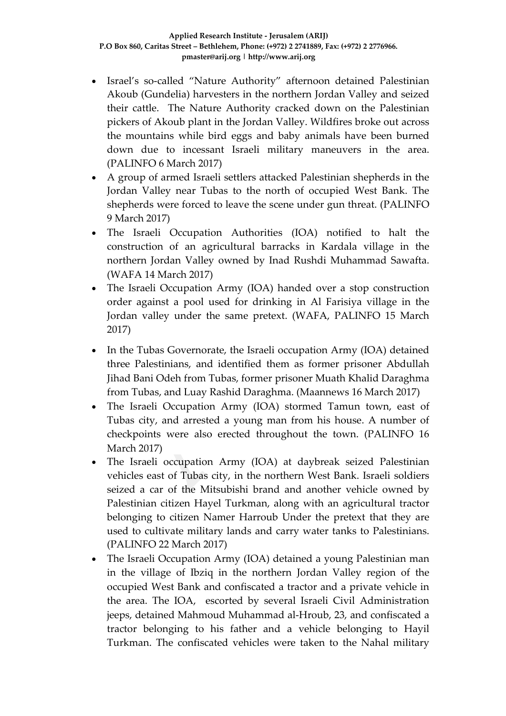- Israel's so-called "Nature Authority" afternoon detained Palestinian Akoub (Gundelia) harvesters in the northern Jordan Valley and seized their cattle. The Nature Authority cracked down on the Palestinian pickers of Akoub plant in the Jordan Valley. Wildfires broke out across the mountains while bird eggs and baby animals have been burned down due to incessant Israeli military maneuvers in the area. (PALINFO 6 March 2017)
- A group of armed Israeli settlers attacked Palestinian shepherds in the Jordan Valley near Tubas to the north of occupied West Bank. The shepherds were forced to leave the scene under gun threat. (PALINFO 9 March 2017)
- The Israeli Occupation Authorities (IOA) notified to halt the construction of an agricultural barracks in Kardala village in the northern Jordan Valley owned by Inad Rushdi Muhammad Sawafta. (WAFA 14 March 2017)
- The Israeli Occupation Army (IOA) handed over a stop construction order against a pool used for drinking in Al Farisiya village in the Jordan valley under the same pretext. (WAFA, PALINFO 15 March 2017)
- In the Tubas Governorate, the Israeli occupation Army (IOA) detained three Palestinians, and identified them as former prisoner Abdullah Jihad Bani Odeh from Tubas, former prisoner Muath Khalid Daraghma from Tubas, and Luay Rashid Daraghma. (Maannews 16 March 2017)
- The Israeli Occupation Army (IOA) stormed Tamun town, east of Tubas city, and arrested a young man from his house. A number of checkpoints were also erected throughout the town. (PALINFO 16 March 2017)
- The Israeli occupation Army (IOA) at daybreak seized Palestinian vehicles east of Tubas city, in the northern West Bank. Israeli soldiers seized a car of the Mitsubishi brand and another vehicle owned by Palestinian citizen Hayel Turkman, along with an agricultural tractor belonging to citizen Namer Harroub Under the pretext that they are used to cultivate military lands and carry water tanks to Palestinians. (PALINFO 22 March 2017)
- The Israeli Occupation Army (IOA) detained a young Palestinian man in the village of Ibziq in the northern Jordan Valley region of the occupied West Bank and confiscated a tractor and a private vehicle in the area. The IOA, escorted by several Israeli Civil Administration jeeps, detained Mahmoud Muhammad al-Hroub, 23, and confiscated a tractor belonging to his father and a vehicle belonging to Hayil Turkman. The confiscated vehicles were taken to the Nahal military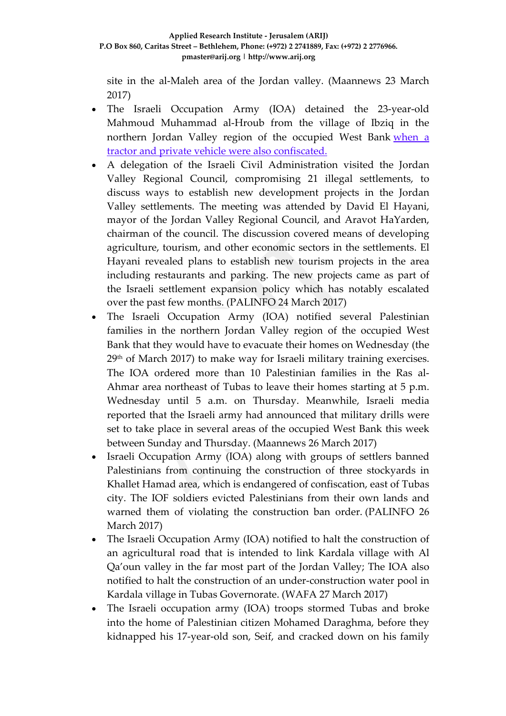site in the al-Maleh area of the Jordan valley. (Maannews 23 March 2017)

- The Israeli Occupation Army (IOA) detained the 23-year-old Mahmoud Muhammad al-Hroub from the village of Ibziq in the northern Jordan Valley region of the occupied West Bank [when](http://www.maannews.com/Content.aspx?id=776057) a tractor and private vehicle were also [confiscated.](http://www.maannews.com/Content.aspx?id=776057)
- A delegation of the Israeli Civil Administration visited the Jordan Valley Regional Council, compromising 21 illegal settlements, to discuss ways to establish new development projects in the Jordan Valley settlements. The meeting was attended by David El Hayani, mayor of the Jordan Valley Regional Council, and Aravot HaYarden, chairman of the council. The discussion covered means of developing agriculture, tourism, and other economic sectors in the settlements. El Hayani revealed plans to establish new tourism projects in the area including restaurants and parking. The new projects came as part of the Israeli settlement expansion policy which has notably escalated over the past few months. (PALINFO 24 March 2017)
- The Israeli Occupation Army (IOA) notified several Palestinian families in the northern Jordan Valley region of the occupied West Bank that they would have to evacuate their homes on Wednesday (the 29th of March 2017) to make way for Israeli military training exercises. The IOA ordered more than 10 Palestinian families in the Ras al-Ahmar area northeast of Tubas to leave their homes starting at 5 p.m. Wednesday until 5 a.m. on Thursday. Meanwhile, Israeli media reported that the Israeli army had announced that military drills were set to take place in several areas of the occupied West Bank this week between Sunday and Thursday. (Maannews 26 March 2017)
- Israeli Occupation Army (IOA) along with groups of settlers banned Palestinians from continuing the construction of three stockyards in Khallet Hamad area, which is endangered of confiscation, east of Tubas city. The IOF soldiers evicted Palestinians from their own lands and warned them of violating the construction ban order. (PALINFO 26 March 2017)
- The Israeli Occupation Army (IOA) notified to halt the construction of an agricultural road that is intended to link Kardala village with Al Qa'oun valley in the far most part of the Jordan Valley; The IOA also notified to halt the construction of an under-construction water pool in Kardala village in Tubas Governorate. (WAFA 27 March 2017)
- The Israeli occupation army (IOA) troops stormed Tubas and broke into the home of Palestinian citizen Mohamed Daraghma, before they kidnapped his 17-year-old son, Seif, and cracked down on his family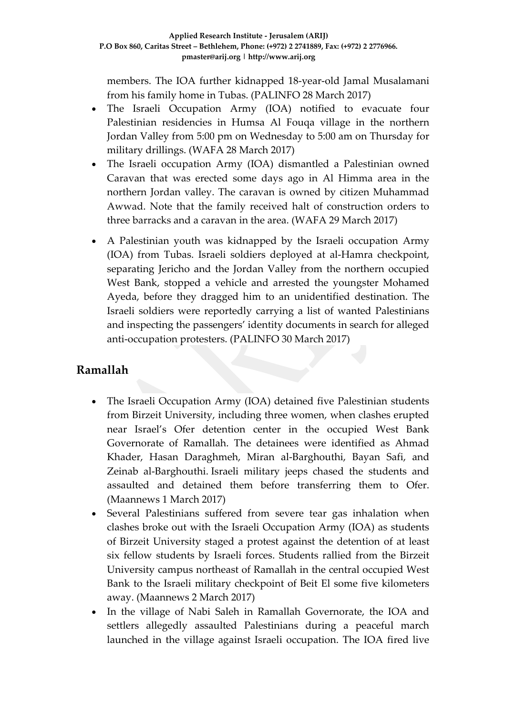members. The IOA further kidnapped 18-year-old Jamal Musalamani from his family home in Tubas. (PALINFO 28 March 2017)

- The Israeli Occupation Army (IOA) notified to evacuate four Palestinian residencies in Humsa Al Fouqa village in the northern Jordan Valley from 5:00 pm on Wednesday to 5:00 am on Thursday for military drillings. (WAFA 28 March 2017)
- The Israeli occupation Army (IOA) dismantled a Palestinian owned Caravan that was erected some days ago in Al Himma area in the northern Jordan valley. The caravan is owned by citizen Muhammad Awwad. Note that the family received halt of construction orders to three barracks and a caravan in the area. (WAFA 29 March 2017)
- A Palestinian youth was kidnapped by the Israeli occupation Army (IOA) from Tubas. Israeli soldiers deployed at al-Hamra checkpoint, separating Jericho and the Jordan Valley from the northern occupied West Bank, stopped a vehicle and arrested the youngster Mohamed Ayeda, before they dragged him to an unidentified destination. The Israeli soldiers were reportedly carrying a list of wanted Palestinians and inspecting the passengers' identity documents in search for alleged anti-occupation protesters. (PALINFO 30 March 2017)

#### **Ramallah**

- The Israeli Occupation Army (IOA) detained five Palestinian students from Birzeit University, including three women, when clashes erupted near Israel's Ofer detention center in the occupied West Bank Governorate of Ramallah. The detainees were identified as Ahmad Khader, Hasan Daraghmeh, Miran al-Barghouthi, Bayan Safi, and Zeinab al-Barghouthi. Israeli military jeeps chased the students and assaulted and detained them before transferring them to Ofer. (Maannews 1 March 2017)
- Several Palestinians suffered from severe tear gas inhalation when clashes broke out with the Israeli Occupation Army (IOA) as students of Birzeit University staged a protest against the detention of at least six fellow students by Israeli forces. Students rallied from the Birzeit University campus northeast of Ramallah in the central occupied West Bank to the Israeli military checkpoint of Beit El some five kilometers away. (Maannews 2 March 2017)
- In the village of Nabi Saleh in Ramallah Governorate, the IOA and settlers allegedly assaulted Palestinians during a peaceful march launched in the village against Israeli occupation. The IOA fired live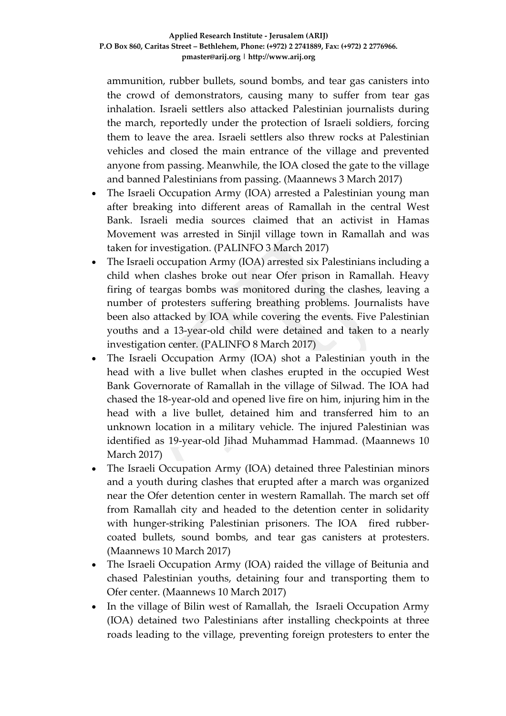ammunition, rubber bullets, sound bombs, and tear gas canisters into the crowd of demonstrators, causing many to suffer from tear gas inhalation. Israeli settlers also attacked Palestinian journalists during the march, reportedly under the protection of Israeli soldiers, forcing them to leave the area. Israeli settlers also threw rocks at Palestinian vehicles and closed the main entrance of the village and prevented anyone from passing. Meanwhile, the IOA closed the gate to the village and banned Palestinians from passing. (Maannews 3 March 2017)

- The Israeli Occupation Army (IOA) arrested a Palestinian young man after breaking into different areas of Ramallah in the central West Bank. Israeli media sources claimed that an activist in Hamas Movement was arrested in Sinjil village town in Ramallah and was taken for investigation. (PALINFO 3 March 2017)
- The Israeli occupation Army (IOA) arrested six Palestinians including a child when clashes broke out near Ofer prison in Ramallah. Heavy firing of teargas bombs was monitored during the clashes, leaving a number of protesters suffering breathing problems. Journalists have been also attacked by IOA while covering the events. Five Palestinian youths and a 13-year-old child were detained and taken to a nearly investigation center. (PALINFO 8 March 2017)
- The Israeli Occupation Army (IOA) shot a Palestinian youth in the head with a live bullet when clashes erupted in the occupied West Bank Governorate of Ramallah in the village of Silwad. The IOA had chased the 18-year-old and opened live fire on him, injuring him in the head with a live bullet, detained him and transferred him to an unknown location in a military vehicle. The injured Palestinian was identified as 19-year-old Jihad Muhammad Hammad. (Maannews 10 March 2017)
- The Israeli Occupation Army (IOA) detained three Palestinian minors and a youth during clashes that erupted after a march was organized near the Ofer detention center in western Ramallah. The march set off from Ramallah city and headed to the detention center in solidarity with hunger-striking Palestinian prisoners. The IOA fired rubbercoated bullets, sound bombs, and tear gas canisters at protesters. (Maannews 10 March 2017)
- The Israeli Occupation Army (IOA) raided the village of Beitunia and chased Palestinian youths, detaining four and transporting them to Ofer center. (Maannews 10 March 2017)
- In the village of Bilin west of Ramallah, the Israeli Occupation Army (IOA) detained two Palestinians after installing checkpoints at three roads leading to the village, preventing foreign protesters to enter the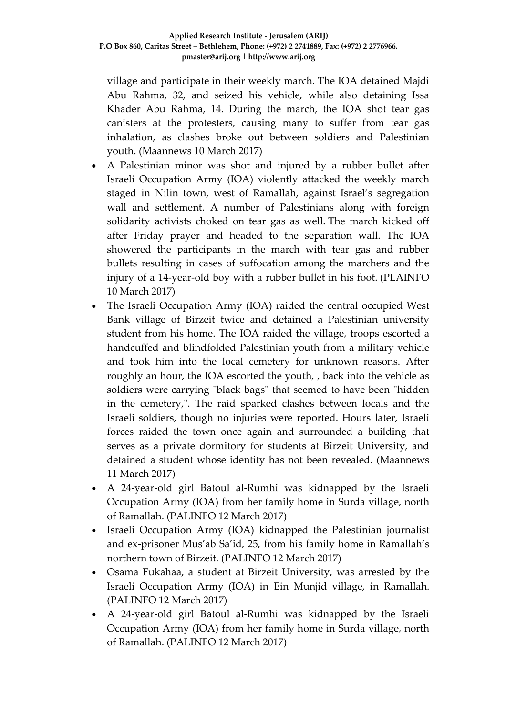village and participate in their weekly march. The IOA detained Majdi Abu Rahma, 32, and seized his vehicle, while also detaining Issa Khader Abu Rahma, 14. During the march, the IOA shot tear gas canisters at the protesters, causing many to suffer from tear gas inhalation, as clashes broke out between soldiers and Palestinian youth. (Maannews 10 March 2017)

- A Palestinian minor was shot and injured by a rubber bullet after Israeli Occupation Army (IOA) violently attacked the weekly march staged in Nilin town, west of Ramallah, against Israel's segregation wall and settlement. A number of Palestinians along with foreign solidarity activists choked on tear gas as well. The march kicked off after Friday prayer and headed to the separation wall. The IOA showered the participants in the march with tear gas and rubber bullets resulting in cases of suffocation among the marchers and the injury of a 14-year-old boy with a rubber bullet in his foot. (PLAINFO 10 March 2017)
- The Israeli Occupation Army (IOA) raided the central occupied West Bank village of Birzeit twice and detained a Palestinian university student from his home. The IOA raided the village, troops escorted a handcuffed and blindfolded Palestinian youth from a military vehicle and took him into the local cemetery for unknown reasons. After roughly an hour, the IOA escorted the youth, , back into the vehicle as soldiers were carrying "black bags" that seemed to have been "hidden in the cemetery,". The raid sparked clashes between locals and the Israeli soldiers, though no injuries were reported. Hours later, Israeli forces raided the town once again and surrounded a building that serves as a private dormitory for students at Birzeit University, and detained a student whose identity has not been revealed. (Maannews 11 March 2017)
- A 24-year-old girl Batoul al-Rumhi was kidnapped by the Israeli Occupation Army (IOA) from her family home in Surda village, north of Ramallah. (PALINFO 12 March 2017)
- Israeli Occupation Army (IOA) kidnapped the Palestinian journalist and ex-prisoner Mus'ab Sa'id, 25, from his family home in Ramallah's northern town of Birzeit. (PALINFO 12 March 2017)
- Osama Fukahaa, a student at Birzeit University, was arrested by the Israeli Occupation Army (IOA) in Ein Munjid village, in Ramallah. (PALINFO 12 March 2017)
- A 24-year-old girl Batoul al-Rumhi was kidnapped by the Israeli Occupation Army (IOA) from her family home in Surda village, north of Ramallah. (PALINFO 12 March 2017)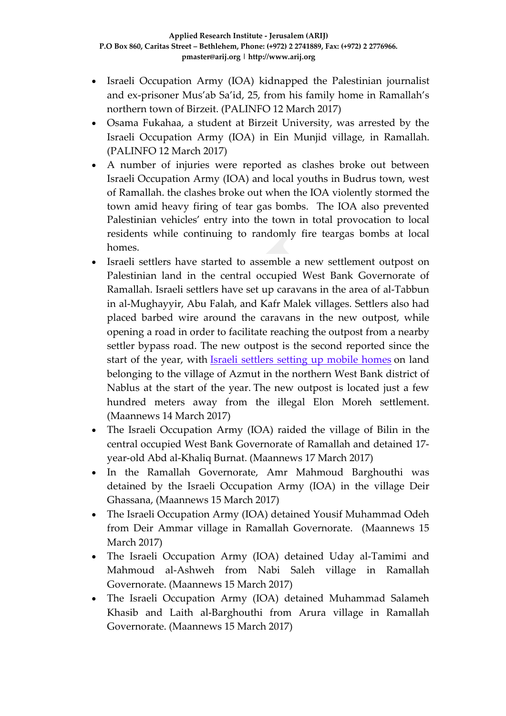- Israeli Occupation Army (IOA) kidnapped the Palestinian journalist and ex-prisoner Mus'ab Sa'id, 25, from his family home in Ramallah's northern town of Birzeit. (PALINFO 12 March 2017)
- Osama Fukahaa, a student at Birzeit University, was arrested by the Israeli Occupation Army (IOA) in Ein Munjid village, in Ramallah. (PALINFO 12 March 2017)
- A number of injuries were reported as clashes broke out between Israeli Occupation Army (IOA) and local youths in Budrus town, west of Ramallah. the clashes broke out when the IOA violently stormed the town amid heavy firing of tear gas bombs. The IOA also prevented Palestinian vehicles' entry into the town in total provocation to local residents while continuing to randomly fire teargas bombs at local homes.
- Israeli settlers have started to assemble a new settlement outpost on Palestinian land in the central occupied West Bank Governorate of Ramallah. Israeli settlers have set up caravans in the area of al-Tabbun in al-Mughayyir, Abu Falah, and Kafr Malek villages. Settlers also had placed barbed wire around the caravans in the new outpost, while opening a road in order to facilitate reaching the outpost from a nearby settler bypass road. The new outpost is the second reported since the start of the year, with Israeli [settlers](http://www.maannews.com/Content.aspx?id=774694) setting up mobile homes on land belonging to the village of Azmut in the northern West Bank district of Nablus at the start of the year. The new outpost is located just a few hundred meters away from the illegal Elon Moreh settlement. (Maannews 14 March 2017)
- The Israeli Occupation Army (IOA) raided the village of Bilin in the central occupied West Bank Governorate of Ramallah and detained 17 year-old Abd al-Khaliq Burnat. (Maannews 17 March 2017)
- In the Ramallah Governorate, Amr Mahmoud Barghouthi was detained by the Israeli Occupation Army (IOA) in the village Deir Ghassana, (Maannews 15 March 2017)
- The Israeli Occupation Army (IOA) detained Yousif Muhammad Odeh from Deir Ammar village in Ramallah Governorate. (Maannews 15 March 2017)
- The Israeli Occupation Army (IOA) detained Uday al-Tamimi and Mahmoud al-Ashweh from Nabi Saleh village in Ramallah Governorate. (Maannews 15 March 2017)
- The Israeli Occupation Army (IOA) detained Muhammad Salameh Khasib and Laith al-Barghouthi from Arura village in Ramallah Governorate. (Maannews 15 March 2017)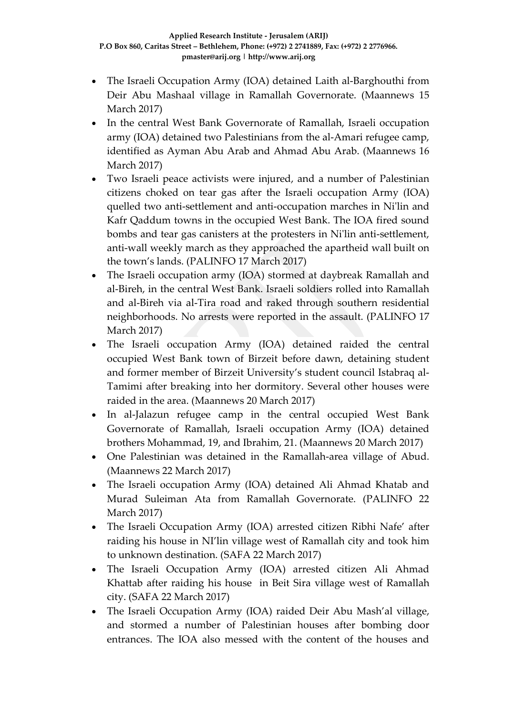- The Israeli Occupation Army (IOA) detained Laith al-Barghouthi from Deir Abu Mashaal village in Ramallah Governorate. (Maannews 15 March 2017)
- In the central West Bank Governorate of Ramallah, Israeli occupation army (IOA) detained two Palestinians from the al-Amari refugee camp, identified as Ayman Abu Arab and Ahmad Abu Arab. (Maannews 16 March 2017)
- Two Israeli peace activists were injured, and a number of Palestinian citizens choked on tear gas after the Israeli occupation Army (IOA) quelled two anti-settlement and anti-occupation marches in Ni'lin and Kafr Qaddum towns in the occupied West Bank. The IOA fired sound bombs and tear gas canisters at the protesters in Ni'lin anti-settlement, anti-wall weekly march as they approached the apartheid wall built on the town's lands. (PALINFO 17 March 2017)
- The Israeli occupation army (IOA) stormed at daybreak Ramallah and al-Bireh, in the central West Bank. Israeli soldiers rolled into Ramallah and al-Bireh via al-Tira road and raked through southern residential neighborhoods. No arrests were reported in the assault. (PALINFO 17 March 2017)
- The Israeli occupation Army (IOA) detained raided the central occupied West Bank town of Birzeit before dawn, detaining student and former member of Birzeit University's student council Istabraq al-Tamimi after breaking into her dormitory. Several other houses were raided in the area. (Maannews 20 March 2017)
- In al-Jalazun refugee camp in the central occupied West Bank Governorate of Ramallah, Israeli occupation Army (IOA) detained brothers Mohammad, 19, and Ibrahim, 21. (Maannews 20 March 2017)
- One Palestinian was detained in the Ramallah-area village of Abud. (Maannews 22 March 2017)
- The Israeli occupation Army (IOA) detained Ali Ahmad Khatab and Murad Suleiman Ata from Ramallah Governorate. (PALINFO 22 March 2017)
- The Israeli Occupation Army (IOA) arrested citizen Ribhi Nafe' after raiding his house in NI'lin village west of Ramallah city and took him to unknown destination. (SAFA 22 March 2017)
- The Israeli Occupation Army (IOA) arrested citizen Ali Ahmad Khattab after raiding his house in Beit Sira village west of Ramallah city. (SAFA 22 March 2017)
- The Israeli Occupation Army (IOA) raided Deir Abu Mash'al village, and stormed a number of Palestinian houses after bombing door entrances. The IOA also messed with the content of the houses and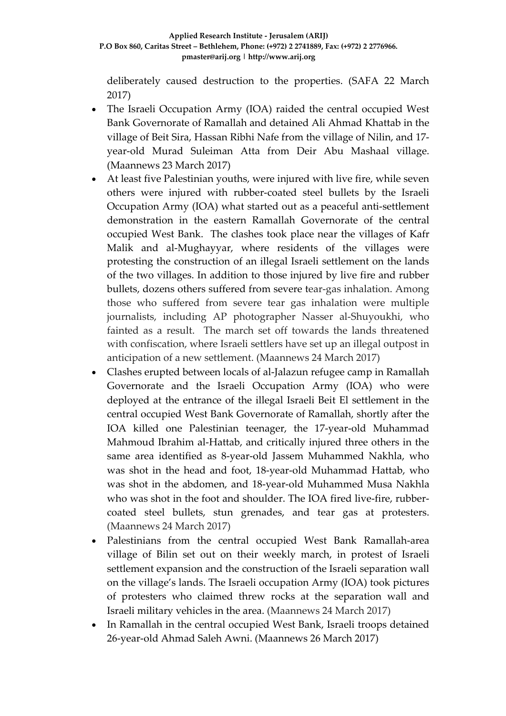deliberately caused destruction to the properties. (SAFA 22 March 2017)

- The Israeli Occupation Army (IOA) raided the central occupied West Bank Governorate of Ramallah and detained Ali Ahmad Khattab in the village of Beit Sira, Hassan Ribhi Nafe from the village of Nilin, and 17 year-old Murad Suleiman Atta from Deir Abu Mashaal village. (Maannews 23 March 2017)
- At least five Palestinian youths, were injured with live fire, while seven others were injured with rubber-coated steel bullets by the Israeli Occupation Army (IOA) what started out as a peaceful anti-settlement demonstration in the eastern Ramallah Governorate of the central occupied West Bank. The clashes took place near the villages of Kafr Malik and al-Mughayyar, where residents of the villages were protesting the construction of an illegal Israeli settlement on the lands of the two villages. In addition to those injured by live fire and rubber bullets, dozens others suffered from severe tear-gas inhalation. Among those who suffered from severe tear gas inhalation were multiple journalists, including AP photographer Nasser al-Shuyoukhi, who fainted as a result. The march set off towards the lands threatened with confiscation, where Israeli settlers have set up an illegal outpost in anticipation of a new settlement. (Maannews 24 March 2017)
- Clashes erupted between locals of al-Jalazun refugee camp in Ramallah Governorate and the Israeli Occupation Army (IOA) who were deployed at the entrance of the illegal Israeli Beit El settlement in the central occupied West Bank Governorate of Ramallah, shortly after the IOA killed one Palestinian teenager, the 17-year-old Muhammad Mahmoud Ibrahim al-Hattab, and critically injured three others in the same area identified as 8-year-old Jassem Muhammed Nakhla, who was shot in the head and foot, 18-year-old Muhammad Hattab, who was shot in the abdomen, and 18-year-old Muhammed Musa Nakhla who was shot in the foot and shoulder. The IOA fired live-fire, rubbercoated steel bullets, stun grenades, and tear gas at protesters. (Maannews 24 March 2017)
- Palestinians from the central occupied West Bank Ramallah-area village of Bilin set out on their weekly march, in protest of Israeli settlement expansion and the construction of the Israeli separation wall on the village's lands. The Israeli occupation Army (IOA) took pictures of protesters who claimed threw rocks at the separation wall and Israeli military vehicles in the area. (Maannews 24 March 2017)
- In Ramallah in the central occupied West Bank, Israeli troops detained 26-year-old Ahmad Saleh Awni. (Maannews 26 March 2017)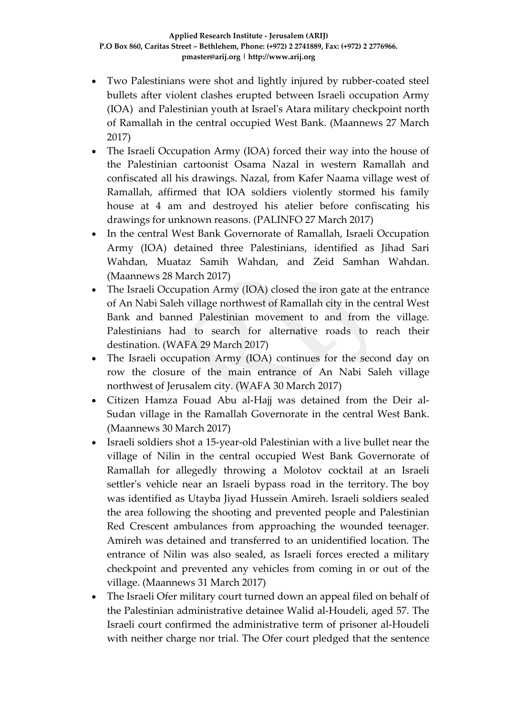- Two Palestinians were shot and lightly injured by rubber-coated steel bullets after violent clashes erupted between Israeli occupation Army (IOA) and Palestinian youth at Israel's Atara military checkpoint north of Ramallah in the central occupied West Bank. (Maannews 27 March 2017)
- The Israeli Occupation Army (IOA) forced their way into the house of the Palestinian cartoonist Osama Nazal in western Ramallah and confiscated all his drawings. Nazal, from Kafer Naama village west of Ramallah, affirmed that IOA soldiers violently stormed his family house at 4 am and destroyed his atelier before confiscating his drawings for unknown reasons. (PALINFO 27 March 2017)
- In the central West Bank Governorate of Ramallah, Israeli Occupation Army (IOA) detained three Palestinians, identified as Jihad Sari Wahdan, Muataz Samih Wahdan, and Zeid Samhan Wahdan. (Maannews 28 March 2017)
- The Israeli Occupation Army (IOA) closed the iron gate at the entrance of An Nabi Saleh village northwest of Ramallah city in the central West Bank and banned Palestinian movement to and from the village. Palestinians had to search for alternative roads to reach their destination. (WAFA 29 March 2017)
- The Israeli occupation Army (IOA) continues for the second day on row the closure of the main entrance of An Nabi Saleh village northwest of Jerusalem city. (WAFA 30 March 2017)
- Citizen Hamza Fouad Abu al-Hajj was detained from the Deir al-Sudan village in the Ramallah Governorate in the central West Bank. (Maannews 30 March 2017)
- Israeli soldiers shot a 15-year-old Palestinian with a live bullet near the village of Nilin in the central occupied West Bank Governorate of Ramallah for allegedly throwing a Molotov cocktail at an Israeli settler's vehicle near an Israeli bypass road in the territory. The boy was identified as Utayba Jiyad Hussein Amireh. Israeli soldiers sealed the area following the shooting and prevented people and Palestinian Red Crescent ambulances from approaching the wounded teenager. Amireh was detained and transferred to an unidentified location. The entrance of Nilin was also sealed, as Israeli forces erected a military checkpoint and prevented any vehicles from coming in or out of the village. (Maannews 31 March 2017)
- The Israeli Ofer military court turned down an appeal filed on behalf of the Palestinian administrative detainee Walid al-Houdeli, aged 57. The Israeli court confirmed the administrative term of prisoner al-Houdeli with neither charge nor trial. The Ofer court pledged that the sentence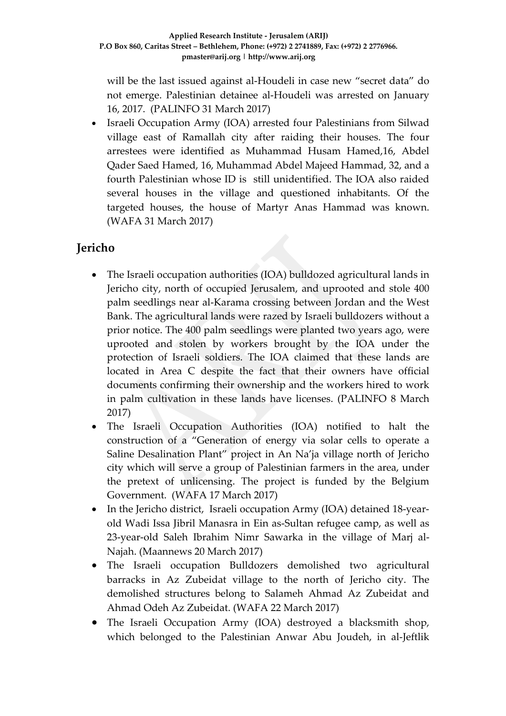will be the last issued against al-Houdeli in case new "secret data" do not emerge. Palestinian detainee al-Houdeli was arrested on January 16, 2017. (PALINFO 31 March 2017)

• Israeli Occupation Army (IOA) arrested four Palestinians from Silwad village east of Ramallah city after raiding their houses. The four arrestees were identified as Muhammad Husam Hamed,16, Abdel Qader Saed Hamed, 16, Muhammad Abdel Majeed Hammad, 32, and a fourth Palestinian whose ID is still unidentified. The IOA also raided several houses in the village and questioned inhabitants. Of the targeted houses, the house of Martyr Anas Hammad was known. (WAFA 31 March 2017)

## **Jericho**

- The Israeli occupation authorities (IOA) bulldozed agricultural lands in Jericho city, north of occupied Jerusalem, and uprooted and stole 400 palm seedlings near al-Karama crossing between Jordan and the West Bank. The agricultural lands were razed by Israeli bulldozers without a prior notice. The 400 palm seedlings were planted two years ago, were uprooted and stolen by workers brought by the IOA under the protection of Israeli soldiers. The IOA claimed that these lands are located in Area C despite the fact that their owners have official documents confirming their ownership and the workers hired to work in palm cultivation in these lands have licenses. (PALINFO 8 March 2017)
- The Israeli Occupation Authorities (IOA) notified to halt the construction of a "Generation of energy via solar cells to operate a Saline Desalination Plant" project in An Na'ja village north of Jericho city which will serve a group of Palestinian farmers in the area, under the pretext of unlicensing. The project is funded by the Belgium Government. (WAFA 17 March 2017)
- In the Jericho district, Israeli occupation Army (IOA) detained 18-yearold Wadi Issa Jibril Manasra in Ein as-Sultan refugee camp, as well as 23-year-old Saleh Ibrahim Nimr Sawarka in the village of Marj al-Najah. (Maannews 20 March 2017)
- The Israeli occupation Bulldozers demolished two agricultural barracks in Az Zubeidat village to the north of Jericho city. The demolished structures belong to Salameh Ahmad Az Zubeidat and Ahmad Odeh Az Zubeidat. (WAFA 22 March 2017)
- The Israeli Occupation Army (IOA) destroyed a blacksmith shop, which belonged to the Palestinian Anwar Abu Joudeh, in al-Jeftlik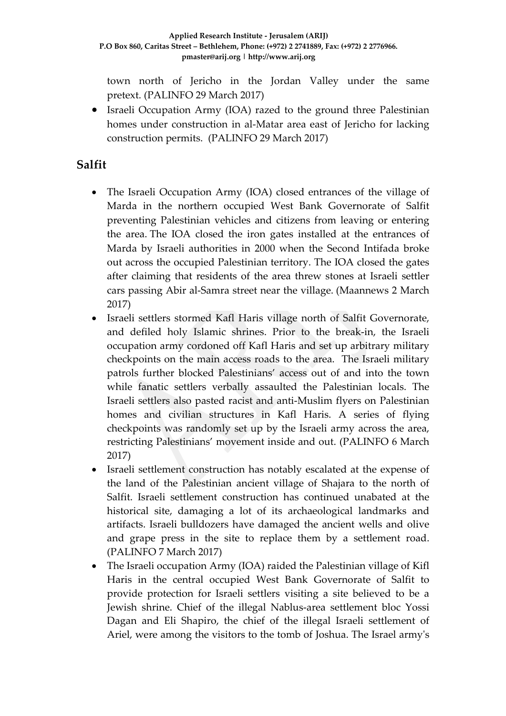town north of Jericho in the Jordan Valley under the same pretext. (PALINFO 29 March 2017)

• Israeli Occupation Army (IOA) razed to the ground three Palestinian homes under construction in al-Matar area east of Jericho for lacking construction permits. (PALINFO 29 March 2017)

### **Salfit**

- The Israeli Occupation Army (IOA) closed entrances of the village of Marda in the northern occupied West Bank Governorate of Salfit preventing Palestinian vehicles and citizens from leaving or entering the area. The IOA closed the iron gates installed at the entrances of Marda by Israeli authorities in 2000 when the Second Intifada broke out across the occupied Palestinian territory. The IOA closed the gates after claiming that residents of the area threw stones at Israeli settler cars passing Abir al-Samra street near the village. (Maannews 2 March 2017)
- Israeli settlers stormed Kafl Haris village north of Salfit Governorate, and defiled holy Islamic shrines. Prior to the break-in, the Israeli occupation army cordoned off Kafl Haris and set up arbitrary military checkpoints on the main access roads to the area. The Israeli military patrols further blocked Palestinians' access out of and into the town while fanatic settlers verbally assaulted the Palestinian locals. The Israeli settlers also pasted racist and anti-Muslim flyers on Palestinian homes and civilian structures in Kafl Haris. A series of flying checkpoints was randomly set up by the Israeli army across the area, restricting Palestinians' movement inside and out. (PALINFO 6 March 2017)
- Israeli settlement construction has notably escalated at the expense of the land of the Palestinian ancient village of Shajara to the north of Salfit. Israeli settlement construction has continued unabated at the historical site, damaging a lot of its archaeological landmarks and artifacts. Israeli bulldozers have damaged the ancient wells and olive and grape press in the site to replace them by a settlement road. (PALINFO 7 March 2017)
- The Israeli occupation Army (IOA) raided the Palestinian village of Kifl Haris in the central occupied West Bank Governorate of Salfit to provide protection for Israeli settlers visiting a site believed to be a Jewish shrine. Chief of the illegal Nablus-area settlement bloc Yossi Dagan and Eli Shapiro, the chief of the illegal Israeli settlement of Ariel, were among the visitors to the tomb of Joshua. The Israel army's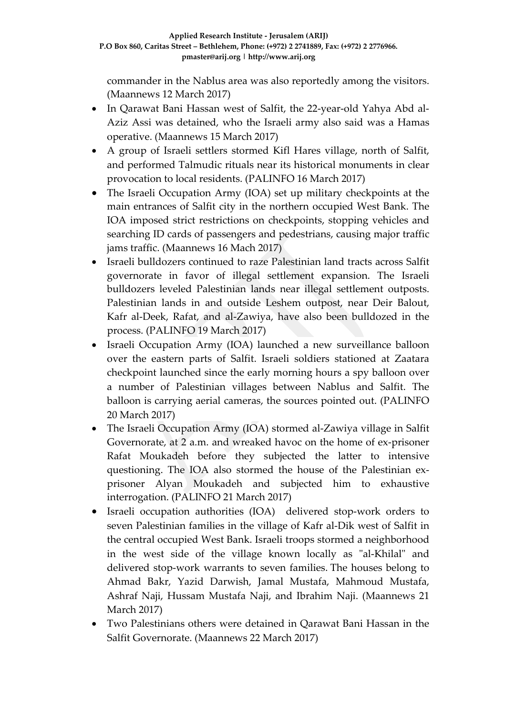commander in the Nablus area was also reportedly among the visitors. (Maannews 12 March 2017)

- In Qarawat Bani Hassan west of Salfit, the 22-year-old Yahya Abd al-Aziz Assi was detained, who the Israeli army also said was a Hamas operative. (Maannews 15 March 2017)
- A group of Israeli settlers stormed Kifl Hares village, north of Salfit, and performed Talmudic rituals near its historical monuments in clear provocation to local residents. (PALINFO 16 March 2017)
- The Israeli Occupation Army (IOA) set up military checkpoints at the main entrances of Salfit city in the northern occupied West Bank. The IOA imposed strict restrictions on checkpoints, stopping vehicles and searching ID cards of passengers and pedestrians, causing major traffic jams traffic. (Maannews 16 Mach 2017)
- Israeli bulldozers continued to raze Palestinian land tracts across Salfit governorate in favor of illegal settlement expansion. The Israeli bulldozers leveled Palestinian lands near illegal settlement outposts. Palestinian lands in and outside Leshem outpost, near Deir Balout, Kafr al-Deek, Rafat, and al-Zawiya, have also been bulldozed in the process. (PALINFO 19 March 2017)
- Israeli Occupation Army (IOA) launched a new surveillance balloon over the eastern parts of Salfit. Israeli soldiers stationed at Zaatara checkpoint launched since the early morning hours a spy balloon over a number of Palestinian villages between Nablus and Salfit. The balloon is carrying aerial cameras, the sources pointed out. (PALINFO 20 March 2017)
- The Israeli Occupation Army (IOA) stormed al-Zawiya village in Salfit Governorate, at 2 a.m. and wreaked havoc on the home of ex-prisoner Rafat Moukadeh before they subjected the latter to intensive questioning. The IOA also stormed the house of the Palestinian exprisoner Alyan Moukadeh and subjected him to exhaustive interrogation. (PALINFO 21 March 2017)
- Israeli occupation authorities (IOA) delivered stop-work orders to seven Palestinian families in the village of Kafr al-Dik west of Salfit in the central occupied West Bank. Israeli troops stormed a neighborhood in the west side of the village known locally as "al-Khilal" and delivered stop-work warrants to seven families. The houses belong to Ahmad Bakr, Yazid Darwish, Jamal Mustafa, Mahmoud Mustafa, Ashraf Naji, Hussam Mustafa Naji, and Ibrahim Naji. (Maannews 21 March 2017)
- Two Palestinians others were detained in Qarawat Bani Hassan in the Salfit Governorate. (Maannews 22 March 2017)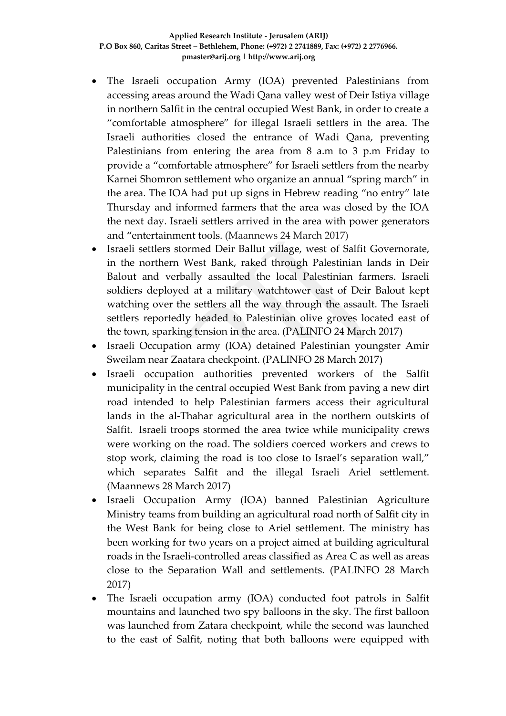- The Israeli occupation Army (IOA) prevented Palestinians from accessing areas around the Wadi Qana valley west of Deir Istiya village in northern Salfit in the central occupied West Bank, in order to create a "comfortable atmosphere" for illegal Israeli settlers in the area. The Israeli authorities closed the entrance of Wadi Qana, preventing Palestinians from entering the area from 8 a.m to 3 p.m Friday to provide a "comfortable atmosphere" for Israeli settlers from the nearby Karnei Shomron settlement who organize an annual "spring march" in the area. The IOA had put up signs in Hebrew reading "no entry" late Thursday and informed farmers that the area was closed by the IOA the next day. Israeli settlers arrived in the area with power generators and "entertainment tools. (Maannews 24 March 2017)
- Israeli settlers stormed Deir Ballut village, west of Salfit Governorate, in the northern West Bank, raked through Palestinian lands in Deir Balout and verbally assaulted the local Palestinian farmers. Israeli soldiers deployed at a military watchtower east of Deir Balout kept watching over the settlers all the way through the assault. The Israeli settlers reportedly headed to Palestinian olive groves located east of the town, sparking tension in the area. (PALINFO 24 March 2017)
- Israeli Occupation army (IOA) detained Palestinian youngster Amir Sweilam near Zaatara checkpoint. (PALINFO 28 March 2017)
- Israeli occupation authorities prevented workers of the Salfit municipality in the central occupied West Bank from paving a new dirt road intended to help Palestinian farmers access their agricultural lands in the al-Thahar agricultural area in the northern outskirts of Salfit. Israeli troops stormed the area twice while municipality crews were working on the road. The soldiers coerced workers and crews to stop work, claiming the road is too close to Israel's separation wall," which separates Salfit and the illegal Israeli Ariel settlement. (Maannews 28 March 2017)
- Israeli Occupation Army (IOA) banned Palestinian Agriculture Ministry teams from building an agricultural road north of Salfit city in the West Bank for being close to Ariel settlement. The ministry has been working for two years on a project aimed at building agricultural roads in the Israeli-controlled areas classified as Area C as well as areas close to the Separation Wall and settlements. (PALINFO 28 March 2017)
- The Israeli occupation army (IOA) conducted foot patrols in Salfit mountains and launched two spy balloons in the sky. The first balloon was launched from Zatara checkpoint, while the second was launched to the east of Salfit, noting that both balloons were equipped with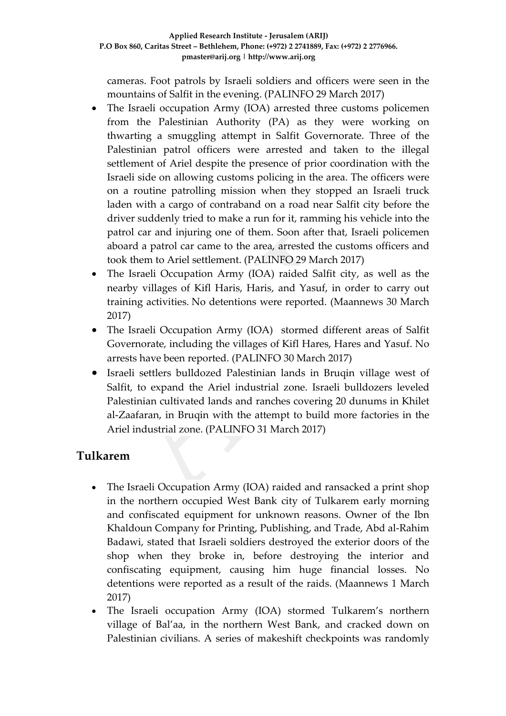cameras. Foot patrols by Israeli soldiers and officers were seen in the mountains of Salfit in the evening. (PALINFO 29 March 2017)

- The Israeli occupation Army (IOA) arrested three customs policemen from the Palestinian Authority (PA) as they were working on thwarting a smuggling attempt in Salfit Governorate. Three of the Palestinian patrol officers were arrested and taken to the illegal settlement of Ariel despite the presence of prior coordination with the Israeli side on allowing customs policing in the area. The officers were on a routine patrolling mission when they stopped an Israeli truck laden with a cargo of contraband on a road near Salfit city before the driver suddenly tried to make a run for it, ramming his vehicle into the patrol car and injuring one of them. Soon after that, Israeli policemen aboard a patrol car came to the area, arrested the customs officers and took them to Ariel settlement. (PALINFO 29 March 2017)
- The Israeli Occupation Army (IOA) raided Salfit city, as well as the nearby villages of Kifl Haris, Haris, and Yasuf, in order to carry out training activities. No detentions were reported. (Maannews 30 March 2017)
- The Israeli Occupation Army (IOA) stormed different areas of Salfit Governorate, including the villages of Kifl Hares, Hares and Yasuf. No arrests have been reported. (PALINFO 30 March 2017)
- Israeli settlers bulldozed Palestinian lands in Bruqin village west of Salfit, to expand the Ariel industrial zone. Israeli bulldozers leveled Palestinian cultivated lands and ranches covering 20 dunums in Khilet al-Zaafaran, in Bruqin with the attempt to build more factories in the Ariel industrial zone. (PALINFO 31 March 2017)

## **Tulkarem**

- The Israeli Occupation Army (IOA) raided and ransacked a print shop in the northern occupied West Bank city of Tulkarem early morning and confiscated equipment for unknown reasons. Owner of the Ibn Khaldoun Company for Printing, Publishing, and Trade, Abd al-Rahim Badawi, stated that Israeli soldiers destroyed the exterior doors of the shop when they broke in, before destroying the interior and confiscating equipment, causing him huge financial losses. No detentions were reported as a result of the raids. (Maannews 1 March 2017)
- The Israeli occupation Army (IOA) stormed Tulkarem's northern village of Bal'aa, in the northern West Bank, and cracked down on Palestinian civilians. A series of makeshift checkpoints was randomly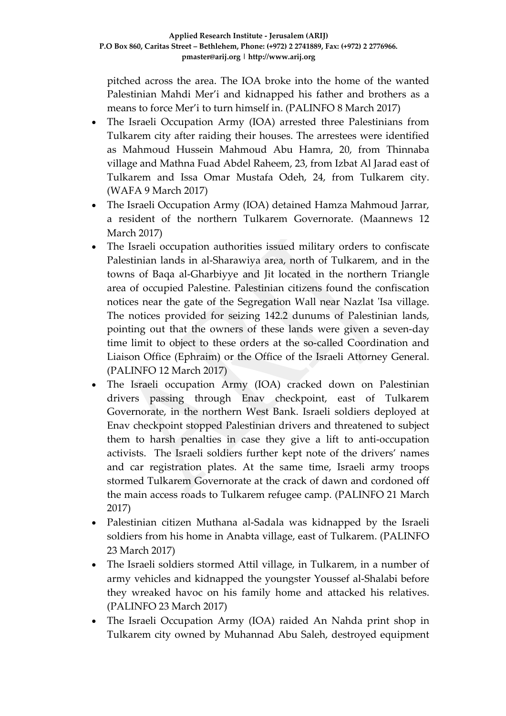pitched across the area. The IOA broke into the home of the wanted Palestinian Mahdi Mer'i and kidnapped his father and brothers as a means to force Mer'i to turn himself in. (PALINFO 8 March 2017)

- The Israeli Occupation Army (IOA) arrested three Palestinians from Tulkarem city after raiding their houses. The arrestees were identified as Mahmoud Hussein Mahmoud Abu Hamra, 20, from Thinnaba village and Mathna Fuad Abdel Raheem, 23, from Izbat Al Jarad east of Tulkarem and Issa Omar Mustafa Odeh, 24, from Tulkarem city. (WAFA 9 March 2017)
- The Israeli Occupation Army (IOA) detained Hamza Mahmoud Jarrar, a resident of the northern Tulkarem Governorate. (Maannews 12 March 2017)
- The Israeli occupation authorities issued military orders to confiscate Palestinian lands in al-Sharawiya area, north of Tulkarem, and in the towns of Baqa al-Gharbiyye and Jit located in the northern Triangle area of occupied Palestine. Palestinian citizens found the confiscation notices near the gate of the Segregation Wall near Nazlat 'Isa village. The notices provided for seizing 142.2 dunums of Palestinian lands, pointing out that the owners of these lands were given a seven-day time limit to object to these orders at the so-called Coordination and Liaison Office (Ephraim) or the Office of the Israeli Attorney General. (PALINFO 12 March 2017)
- The Israeli occupation Army (IOA) cracked down on Palestinian drivers passing through Enav checkpoint, east of Tulkarem Governorate, in the northern West Bank. Israeli soldiers deployed at Enav checkpoint stopped Palestinian drivers and threatened to subject them to harsh penalties in case they give a lift to anti-occupation activists. The Israeli soldiers further kept note of the drivers' names and car registration plates. At the same time, Israeli army troops stormed Tulkarem Governorate at the crack of dawn and cordoned off the main access roads to Tulkarem refugee camp. (PALINFO 21 March 2017)
- Palestinian citizen Muthana al-Sadala was kidnapped by the Israeli soldiers from his home in Anabta village, east of Tulkarem. (PALINFO 23 March 2017)
- The Israeli soldiers stormed Attil village, in Tulkarem, in a number of army vehicles and kidnapped the youngster Youssef al-Shalabi before they wreaked havoc on his family home and attacked his relatives. (PALINFO 23 March 2017)
- The Israeli Occupation Army (IOA) raided An Nahda print shop in Tulkarem city owned by Muhannad Abu Saleh, destroyed equipment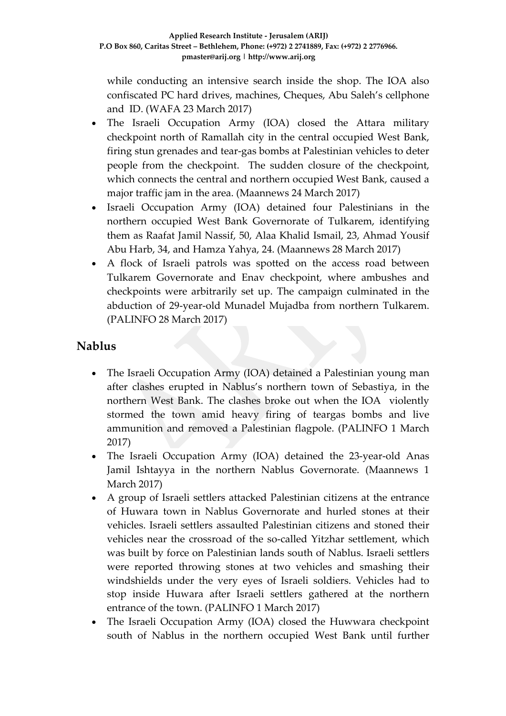while conducting an intensive search inside the shop. The IOA also confiscated PC hard drives, machines, Cheques, Abu Saleh's cellphone and ID. (WAFA 23 March 2017)

- The Israeli Occupation Army (IOA) closed the Attara military checkpoint north of Ramallah city in the central occupied West Bank, firing stun grenades and tear-gas bombs at Palestinian vehicles to deter people from the checkpoint. The sudden closure of the checkpoint, which connects the central and northern occupied West Bank, caused a major traffic jam in the area. (Maannews 24 March 2017)
- Israeli Occupation Army (IOA) detained four Palestinians in the northern occupied West Bank Governorate of Tulkarem, identifying them as Raafat Jamil Nassif, 50, Alaa Khalid Ismail, 23, Ahmad Yousif Abu Harb, 34, and Hamza Yahya, 24. (Maannews 28 March 2017)
- A flock of Israeli patrols was spotted on the access road between Tulkarem Governorate and Enav checkpoint, where ambushes and checkpoints were arbitrarily set up. The campaign culminated in the abduction of 29-year-old Munadel Mujadba from northern Tulkarem. (PALINFO 28 March 2017)

## **Nablus**

- The Israeli Occupation Army (IOA) detained a Palestinian young man after clashes erupted in Nablus's northern town of Sebastiya, in the northern West Bank. The clashes broke out when the IOA violently stormed the town amid heavy firing of teargas bombs and live ammunition and removed a Palestinian flagpole. (PALINFO 1 March 2017)
- The Israeli Occupation Army (IOA) detained the 23-year-old Anas Jamil Ishtayya in the northern Nablus Governorate. (Maannews 1 March 2017)
- A group of Israeli settlers attacked Palestinian citizens at the entrance of Huwara town in Nablus Governorate and hurled stones at their vehicles. Israeli settlers assaulted Palestinian citizens and stoned their vehicles near the crossroad of the so-called Yitzhar settlement, which was built by force on Palestinian lands south of Nablus. Israeli settlers were reported throwing stones at two vehicles and smashing their windshields under the very eyes of Israeli soldiers. Vehicles had to stop inside Huwara after Israeli settlers gathered at the northern entrance of the town. (PALINFO 1 March 2017)
- The Israeli Occupation Army (IOA) closed the Huwwara checkpoint south of Nablus in the northern occupied West Bank until further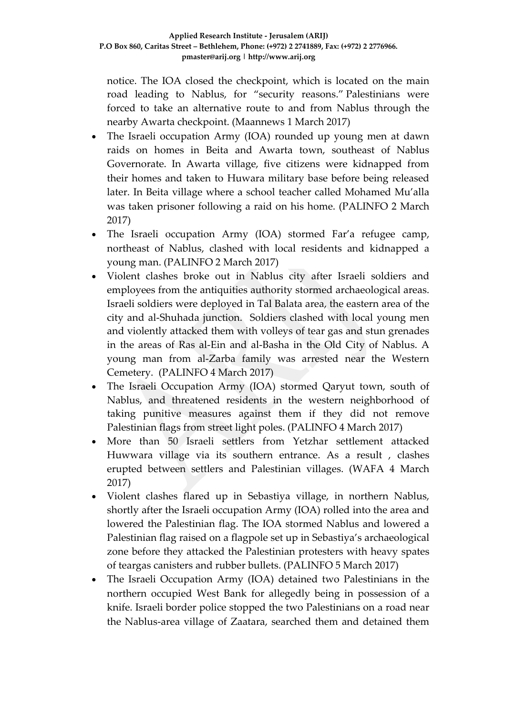notice. The IOA closed the checkpoint, which is located on the main road leading to Nablus, for "security reasons." Palestinians were forced to take an alternative route to and from Nablus through the nearby Awarta checkpoint. (Maannews 1 March 2017)

- The Israeli occupation Army (IOA) rounded up young men at dawn raids on homes in Beita and Awarta town, southeast of Nablus Governorate. In Awarta village, five citizens were kidnapped from their homes and taken to Huwara military base before being released later. In Beita village where a school teacher called Mohamed Mu'alla was taken prisoner following a raid on his home. (PALINFO 2 March 2017)
- The Israeli occupation Army (IOA) stormed Far'a refugee camp, northeast of Nablus, clashed with local residents and kidnapped a young man. (PALINFO 2 March 2017)
- Violent clashes broke out in Nablus city after Israeli soldiers and employees from the antiquities authority stormed archaeological areas. Israeli soldiers were deployed in Tal Balata area, the eastern area of the city and al-Shuhada junction. Soldiers clashed with local young men and violently attacked them with volleys of tear gas and stun grenades in the areas of Ras al-Ein and al-Basha in the Old City of Nablus. A young man from al-Zarba family was arrested near the Western Cemetery. (PALINFO 4 March 2017)
- The Israeli Occupation Army (IOA) stormed Qaryut town, south of Nablus, and threatened residents in the western neighborhood of taking punitive measures against them if they did not remove Palestinian flags from street light poles. (PALINFO 4 March 2017)
- More than 50 Israeli settlers from Yetzhar settlement attacked Huwwara village via its southern entrance. As a result , clashes erupted between settlers and Palestinian villages. (WAFA 4 March 2017)
- Violent clashes flared up in Sebastiya village, in northern Nablus, shortly after the Israeli occupation Army (IOA) rolled into the area and lowered the Palestinian flag. The IOA stormed Nablus and lowered a Palestinian flag raised on a flagpole set up in Sebastiya's archaeological zone before they attacked the Palestinian protesters with heavy spates of teargas canisters and rubber bullets. (PALINFO 5 March 2017)
- The Israeli Occupation Army (IOA) detained two Palestinians in the northern occupied West Bank for allegedly being in possession of a knife. Israeli border police stopped the two Palestinians on a road near the Nablus-area village of Zaatara, searched them and detained them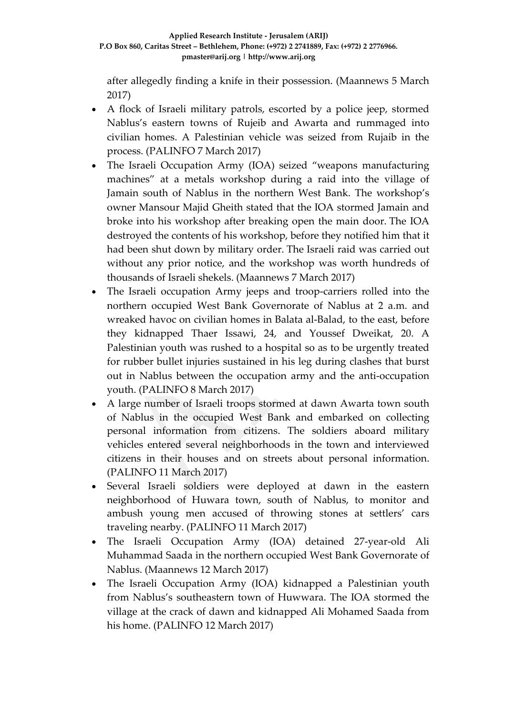after allegedly finding a knife in their possession. (Maannews 5 March 2017)

- A flock of Israeli military patrols, escorted by a police jeep, stormed Nablus's eastern towns of Rujeib and Awarta and rummaged into civilian homes. A Palestinian vehicle was seized from Rujaib in the process. (PALINFO 7 March 2017)
- The Israeli Occupation Army (IOA) seized "weapons manufacturing machines" at a metals workshop during a raid into the village of Jamain south of Nablus in the northern West Bank. The workshop's owner Mansour Majid Gheith stated that the IOA stormed Jamain and broke into his workshop after breaking open the main door. The IOA destroyed the contents of his workshop, before they notified him that it had been shut down by military order. The Israeli raid was carried out without any prior notice, and the workshop was worth hundreds of thousands of Israeli shekels. (Maannews 7 March 2017)
- The Israeli occupation Army jeeps and troop-carriers rolled into the northern occupied West Bank Governorate of Nablus at 2 a.m. and wreaked havoc on civilian homes in Balata al-Balad, to the east, before they kidnapped Thaer Issawi, 24, and Youssef Dweikat, 20. A Palestinian youth was rushed to a hospital so as to be urgently treated for rubber bullet injuries sustained in his leg during clashes that burst out in Nablus between the occupation army and the anti-occupation youth. (PALINFO 8 March 2017)
- A large number of Israeli troops stormed at dawn Awarta town south of Nablus in the occupied West Bank and embarked on collecting personal information from citizens. The soldiers aboard military vehicles entered several neighborhoods in the town and interviewed citizens in their houses and on streets about personal information. (PALINFO 11 March 2017)
- Several Israeli soldiers were deployed at dawn in the eastern neighborhood of Huwara town, south of Nablus, to monitor and ambush young men accused of throwing stones at settlers' cars traveling nearby. (PALINFO 11 March 2017)
- The Israeli Occupation Army (IOA) detained 27-year-old Ali Muhammad Saada in the northern occupied West Bank Governorate of Nablus. (Maannews 12 March 2017)
- The Israeli Occupation Army (IOA) kidnapped a Palestinian youth from Nablus's southeastern town of Huwwara. The IOA stormed the village at the crack of dawn and kidnapped Ali Mohamed Saada from his home. (PALINFO 12 March 2017)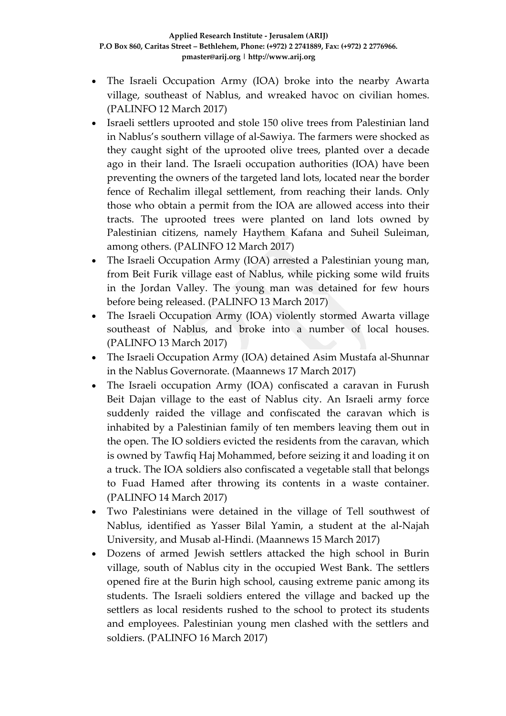- The Israeli Occupation Army (IOA) broke into the nearby Awarta village, southeast of Nablus, and wreaked havoc on civilian homes. (PALINFO 12 March 2017)
- Israeli settlers uprooted and stole 150 olive trees from Palestinian land in Nablus's southern village of al-Sawiya. The farmers were shocked as they caught sight of the uprooted olive trees, planted over a decade ago in their land. The Israeli occupation authorities (IOA) have been preventing the owners of the targeted land lots, located near the border fence of Rechalim illegal settlement, from reaching their lands. Only those who obtain a permit from the IOA are allowed access into their tracts. The uprooted trees were planted on land lots owned by Palestinian citizens, namely Haythem Kafana and Suheil Suleiman, among others. (PALINFO 12 March 2017)
- The Israeli Occupation Army (IOA) arrested a Palestinian young man, from Beit Furik village east of Nablus, while picking some wild fruits in the Jordan Valley. The young man was detained for few hours before being released. (PALINFO 13 March 2017)
- The Israeli Occupation Army (IOA) violently stormed Awarta village southeast of Nablus, and broke into a number of local houses. (PALINFO 13 March 2017)
- The Israeli Occupation Army (IOA) detained Asim Mustafa al-Shunnar in the Nablus Governorate. (Maannews 17 March 2017)
- The Israeli occupation Army (IOA) confiscated a caravan in Furush Beit Dajan village to the east of Nablus city. An Israeli army force suddenly raided the village and confiscated the caravan which is inhabited by a Palestinian family of ten members leaving them out in the open. The IO soldiers evicted the residents from the caravan, which is owned by Tawfiq Haj Mohammed, before seizing it and loading it on a truck. The IOA soldiers also confiscated a vegetable stall that belongs to Fuad Hamed after throwing its contents in a waste container. (PALINFO 14 March 2017)
- Two Palestinians were detained in the village of Tell southwest of Nablus, identified as Yasser Bilal Yamin, a student at the al-Najah University, and Musab al-Hindi. (Maannews 15 March 2017)
- Dozens of armed Jewish settlers attacked the high school in Burin village, south of Nablus city in the occupied West Bank. The settlers opened fire at the Burin high school, causing extreme panic among its students. The Israeli soldiers entered the village and backed up the settlers as local residents rushed to the school to protect its students and employees. Palestinian young men clashed with the settlers and soldiers. (PALINFO 16 March 2017)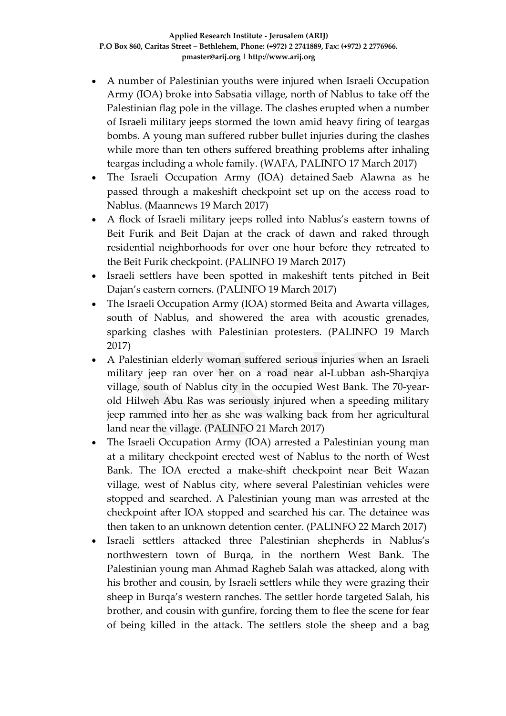- A number of Palestinian youths were injured when Israeli Occupation Army (IOA) broke into Sabsatia village, north of Nablus to take off the Palestinian flag pole in the village. The clashes erupted when a number of Israeli military jeeps stormed the town amid heavy firing of teargas bombs. A young man suffered rubber bullet injuries during the clashes while more than ten others suffered breathing problems after inhaling teargas including a whole family. (WAFA, PALINFO 17 March 2017)
- The Israeli Occupation Army (IOA) detained Saeb Alawna as he passed through a makeshift checkpoint set up on the access road to Nablus. (Maannews 19 March 2017)
- A flock of Israeli military jeeps rolled into Nablus's eastern towns of Beit Furik and Beit Dajan at the crack of dawn and raked through residential neighborhoods for over one hour before they retreated to the Beit Furik checkpoint. (PALINFO 19 March 2017)
- Israeli settlers have been spotted in makeshift tents pitched in Beit Dajan's eastern corners. (PALINFO 19 March 2017)
- The Israeli Occupation Army (IOA) stormed Beita and Awarta villages, south of Nablus, and showered the area with acoustic grenades, sparking clashes with Palestinian protesters. (PALINFO 19 March 2017)
- A Palestinian elderly woman suffered serious injuries when an Israeli military jeep ran over her on a road near al-Lubban ash-Sharqiya village, south of Nablus city in the occupied West Bank. The 70-yearold Hilweh Abu Ras was seriously injured when a speeding military jeep rammed into her as she was walking back from her agricultural land near the village. (PALINFO 21 March 2017)
- The Israeli Occupation Army (IOA) arrested a Palestinian young man at a military checkpoint erected west of Nablus to the north of West Bank. The IOA erected a make-shift checkpoint near Beit Wazan village, west of Nablus city, where several Palestinian vehicles were stopped and searched. A Palestinian young man was arrested at the checkpoint after IOA stopped and searched his car. The detainee was then taken to an unknown detention center. (PALINFO 22 March 2017)
- Israeli settlers attacked three Palestinian shepherds in Nablus's northwestern town of Burqa, in the northern West Bank. The Palestinian young man Ahmad Ragheb Salah was attacked, along with his brother and cousin, by Israeli settlers while they were grazing their sheep in Burqa's western ranches. The settler horde targeted Salah, his brother, and cousin with gunfire, forcing them to flee the scene for fear of being killed in the attack. The settlers stole the sheep and a bag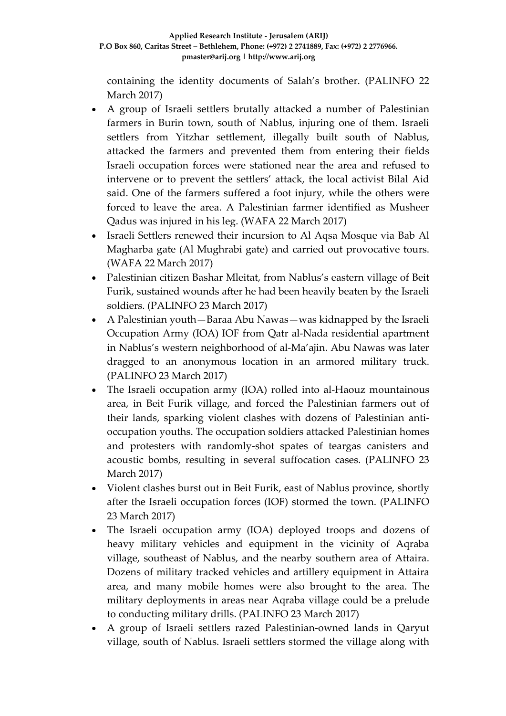containing the identity documents of Salah's brother. (PALINFO 22 March 2017)

- A group of Israeli settlers brutally attacked a number of Palestinian farmers in Burin town, south of Nablus, injuring one of them. Israeli settlers from Yitzhar settlement, illegally built south of Nablus, attacked the farmers and prevented them from entering their fields Israeli occupation forces were stationed near the area and refused to intervene or to prevent the settlers' attack, the local activist Bilal Aid said. One of the farmers suffered a foot injury, while the others were forced to leave the area. A Palestinian farmer identified as Musheer Qadus was injured in his leg. (WAFA 22 March 2017)
- Israeli Settlers renewed their incursion to Al Aqsa Mosque via Bab Al Magharba gate (Al Mughrabi gate) and carried out provocative tours. (WAFA 22 March 2017)
- Palestinian citizen Bashar Mleitat, from Nablus's eastern village of Beit Furik, sustained wounds after he had been heavily beaten by the Israeli soldiers. (PALINFO 23 March 2017)
- A Palestinian youth—Baraa Abu Nawas—was kidnapped by the Israeli Occupation Army (IOA) IOF from Qatr al-Nada residential apartment in Nablus's western neighborhood of al-Ma'ajin. Abu Nawas was later dragged to an anonymous location in an armored military truck. (PALINFO 23 March 2017)
- The Israeli occupation army (IOA) rolled into al-Haouz mountainous area, in Beit Furik village, and forced the Palestinian farmers out of their lands, sparking violent clashes with dozens of Palestinian antioccupation youths. The occupation soldiers attacked Palestinian homes and protesters with randomly-shot spates of teargas canisters and acoustic bombs, resulting in several suffocation cases. (PALINFO 23 March 2017)
- Violent clashes burst out in Beit Furik, east of Nablus province, shortly after the Israeli occupation forces (IOF) stormed the town. (PALINFO 23 March 2017)
- The Israeli occupation army (IOA) deployed troops and dozens of heavy military vehicles and equipment in the vicinity of Aqraba village, southeast of Nablus, and the nearby southern area of Attaira. Dozens of military tracked vehicles and artillery equipment in Attaira area, and many mobile homes were also brought to the area. The military deployments in areas near Aqraba village could be a prelude to conducting military drills. (PALINFO 23 March 2017)
- A group of Israeli settlers razed Palestinian-owned lands in Qaryut village, south of Nablus. Israeli settlers stormed the village along with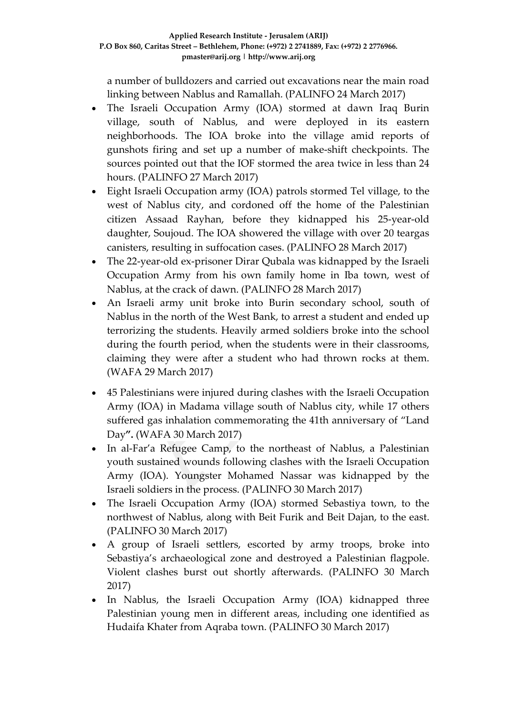a number of bulldozers and carried out excavations near the main road linking between Nablus and Ramallah. (PALINFO 24 March 2017)

- The Israeli Occupation Army (IOA) stormed at dawn Iraq Burin village, south of Nablus, and were deployed in its eastern neighborhoods. The IOA broke into the village amid reports of gunshots firing and set up a number of make-shift checkpoints. The sources pointed out that the IOF stormed the area twice in less than 24 hours. (PALINFO 27 March 2017)
- Eight Israeli Occupation army (IOA) patrols stormed Tel village, to the west of Nablus city, and cordoned off the home of the Palestinian citizen Assaad Rayhan, before they kidnapped his 25-year-old daughter, Soujoud. The IOA showered the village with over 20 teargas canisters, resulting in suffocation cases. (PALINFO 28 March 2017)
- The 22-year-old ex-prisoner Dirar Qubala was kidnapped by the Israeli Occupation Army from his own family home in Iba town, west of Nablus, at the crack of dawn. (PALINFO 28 March 2017)
- An Israeli army unit broke into Burin secondary school, south of Nablus in the north of the West Bank, to arrest a student and ended up terrorizing the students. Heavily armed soldiers broke into the school during the fourth period, when the students were in their classrooms, claiming they were after a student who had thrown rocks at them. (WAFA 29 March 2017)
- 45 Palestinians were injured during clashes with the Israeli Occupation Army (IOA) in Madama village south of Nablus city, while 17 others suffered gas inhalation commemorating the 41th anniversary of "Land Day**".** (WAFA 30 March 2017)
- In al-Far'a Refugee Camp, to the northeast of Nablus, a Palestinian youth sustained wounds following clashes with the Israeli Occupation Army (IOA). Youngster Mohamed Nassar was kidnapped by the Israeli soldiers in the process. (PALINFO 30 March 2017)
- The Israeli Occupation Army (IOA) stormed Sebastiya town, to the northwest of Nablus, along with Beit Furik and Beit Dajan, to the east. (PALINFO 30 March 2017)
- A group of Israeli settlers, escorted by army troops, broke into Sebastiya's archaeological zone and destroyed a Palestinian flagpole. Violent clashes burst out shortly afterwards. (PALINFO 30 March 2017)
- In Nablus, the Israeli Occupation Army (IOA) kidnapped three Palestinian young men in different areas, including one identified as Hudaifa Khater from Aqraba town. (PALINFO 30 March 2017)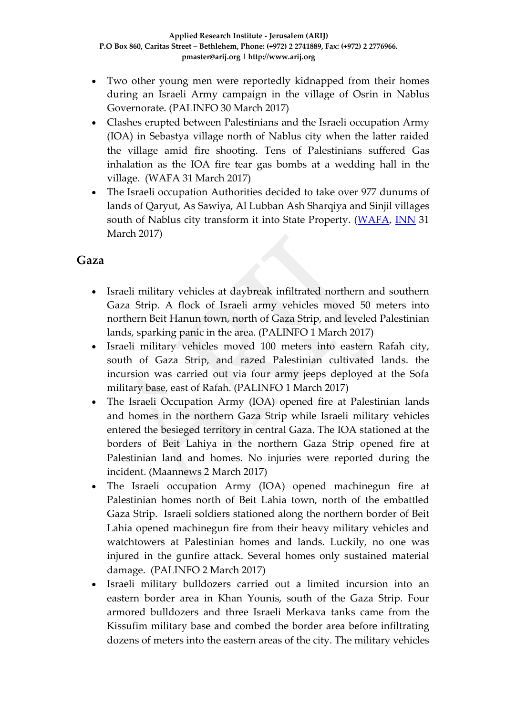- Two other young men were reportedly kidnapped from their homes during an Israeli Army campaign in the village of Osrin in Nablus Governorate. (PALINFO 30 March 2017)
- Clashes erupted between Palestinians and the Israeli occupation Army (IOA) in Sebastya village north of Nablus city when the latter raided the village amid fire shooting. Tens of Palestinians suffered Gas inhalation as the IOA fire tear gas bombs at a wedding hall in the village. (WAFA 31 March 2017)
- The Israeli occupation Authorities decided to take over 977 dunums of lands of Qaryut, As Sawiya, Al Lubban Ash Sharqiya and Sinjil villages south of Nablus city transform it into State Property. [\(WAFA,](http://www.wafa.ps/ar_page.aspx?id=YicO9Ta759961445958aYicO9T) [INN](http://www.israelnationalnews.com/News/News.aspx/227537) 31 March 2017)

#### **Gaza**

- Israeli military vehicles at daybreak infiltrated northern and southern Gaza Strip. A flock of Israeli army vehicles moved 50 meters into northern Beit Hanun town, north of Gaza Strip, and leveled Palestinian lands, sparking panic in the area. (PALINFO 1 March 2017)
- Israeli military vehicles moved 100 meters into eastern Rafah city, south of Gaza Strip, and razed Palestinian cultivated lands. the incursion was carried out via four army jeeps deployed at the Sofa military base, east of Rafah. (PALINFO 1 March 2017)
- The Israeli Occupation Army (IOA) opened fire at Palestinian lands and homes in the northern Gaza Strip while Israeli military vehicles entered the besieged territory in central Gaza. The IOA stationed at the borders of Beit Lahiya in the northern Gaza Strip opened fire at Palestinian land and homes. No injuries were reported during the incident. (Maannews 2 March 2017)
- The Israeli occupation Army (IOA) opened machinegun fire at Palestinian homes north of Beit Lahia town, north of the embattled Gaza Strip. Israeli soldiers stationed along the northern border of Beit Lahia opened machinegun fire from their heavy military vehicles and watchtowers at Palestinian homes and lands. Luckily, no one was injured in the gunfire attack. Several homes only sustained material damage. (PALINFO 2 March 2017)
- Israeli military bulldozers carried out a limited incursion into an eastern border area in Khan Younis, south of the Gaza Strip. Four armored bulldozers and three Israeli Merkava tanks came from the Kissufim military base and combed the border area before infiltrating dozens of meters into the eastern areas of the city. The military vehicles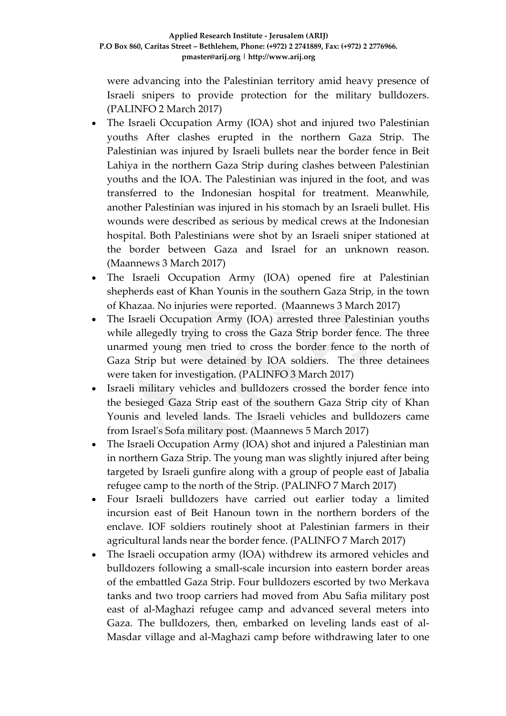were advancing into the Palestinian territory amid heavy presence of Israeli snipers to provide protection for the military bulldozers. (PALINFO 2 March 2017)

- The Israeli Occupation Army (IOA) shot and injured two Palestinian youths After clashes erupted in the northern Gaza Strip. The Palestinian was injured by Israeli bullets near the border fence in Beit Lahiya in the northern Gaza Strip during clashes between Palestinian youths and the IOA. The Palestinian was injured in the foot, and was transferred to the Indonesian hospital for treatment. Meanwhile, another Palestinian was injured in his stomach by an Israeli bullet. His wounds were described as serious by medical crews at the Indonesian hospital. Both Palestinians were shot by an Israeli sniper stationed at the border between Gaza and Israel for an unknown reason. (Maannews 3 March 2017)
- The Israeli Occupation Army (IOA) opened fire at Palestinian shepherds east of Khan Younis in the southern Gaza Strip, in the town of Khazaa. No injuries were reported. (Maannews 3 March 2017)
- The Israeli Occupation Army (IOA) arrested three Palestinian youths while allegedly trying to cross the Gaza Strip border fence. The three unarmed young men tried to cross the border fence to the north of Gaza Strip but were detained by IOA soldiers. The three detainees were taken for investigation. (PALINFO 3 March 2017)
- Israeli military vehicles and bulldozers crossed the border fence into the besieged Gaza Strip east of the southern Gaza Strip city of Khan Younis and leveled lands. The Israeli vehicles and bulldozers came from Israel's Sofa military post. (Maannews 5 March 2017)
- The Israeli Occupation Army (IOA) shot and injured a Palestinian man in northern Gaza Strip. The young man was slightly injured after being targeted by Israeli gunfire along with a group of people east of Jabalia refugee camp to the north of the Strip. (PALINFO 7 March 2017)
- Four Israeli bulldozers have carried out earlier today a limited incursion east of Beit Hanoun town in the northern borders of the enclave. IOF soldiers routinely shoot at Palestinian farmers in their agricultural lands near the border fence. (PALINFO 7 March 2017)
- The Israeli occupation army (IOA) withdrew its armored vehicles and bulldozers following a small-scale incursion into eastern border areas of the embattled Gaza Strip. Four bulldozers escorted by two Merkava tanks and two troop carriers had moved from Abu Safia military post east of al-Maghazi refugee camp and advanced several meters into Gaza. The bulldozers, then, embarked on leveling lands east of al-Masdar village and al-Maghazi camp before withdrawing later to one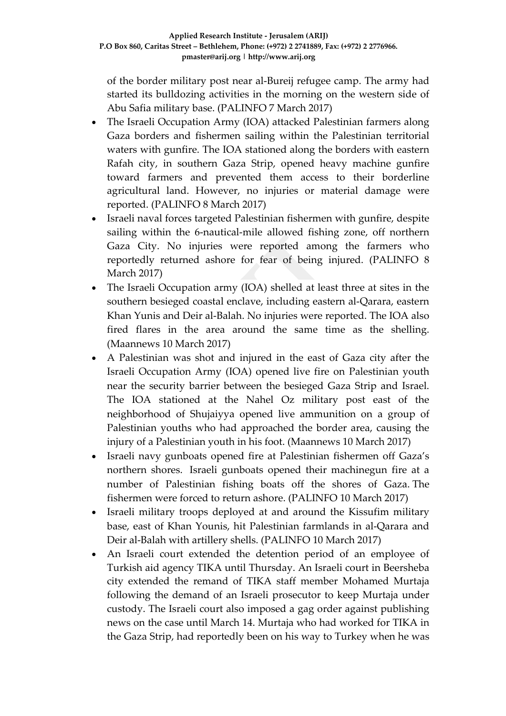of the border military post near al-Bureij refugee camp. The army had started its bulldozing activities in the morning on the western side of Abu Safia military base. (PALINFO 7 March 2017)

- The Israeli Occupation Army (IOA) attacked Palestinian farmers along Gaza borders and fishermen sailing within the Palestinian territorial waters with gunfire. The IOA stationed along the borders with eastern Rafah city, in southern Gaza Strip, opened heavy machine gunfire toward farmers and prevented them access to their borderline agricultural land. However, no injuries or material damage were reported. (PALINFO 8 March 2017)
- Israeli naval forces targeted Palestinian fishermen with gunfire, despite sailing within the 6-nautical-mile allowed fishing zone, off northern Gaza City. No injuries were reported among the farmers who reportedly returned ashore for fear of being injured. (PALINFO 8 March 2017)
- The Israeli Occupation army (IOA) shelled at least three at sites in the southern besieged coastal enclave, including eastern al-Qarara, eastern Khan Yunis and Deir al-Balah. No injuries were reported. The IOA also fired flares in the area around the same time as the shelling. (Maannews 10 March 2017)
- A Palestinian was shot and injured in the east of Gaza city after the Israeli Occupation Army (IOA) opened live fire on Palestinian youth near the security barrier between the besieged Gaza Strip and Israel. The IOA stationed at the Nahel Oz military post east of the neighborhood of Shujaiyya opened live ammunition on a group of Palestinian youths who had approached the border area, causing the injury of a Palestinian youth in his foot. (Maannews 10 March 2017)
- Israeli navy gunboats opened fire at Palestinian fishermen off Gaza's northern shores. Israeli gunboats opened their machinegun fire at a number of Palestinian fishing boats off the shores of Gaza. The fishermen were forced to return ashore. (PALINFO 10 March 2017)
- Israeli military troops deployed at and around the Kissufim military base, east of Khan Younis, hit Palestinian farmlands in al-Qarara and Deir al-Balah with artillery shells. (PALINFO 10 March 2017)
- An Israeli court extended the detention period of an employee of Turkish aid agency TIKA until Thursday. An Israeli court in Beersheba city extended the remand of TIKA staff member Mohamed Murtaja following the demand of an Israeli prosecutor to keep Murtaja under custody. The Israeli court also imposed a gag order against publishing news on the case until March 14. Murtaja who had worked for TIKA in the Gaza Strip, had reportedly been on his way to Turkey when he was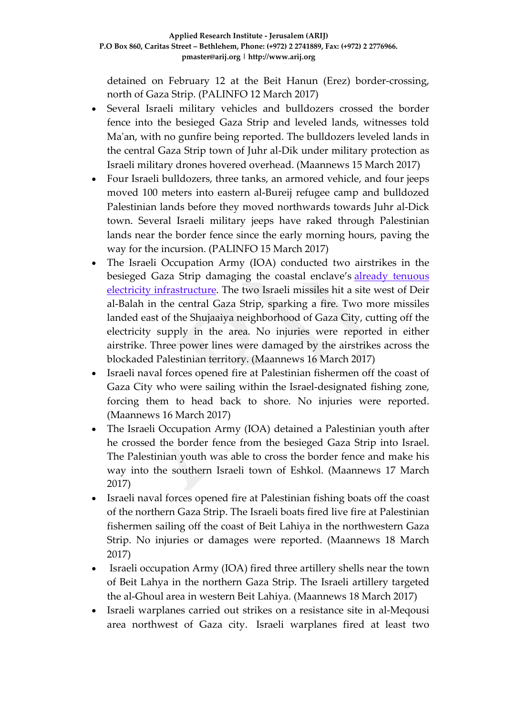detained on February 12 at the Beit Hanun (Erez) border-crossing, north of Gaza Strip. (PALINFO 12 March 2017)

- Several Israeli military vehicles and bulldozers crossed the border fence into the besieged Gaza Strip and leveled lands, witnesses told Ma'an, with no gunfire being reported. The bulldozers leveled lands in the central Gaza Strip town of Juhr al-Dik under military protection as Israeli military drones hovered overhead. (Maannews 15 March 2017)
- Four Israeli bulldozers, three tanks, an armored vehicle, and four jeeps moved 100 meters into eastern al-Bureij refugee camp and bulldozed Palestinian lands before they moved northwards towards Juhr al-Dick town. Several Israeli military jeeps have raked through Palestinian lands near the border fence since the early morning hours, paving the way for the incursion. (PALINFO 15 March 2017)
- The Israeli Occupation Army (IOA) conducted two airstrikes in the besieged Gaza Strip damaging the coastal enclave's already [tenuous](http://www.maannews.com/Content.aspx?id=774880) electricity [infrastructure.](http://www.maannews.com/Content.aspx?id=774880) The two Israeli missiles hit a site west of Deir al-Balah in the central Gaza Strip, sparking a fire. Two more missiles landed east of the Shujaaiya neighborhood of Gaza City, cutting off the electricity supply in the area. No injuries were reported in either airstrike. Three power lines were damaged by the airstrikes across the blockaded Palestinian territory. (Maannews 16 March 2017)
- Israeli naval forces opened fire at Palestinian fishermen off the coast of Gaza City who were sailing within the Israel-designated fishing zone, forcing them to head back to shore. No injuries were reported. (Maannews 16 March 2017)
- The Israeli Occupation Army (IOA) detained a Palestinian youth after he crossed the border fence from the besieged Gaza Strip into Israel. The Palestinian youth was able to cross the border fence and make his way into the southern Israeli town of Eshkol. (Maannews 17 March 2017)
- Israeli naval forces opened fire at Palestinian fishing boats off the coast of the northern Gaza Strip. The Israeli boats fired live fire at Palestinian fishermen sailing off the coast of Beit Lahiya in the northwestern Gaza Strip. No injuries or damages were reported. (Maannews 18 March 2017)
- Israeli occupation Army (IOA) fired three artillery shells near the town of Beit Lahya in the northern Gaza Strip. The Israeli artillery targeted the al-Ghoul area in western Beit Lahiya. (Maannews 18 March 2017)
- Israeli warplanes carried out strikes on a resistance site in al-Meqousi area northwest of Gaza city. Israeli warplanes fired at least two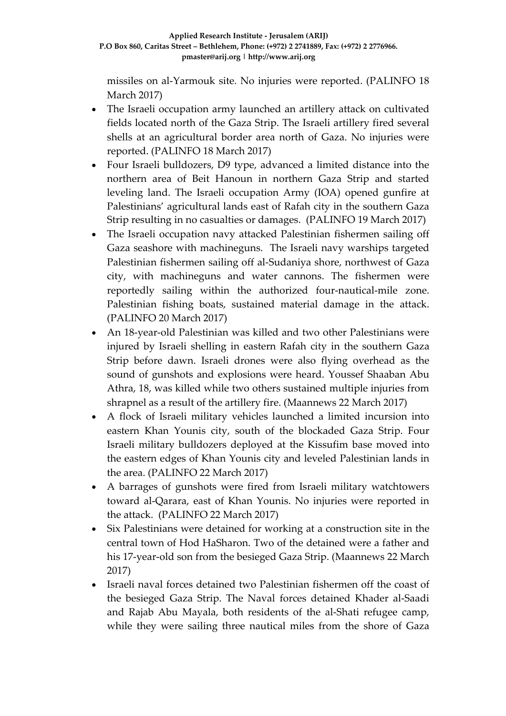missiles on al-Yarmouk site. No injuries were reported. (PALINFO 18 March 2017)

- The Israeli occupation army launched an artillery attack on cultivated fields located north of the Gaza Strip. The Israeli artillery fired several shells at an agricultural border area north of Gaza. No injuries were reported. (PALINFO 18 March 2017)
- Four Israeli bulldozers, D9 type, advanced a limited distance into the northern area of Beit Hanoun in northern Gaza Strip and started leveling land. The Israeli occupation Army (IOA) opened gunfire at Palestinians' agricultural lands east of Rafah city in the southern Gaza Strip resulting in no casualties or damages. (PALINFO 19 March 2017)
- The Israeli occupation navy attacked Palestinian fishermen sailing off Gaza seashore with machineguns. The Israeli navy warships targeted Palestinian fishermen sailing off al-Sudaniya shore, northwest of Gaza city, with machineguns and water cannons. The fishermen were reportedly sailing within the authorized four-nautical-mile zone. Palestinian fishing boats, sustained material damage in the attack. (PALINFO 20 March 2017)
- An 18-year-old Palestinian was killed and two other Palestinians were injured by Israeli shelling in eastern Rafah city in the southern Gaza Strip before dawn. Israeli drones were also flying overhead as the sound of gunshots and explosions were heard. Youssef Shaaban Abu Athra, 18, was killed while two others sustained multiple injuries from shrapnel as a result of the artillery fire. (Maannews 22 March 2017)
- A flock of Israeli military vehicles launched a limited incursion into eastern Khan Younis city, south of the blockaded Gaza Strip. Four Israeli military bulldozers deployed at the Kissufim base moved into the eastern edges of Khan Younis city and leveled Palestinian lands in the area. (PALINFO 22 March 2017)
- A barrages of gunshots were fired from Israeli military watchtowers toward al-Qarara, east of Khan Younis. No injuries were reported in the attack. (PALINFO 22 March 2017)
- Six Palestinians were detained for working at a construction site in the central town of Hod HaSharon. Two of the detained were a father and his 17-year-old son from the besieged Gaza Strip. (Maannews 22 March 2017)
- Israeli naval forces detained two Palestinian fishermen off the coast of the besieged Gaza Strip. The Naval forces detained Khader al-Saadi and Rajab Abu Mayala, both residents of the al-Shati refugee camp, while they were sailing three nautical miles from the shore of Gaza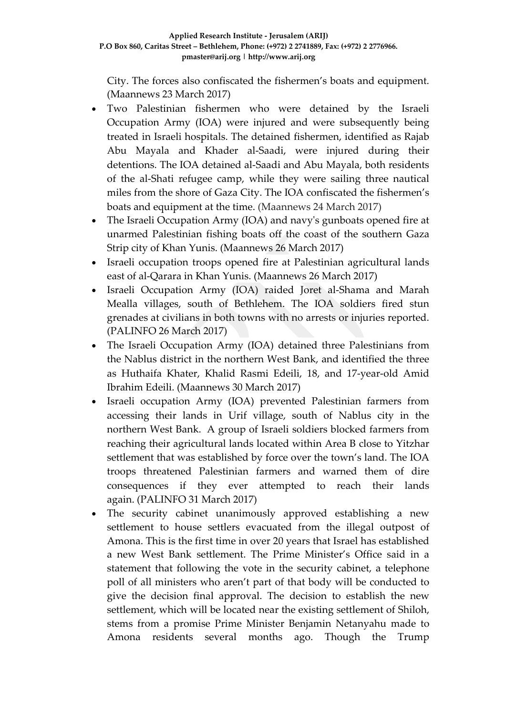City. The forces also confiscated the fishermen's boats and equipment. (Maannews 23 March 2017)

- Two Palestinian fishermen who were detained by the Israeli Occupation Army (IOA) were injured and were subsequently being treated in Israeli hospitals. The detained fishermen, identified as Rajab Abu Mayala and Khader al-Saadi, were injured during their detentions. The IOA detained al-Saadi and Abu Mayala, both residents of the al-Shati refugee camp, while they were sailing three nautical miles from the shore of Gaza City. The IOA confiscated the fishermen's boats and equipment at the time. (Maannews 24 March 2017)
- The Israeli Occupation Army (IOA) and navy's gunboats opened fire at unarmed Palestinian fishing boats off the coast of the southern Gaza Strip city of Khan Yunis. (Maannews 26 March 2017)
- Israeli occupation troops opened fire at Palestinian agricultural lands east of al-Qarara in Khan Yunis. (Maannews 26 March 2017)
- Israeli Occupation Army (IOA) raided Joret al-Shama and Marah Mealla villages, south of Bethlehem. The IOA soldiers fired stun grenades at civilians in both towns with no arrests or injuries reported. (PALINFO 26 March 2017)
- The Israeli Occupation Army (IOA) detained three Palestinians from the Nablus district in the northern West Bank, and identified the three as Huthaifa Khater, Khalid Rasmi Edeili, 18, and 17-year-old Amid Ibrahim Edeili. (Maannews 30 March 2017)
- Israeli occupation Army (IOA) prevented Palestinian farmers from accessing their lands in Urif village, south of Nablus city in the northern West Bank. A group of Israeli soldiers blocked farmers from reaching their agricultural lands located within Area B close to Yitzhar settlement that was established by force over the town's land. The IOA troops threatened Palestinian farmers and warned them of dire consequences if they ever attempted to reach their lands again. (PALINFO 31 March 2017)
- The security cabinet unanimously approved establishing a new settlement to house settlers evacuated from the illegal outpost of Amona. This is the first time in over 20 years that Israel has established a new West Bank settlement. The Prime Minister's Office said in a statement that following the vote in the security cabinet, a telephone poll of all ministers who aren't part of that body will be conducted to give the decision final approval. The decision to establish the new settlement, which will be located near the existing settlement of Shiloh, stems from a promise Prime Minister Benjamin Netanyahu made to Amona residents several months ago. Though the Trump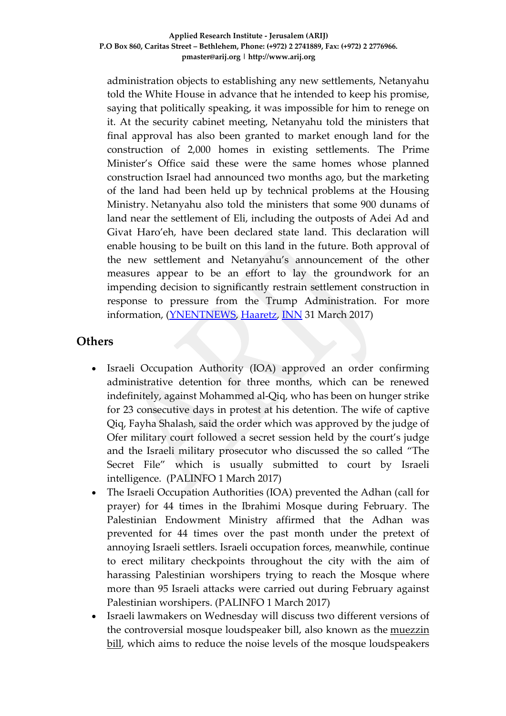administration objects to establishing any new settlements, Netanyahu told the White House in advance that he intended to keep his promise, saying that politically speaking, it was impossible for him to renege on it. At the security cabinet meeting, Netanyahu told the ministers that final approval has also been granted to market enough land for the construction of 2,000 homes in existing settlements. The Prime Minister's Office said these were the same homes whose planned construction Israel had announced two months ago, but the marketing of the land had been held up by technical problems at the Housing Ministry. Netanyahu also told the ministers that some 900 dunams of land near the settlement of Eli, including the outposts of Adei Ad and Givat Haro'eh, have been declared state land. This declaration will enable housing to be built on this land in the future. Both approval of the new settlement and Netanyahu's announcement of the other measures appear to be an effort to lay the groundwork for an impending decision to significantly restrain settlement construction in response to pressure from the Trump Administration. For more information, (*YNENTNEWS*, *Haaretz*, *INN* 31 March 2017)

# **Others**

- Israeli Occupation Authority (IOA) approved an order confirming administrative detention for three months, which can be renewed indefinitely, against Mohammed al-Qiq, who has been on hunger strike for 23 consecutive days in protest at his detention. The wife of captive Qiq, Fayha Shalash, said the order which was approved by the judge of Ofer military court followed a secret session held by the court's judge and the Israeli military prosecutor who discussed the so called "The Secret File" which is usually submitted to court by Israeli intelligence. (PALINFO 1 March 2017)
- The Israeli Occupation Authorities (IOA) prevented the Adhan (call for prayer) for 44 times in the Ibrahimi Mosque during February. The Palestinian Endowment Ministry affirmed that the Adhan was prevented for 44 times over the past month under the pretext of annoying Israeli settlers. Israeli occupation forces, meanwhile, continue to erect military checkpoints throughout the city with the aim of harassing Palestinian worshipers trying to reach the Mosque where more than 95 Israeli attacks were carried out during February against Palestinian worshipers. (PALINFO 1 March 2017)
- Israeli lawmakers on Wednesday will discuss two different versions of the controversial mosque loudspeaker bill, also known as the [muezzin](http://www.israelhayom.com/site/newsletter_article.php?id=38133)  [bill,](http://www.israelhayom.com/site/newsletter_article.php?id=38133) which aims to reduce the noise levels of the mosque loudspeakers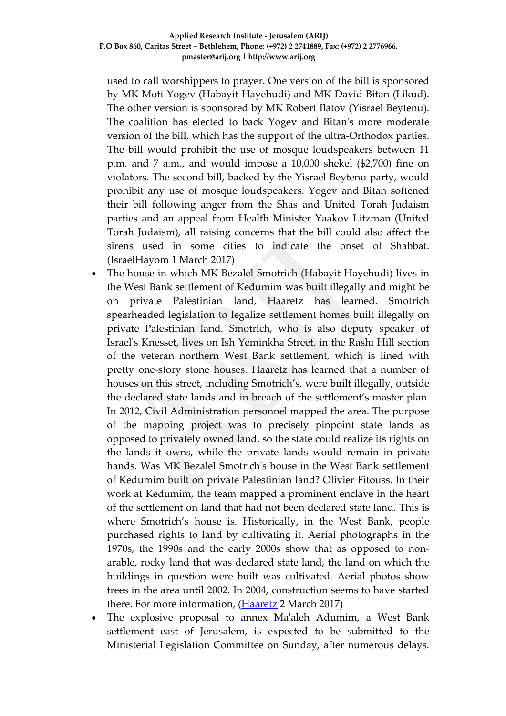used to call worshippers to prayer. One version of the bill is sponsored by MK Moti Yogev (Habayit Hayehudi) and MK David Bitan (Likud). The other version is sponsored by MK Robert Ilatov (Yisrael Beytenu). The coalition has elected to back Yogev and Bitan's more moderate version of the bill, which has the support of the ultra-Orthodox parties. The bill would prohibit the use of mosque loudspeakers between 11 p.m. and 7 a.m., and would impose a 10,000 shekel (\$2,700) fine on violators. The second bill, backed by the Yisrael Beytenu party, would prohibit any use of mosque loudspeakers. Yogev and Bitan softened their bill following anger from the Shas and United Torah Judaism parties and an appeal from Health Minister Yaakov Litzman (United Torah Judaism), all raising concerns that the bill could also affect the sirens used in some cities to indicate the onset of Shabbat. (IsraelHayom 1 March 2017)

- The house in which MK Bezalel Smotrich (Habayit Hayehudi) lives in the West Bank settlement of Kedumim was built illegally and might be on private Palestinian land, Haaretz has learned. Smotrich spearheaded legislation to legalize settlement homes built illegally on private Palestinian land. Smotrich, who is also deputy speaker of Israel's Knesset, lives on Ish Yeminkha Street, in the Rashi Hill section of the veteran northern West Bank settlement, which is lined with pretty one-story stone houses. Haaretz has learned that a number of houses on this street, including Smotrich's, were built illegally, outside the declared state lands and in breach of the settlement's master plan. In 2012, Civil Administration personnel mapped the area. The purpose of the mapping project was to precisely pinpoint state lands as opposed to privately owned land, so the state could realize its rights on the lands it owns, while the private lands would remain in private hands. Was MK Bezalel Smotrich's house in the West Bank settlement of Kedumim built on private Palestinian land? Olivier Fitouss. In their work at Kedumim, the team mapped a prominent enclave in the heart of the settlement on land that had not been declared state land. This is where Smotrich's house is. Historically, in the West Bank, people purchased rights to land by cultivating it. Aerial photographs in the 1970s, the 1990s and the early 2000s show that as opposed to nonarable, rocky land that was declared state land, the land on which the buildings in question were built was cultivated. Aerial photos show trees in the area until 2002. In 2004, construction seems to have started there. For more information, [\(Haaretz](http://www.haaretz.com/israel-news/.premium-1.774722) 2 March 2017)
- The explosive proposal to annex Ma'aleh Adumim, a West Bank settlement east of Jerusalem, is expected to be submitted to the Ministerial Legislation Committee on Sunday, after numerous delays.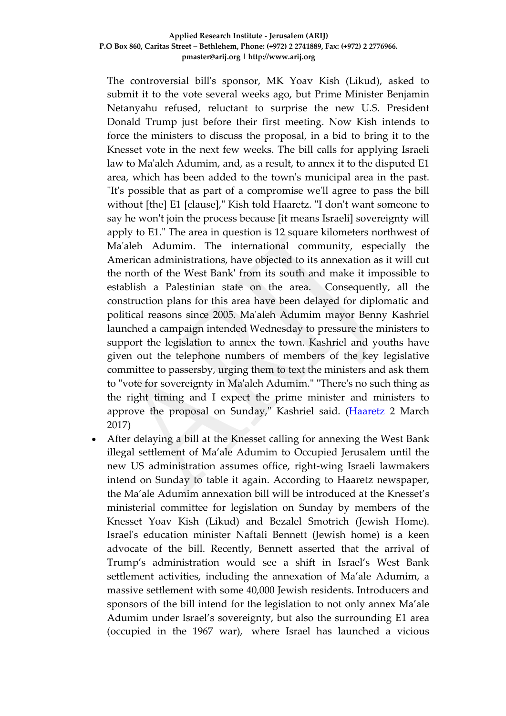## **Applied Research Institute - Jerusalem (ARIJ) P.O Box 860, Caritas Street – Bethlehem, Phone: (+972) 2 2741889, Fax: (+972) 2 2776966. pmaster@arij.org | http://www.arij.org**

The controversial bill's sponsor, MK Yoav Kish (Likud), asked to submit it to the vote several weeks ago, but Prime Minister Benjamin Netanyahu refused, reluctant to surprise the new U.S. President Donald Trump just before their first meeting. Now Kish intends to force the ministers to discuss the proposal, in a bid to bring it to the Knesset vote in the next few weeks. The bill calls for applying Israeli law to Ma'aleh Adumim, and, as a result, to annex it to the disputed E1 area, which has been added to the town's municipal area in the past. "It's possible that as part of a compromise we'll agree to pass the bill without [the] E1 [clause]," Kish told Haaretz. "I don't want someone to say he won't join the process because [it means Israeli] sovereignty will apply to E1." The area in question is 12 square kilometers northwest of Ma'aleh Adumim. The international community, especially the American administrations, have objected to its annexation as it will cut the north of the West Bank' from its south and make it impossible to establish a Palestinian state on the area. Consequently, all the construction plans for this area have been delayed for diplomatic and political reasons since 2005. Ma'aleh Adumim mayor Benny Kashriel launched a campaign intended Wednesday to pressure the ministers to support the legislation to annex the town. Kashriel and youths have given out the telephone numbers of members of the key legislative committee to passersby, urging them to text the ministers and ask them to "vote for sovereignty in Ma'aleh Adumim." "There's no such thing as the right timing and I expect the prime minister and ministers to approve the proposal on Sunday," Kashriel said. [\(Haaretz](http://www.haaretz.com/israel-news/.premium-1.774755) 2 March 2017)

• After delaying a bill at the Knesset calling for annexing the West Bank illegal settlement of Ma'ale Adumim to Occupied Jerusalem until the new US administration assumes office, right-wing Israeli lawmakers intend on Sunday to table it again. According to Haaretz newspaper, the Ma'ale Adumim annexation bill will be introduced at the Knesset's ministerial committee for legislation on Sunday by members of the Knesset Yoav Kish (Likud) and Bezalel Smotrich (Jewish Home). Israel's education minister Naftali Bennett (Jewish home) is a keen advocate of the bill. Recently, Bennett asserted that the arrival of Trump's administration would see a shift in Israel's West Bank settlement activities, including the annexation of Ma'ale Adumim, a massive settlement with some 40,000 Jewish residents. Introducers and sponsors of the bill intend for the legislation to not only annex Ma'ale Adumim under Israel's sovereignty, but also the surrounding E1 area (occupied in the 1967 war), where Israel has launched a vicious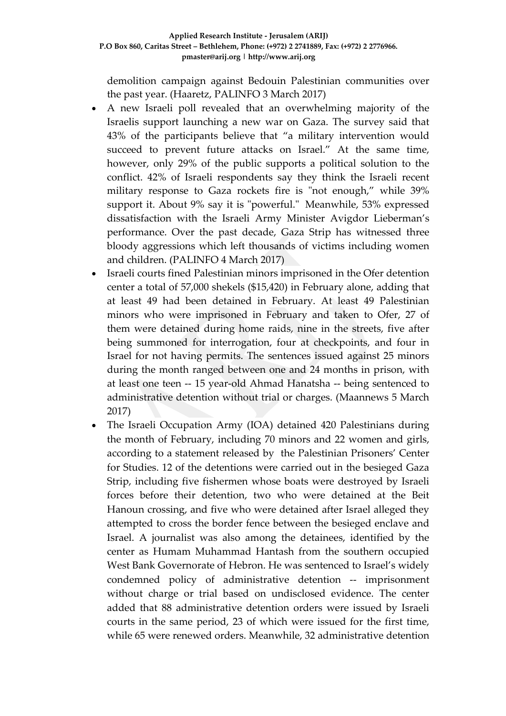demolition campaign against Bedouin Palestinian communities over the past year. (Haaretz, PALINFO 3 March 2017)

- A new Israeli poll revealed that an overwhelming majority of the Israelis support launching a new war on Gaza. The survey said that 43% of the participants believe that "a military intervention would succeed to prevent future attacks on Israel." At the same time, however, only 29% of the public supports a political solution to the conflict. 42% of Israeli respondents say they think the Israeli recent military response to Gaza rockets fire is "not enough," while 39% support it. About 9% say it is "powerful." Meanwhile, 53% expressed dissatisfaction with the Israeli Army Minister Avigdor Lieberman's performance. Over the past decade, Gaza Strip has witnessed three bloody aggressions which left thousands of victims including women and children. (PALINFO 4 March 2017)
- Israeli courts fined Palestinian minors imprisoned in the Ofer detention center a total of 57,000 shekels (\$15,420) in February alone, adding that at least 49 had been detained in February. At least 49 Palestinian minors who were imprisoned in February and taken to Ofer, 27 of them were detained during home raids, nine in the streets, five after being summoned for interrogation, four at checkpoints, and four in Israel for not having permits. The sentences issued against 25 minors during the month ranged between one and 24 months in prison, with at least one teen -- 15 year-old Ahmad Hanatsha -- being sentenced to administrative detention without trial or charges. (Maannews 5 March 2017)
- The Israeli Occupation Army (IOA) detained 420 Palestinians during the month of February, including 70 minors and 22 women and girls, according to a statement released by the Palestinian Prisoners' Center for Studies. 12 of the detentions were carried out in the besieged Gaza Strip, including five fishermen whose boats were destroyed by Israeli forces before their detention, two who were detained at the Beit Hanoun crossing, and five who were detained after Israel alleged they attempted to cross the border fence between the besieged enclave and Israel. A journalist was also among the detainees, identified by the center as Humam Muhammad Hantash from the southern occupied West Bank Governorate of Hebron. He was sentenced to Israel's widely condemned policy of administrative detention -- imprisonment without charge or trial based on undisclosed evidence. The center added that 88 administrative detention orders were issued by Israeli courts in the same period, 23 of which were issued for the first time, while 65 were renewed orders. Meanwhile, 32 administrative detention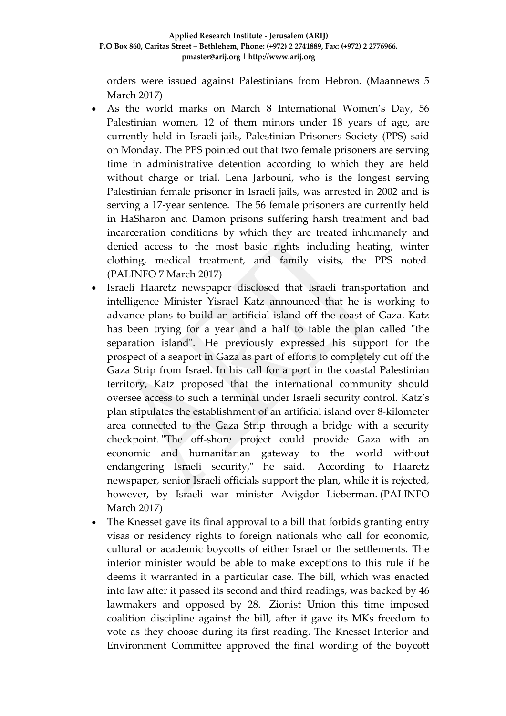orders were issued against Palestinians from Hebron. (Maannews 5 March 2017)

- As the world marks on March 8 International Women's Day, 56 Palestinian women, 12 of them minors under 18 years of age, are currently held in Israeli jails, Palestinian Prisoners Society (PPS) said on Monday. The PPS pointed out that two female prisoners are serving time in administrative detention according to which they are held without charge or trial. Lena Jarbouni, who is the longest serving Palestinian female prisoner in Israeli jails, was arrested in 2002 and is serving a 17-year sentence. The 56 female prisoners are currently held in HaSharon and Damon prisons suffering harsh treatment and bad incarceration conditions by which they are treated inhumanely and denied access to the most basic rights including heating, winter clothing, medical treatment, and family visits, the PPS noted. (PALINFO 7 March 2017)
- Israeli Haaretz newspaper disclosed that Israeli transportation and intelligence Minister Yisrael Katz announced that he is working to advance plans to build an artificial island off the coast of Gaza. Katz has been trying for a year and a half to table the plan called "the separation island". He previously expressed his support for the prospect of a seaport in Gaza as part of efforts to completely cut off the Gaza Strip from Israel. In his call for a port in the coastal Palestinian territory, Katz proposed that the international community should oversee access to such a terminal under Israeli security control. Katz's plan stipulates the establishment of an artificial island over 8-kilometer area connected to the Gaza Strip through a bridge with a security checkpoint. "The off-shore project could provide Gaza with an economic and humanitarian gateway to the world without endangering Israeli security," he said. According to Haaretz newspaper, senior Israeli officials support the plan, while it is rejected, however, by Israeli war minister Avigdor Lieberman. (PALINFO March 2017)
- The Knesset gave its final approval to a bill that forbids granting entry visas or residency rights to foreign nationals who call for economic, cultural or academic boycotts of either Israel or the settlements. The interior minister would be able to make exceptions to this rule if he deems it warranted in a particular case. The bill, which was enacted into law after it passed its second and third readings, was backed by 46 lawmakers and opposed by 28. Zionist Union this time imposed coalition discipline against the bill, after it gave its MKs freedom to vote as they choose during its first reading. The Knesset Interior and Environment Committee approved the final wording of the boycott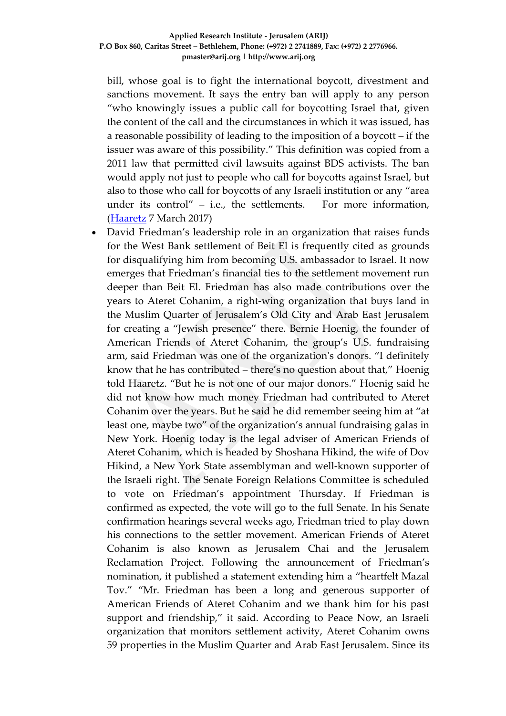bill, whose goal is to fight the international boycott, divestment and sanctions movement. It says the entry ban will apply to any person "who knowingly issues a public call for boycotting Israel that, given the content of the call and the circumstances in which it was issued, has a reasonable possibility of leading to the imposition of a boycott – if the issuer was aware of this possibility." This definition was copied from a 2011 law that permitted civil lawsuits against BDS activists. The ban would apply not just to people who call for boycotts against Israel, but also to those who call for boycotts of any Israeli institution or any "area under its control" – i.e., the settlements. For more information, [\(Haaretz](http://www.haaretz.com/israel-news/.premium-1.775614) 7 March 2017)

• David Friedman's leadership role in an organization that raises funds for the West Bank settlement of Beit El is frequently cited as grounds for disqualifying him from becoming U.S. ambassador to Israel. It now emerges that Friedman's financial ties to the settlement movement run deeper than Beit El. Friedman has also made contributions over the years to Ateret Cohanim, a right-wing organization that buys land in the Muslim Quarter of Jerusalem's Old City and Arab East Jerusalem for creating a "Jewish presence" there. Bernie Hoenig, the founder of American Friends of Ateret Cohanim, the group's U.S. fundraising arm, said Friedman was one of the organization's donors. "I definitely know that he has contributed – there's no question about that," Hoenig told Haaretz. "But he is not one of our major donors." Hoenig said he did not know how much money Friedman had contributed to Ateret Cohanim over the years. But he said he did remember seeing him at "at least one, maybe two" of the organization's annual fundraising galas in New York. Hoenig today is the legal adviser of American Friends of Ateret Cohanim, which is headed by Shoshana Hikind, the wife of Dov Hikind, a New York State assemblyman and well-known supporter of the Israeli right. The Senate Foreign Relations Committee is scheduled to vote on Friedman's appointment Thursday. If Friedman is confirmed as expected, the vote will go to the full Senate. In his Senate confirmation hearings several weeks ago, Friedman tried to play down his connections to the settler movement. American Friends of Ateret Cohanim is also known as Jerusalem Chai and the Jerusalem Reclamation Project. Following the announcement of Friedman's nomination, it published a statement extending him a "heartfelt Mazal Tov." "Mr. Friedman has been a long and generous supporter of American Friends of Ateret Cohanim and we thank him for his past support and friendship," it said. According to Peace Now, an Israeli organization that monitors settlement activity, Ateret Cohanim owns 59 properties in the Muslim Quarter and Arab East Jerusalem. Since its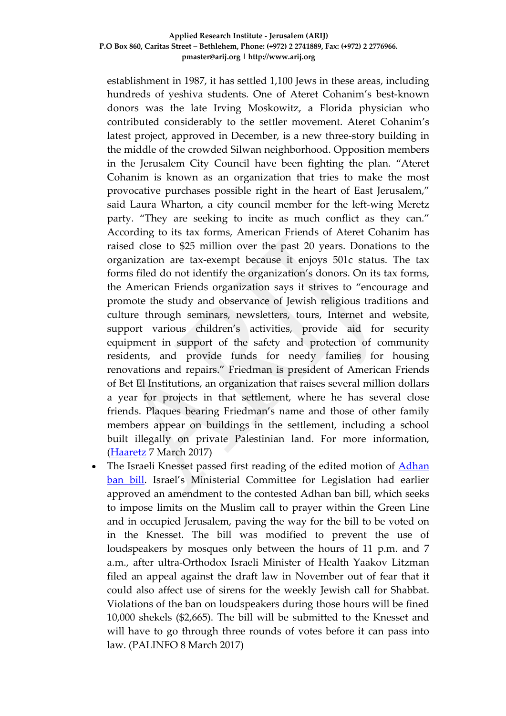## **Applied Research Institute - Jerusalem (ARIJ) P.O Box 860, Caritas Street – Bethlehem, Phone: (+972) 2 2741889, Fax: (+972) 2 2776966. pmaster@arij.org | http://www.arij.org**

establishment in 1987, it has settled 1,100 Jews in these areas, including hundreds of yeshiva students. One of Ateret Cohanim's best-known donors was the late Irving Moskowitz, a Florida physician who contributed considerably to the settler movement. Ateret Cohanim's latest project, approved in December, is a new three-story building in the middle of the crowded Silwan neighborhood. Opposition members in the Jerusalem City Council have been fighting the plan. "Ateret Cohanim is known as an organization that tries to make the most provocative purchases possible right in the heart of East Jerusalem," said Laura Wharton, a city council member for the left-wing Meretz party. "They are seeking to incite as much conflict as they can." According to its tax forms, American Friends of Ateret Cohanim has raised close to \$25 million over the past 20 years. Donations to the organization are tax-exempt because it enjoys 501c status. The tax forms filed do not identify the organization's donors. On its tax forms, the American Friends organization says it strives to "encourage and promote the study and observance of Jewish religious traditions and culture through seminars, newsletters, tours, Internet and website, support various children's activities, provide aid for security equipment in support of the safety and protection of community residents, and provide funds for needy families for housing renovations and repairs." Friedman is president of American Friends of Bet El Institutions, an organization that raises several million dollars a year for projects in that settlement, where he has several close friends. Plaques bearing Friedman's name and those of other family members appear on buildings in the settlement, including a school built illegally on private Palestinian land. For more information, [\(Haaretz](http://www.haaretz.com/us-news/.premium-1.775611) 7 March 2017)

The Israeli Knesset passed first reading of the edited motion of Adhan [ban bill.](http://www.ynetnews.com/articles/0,7340,L-4932562,00.html) Israel's Ministerial Committee for Legislation had earlier approved an amendment to the contested Adhan ban bill, which seeks to impose limits on the Muslim call to prayer within the Green Line and in occupied Jerusalem, paving the way for the bill to be voted on in the Knesset. The bill was modified to prevent the use of loudspeakers by mosques only between the hours of 11 p.m. and 7 a.m., after ultra-Orthodox Israeli Minister of Health Yaakov Litzman filed an appeal against the draft law in November out of fear that it could also affect use of sirens for the weekly Jewish call for Shabbat. Violations of the ban on loudspeakers during those hours will be fined 10,000 shekels (\$2,665). The bill will be submitted to the Knesset and will have to go through three rounds of votes before it can pass into law. (PALINFO 8 March 2017)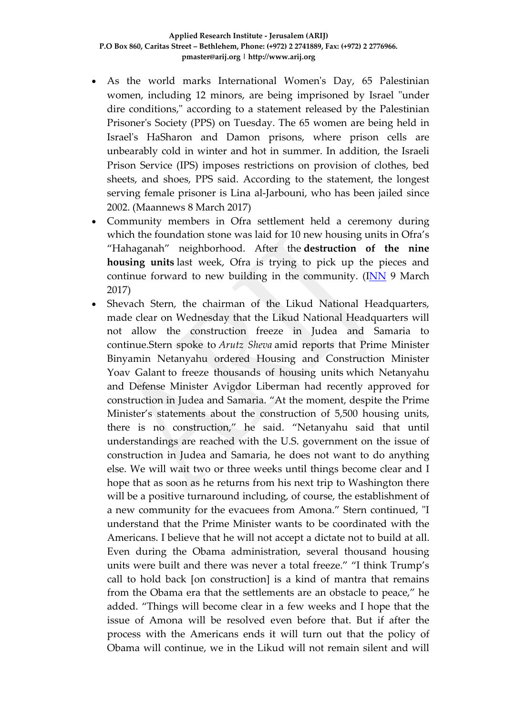- As the world marks International Women's Day, 65 Palestinian women, including 12 minors, are being imprisoned by Israel "under dire conditions," according to a statement released by the Palestinian Prisoner's Society (PPS) on Tuesday. The 65 women are being held in Israel's HaSharon and Damon prisons, where prison cells are unbearably cold in winter and hot in summer. In addition, the Israeli Prison Service (IPS) imposes restrictions on provision of clothes, bed sheets, and shoes, PPS said. According to the statement, the longest serving female prisoner is Lina al-Jarbouni, who has been jailed since 2002. (Maannews 8 March 2017)
- Community members in Ofra settlement held a ceremony during which the foundation stone was laid for 10 new housing units in Ofra's "Hahaganah" neighborhood. After the **destruction of the nine housing units** last week, Ofra is trying to pick up the pieces and continue forward to new building in the community. ([INN](http://www.israelnationalnews.com/News/News.aspx/226409) 9 March 2017)
- Shevach Stern, the chairman of the Likud National Headquarters, made clear on Wednesday that the Likud National Headquarters will not allow the construction freeze in Judea and Samaria to continue.Stern spoke to *Arutz Sheva* amid reports that Prime Minister Binyamin Netanyahu ordered Housing and Construction Minister Yoav Galant to freeze thousands of housing units which Netanyahu and Defense Minister Avigdor Liberman had recently approved for construction in Judea and Samaria. "At the moment, despite the Prime Minister's statements about the construction of 5,500 housing units, there is no construction," he said. "Netanyahu said that until understandings are reached with the U.S. government on the issue of construction in Judea and Samaria, he does not want to do anything else. We will wait two or three weeks until things become clear and I hope that as soon as he returns from his next trip to Washington there will be a positive turnaround including, of course, the establishment of a new community for the evacuees from Amona." Stern continued, "I understand that the Prime Minister wants to be coordinated with the Americans. I believe that he will not accept a dictate not to build at all. Even during the Obama administration, several thousand housing units were built and there was never a total freeze." "I think Trump's call to hold back [on construction] is a kind of mantra that remains from the Obama era that the settlements are an obstacle to peace," he added. "Things will become clear in a few weeks and I hope that the issue of Amona will be resolved even before that. But if after the process with the Americans ends it will turn out that the policy of Obama will continue, we in the Likud will not remain silent and will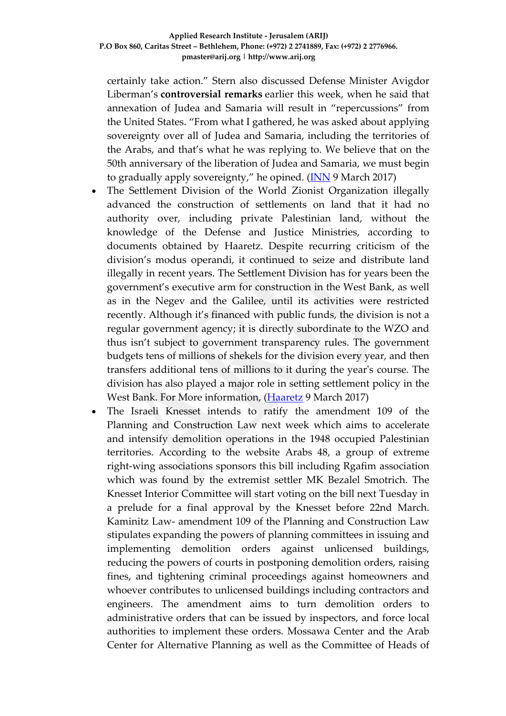certainly take action." Stern also discussed Defense Minister Avigdor Liberman's **controversial remarks** earlier this week, when he said that annexation of Judea and Samaria will result in "repercussions" from the United States. "From what I gathered, he was asked about applying sovereignty over all of Judea and Samaria, including the territories of the Arabs, and that's what he was replying to. We believe that on the 50th anniversary of the liberation of Judea and Samaria, we must begin to gradually apply sovereignty," he opined.  $(\overline{\text{INN}})$  March 2017)

- The Settlement Division of the World Zionist Organization illegally advanced the construction of settlements on land that it had no authority over, including private Palestinian land, without the knowledge of the Defense and Justice Ministries, according to documents obtained by Haaretz. Despite recurring criticism of the division's modus operandi, it continued to seize and distribute land illegally in recent years. The Settlement Division has for years been the government's executive arm for construction in the West Bank, as well as in the Negev and the Galilee, until its activities were restricted recently. Although it's financed with public funds, the division is not a regular government agency; it is directly subordinate to the WZO and thus isn't subject to government transparency rules. The government budgets tens of millions of shekels for the division every year, and then transfers additional tens of millions to it during the year's course. The division has also played a major role in setting settlement policy in the West Bank. For More information, [\(Haaretz](http://www.haaretz.com/israel-news/.premium-1.776119) 9 March 2017)
- The Israeli Knesset intends to ratify the amendment 109 of the Planning and Construction Law next week which aims to accelerate and intensify demolition operations in the 1948 occupied Palestinian territories. According to the website Arabs 48, a group of extreme right-wing associations sponsors this bill including Rgafim association which was found by the extremist settler MK Bezalel Smotrich. The Knesset Interior Committee will start voting on the bill next Tuesday in a prelude for a final approval by the Knesset before 22nd March. Kaminitz Law- amendment 109 of the Planning and Construction Law stipulates expanding the powers of planning committees in issuing and implementing demolition orders against unlicensed buildings, reducing the powers of courts in postponing demolition orders, raising fines, and tightening criminal proceedings against homeowners and whoever contributes to unlicensed buildings including contractors and engineers. The amendment aims to turn demolition orders to administrative orders that can be issued by inspectors, and force local authorities to implement these orders. Mossawa Center and the Arab Center for Alternative Planning as well as the Committee of Heads of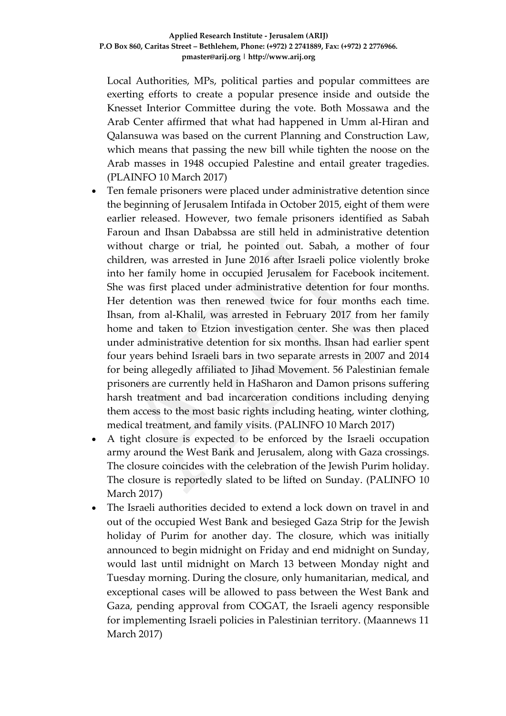Local Authorities, MPs, political parties and popular committees are exerting efforts to create a popular presence inside and outside the Knesset Interior Committee during the vote. Both Mossawa and the Arab Center affirmed that what had happened in Umm al-Hiran and Qalansuwa was based on the current Planning and Construction Law, which means that passing the new bill while tighten the noose on the Arab masses in 1948 occupied Palestine and entail greater tragedies. (PLAINFO 10 March 2017)

- Ten female prisoners were placed under administrative detention since the beginning of Jerusalem Intifada in October 2015, eight of them were earlier released. However, two female prisoners identified as Sabah Faroun and Ihsan Dababssa are still held in administrative detention without charge or trial, he pointed out. Sabah, a mother of four children, was arrested in June 2016 after Israeli police violently broke into her family home in occupied Jerusalem for Facebook incitement. She was first placed under administrative detention for four months. Her detention was then renewed twice for four months each time. Ihsan, from al-Khalil, was arrested in February 2017 from her family home and taken to Etzion investigation center. She was then placed under administrative detention for six months. Ihsan had earlier spent four years behind Israeli bars in two separate arrests in 2007 and 2014 for being allegedly affiliated to Jihad Movement. 56 Palestinian female prisoners are currently held in HaSharon and Damon prisons suffering harsh treatment and bad incarceration conditions including denying them access to the most basic rights including heating, winter clothing, medical treatment, and family visits. (PALINFO 10 March 2017)
- A tight closure is expected to be enforced by the Israeli occupation army around the West Bank and Jerusalem, along with Gaza crossings. The closure coincides with the celebration of the Jewish Purim holiday. The closure is reportedly slated to be lifted on Sunday. (PALINFO 10 March 2017)
- The Israeli authorities decided to extend a lock down on travel in and out of the occupied West Bank and besieged Gaza Strip for the Jewish holiday of Purim for another day. The closure, which was initially announced to begin midnight on Friday and end midnight on Sunday, would last until midnight on March 13 between Monday night and Tuesday morning. During the closure, only humanitarian, medical, and exceptional cases will be allowed to pass between the West Bank and Gaza, pending approval from COGAT, the Israeli agency responsible for implementing Israeli policies in Palestinian territory. (Maannews 11 March 2017)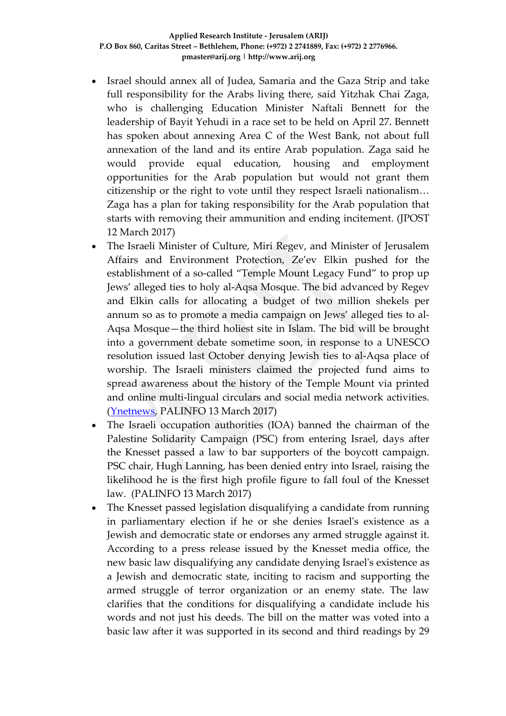- Israel should annex all of Judea, Samaria and the Gaza Strip and take full responsibility for the Arabs living there, said Yitzhak Chai Zaga, who is challenging Education Minister Naftali Bennett for the leadership of Bayit Yehudi in a race set to be held on April 27. Bennett has spoken about annexing Area C of the West Bank, not about full annexation of the land and its entire Arab population. Zaga said he would provide equal education, housing and employment opportunities for the Arab population but would not grant them citizenship or the right to vote until they respect Israeli nationalism… Zaga has a plan for taking responsibility for the Arab population that starts with removing their ammunition and ending incitement. (JPOST 12 March 2017)
- The Israeli Minister of Culture, Miri Regev, and Minister of Jerusalem Affairs and Environment Protection, Ze'ev Elkin pushed for the establishment of a so-called "Temple Mount Legacy Fund" to prop up Jews' alleged ties to holy al-Aqsa Mosque. The bid advanced by Regev and Elkin calls for allocating a budget of two million shekels per annum so as to promote a media campaign on Jews' alleged ties to al-Aqsa Mosque—the third holiest site in Islam. The bid will be brought into a government debate sometime soon, in response to a UNESCO resolution issued last October denying Jewish ties to al-Aqsa place of worship. The Israeli ministers claimed the projected fund aims to spread awareness about the history of the Temple Mount via printed and online multi-lingual circulars and social media network activities. [\(Ynetnews,](http://www.ynetnews.com/articles/0,7340,L-4934611,00.html) PALINFO 13 March 2017)
- The Israeli occupation authorities (IOA) banned the chairman of the Palestine Solidarity Campaign (PSC) from entering Israel, days after the Knesset passed a law to bar supporters of the boycott campaign. PSC chair, Hugh Lanning, has been denied entry into Israel, raising the likelihood he is the first high profile figure to fall foul of the Knesset law. (PALINFO 13 March 2017)
- The Knesset passed legislation disqualifying a candidate from running in parliamentary election if he or she denies Israel's existence as a Jewish and democratic state or endorses any armed struggle against it. According to a press release issued by the Knesset media office, the new basic law disqualifying any candidate denying Israel's existence as a Jewish and democratic state, inciting to racism and supporting the armed struggle of terror organization or an enemy state. The law clarifies that the conditions for disqualifying a candidate include his words and not just his deeds. The bill on the matter was voted into a basic law after it was supported in its second and third readings by 29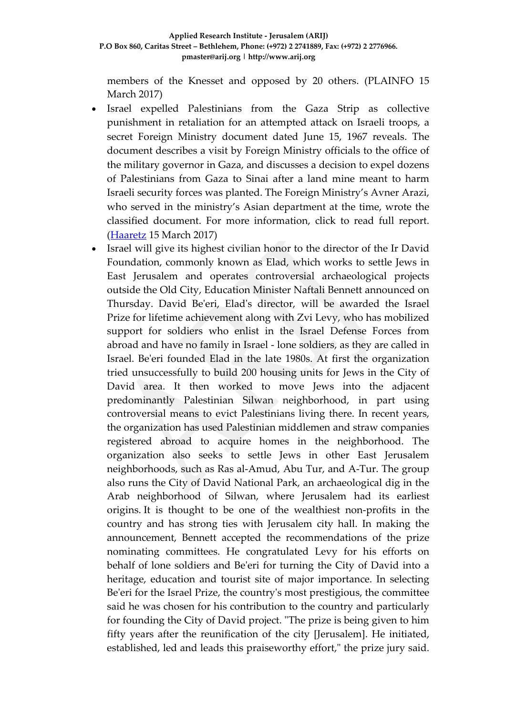members of the Knesset and opposed by 20 others. (PLAINFO 15 March 2017)

- Israel expelled Palestinians from the Gaza Strip as collective punishment in retaliation for an attempted attack on Israeli troops, a secret Foreign Ministry document dated June 15, 1967 reveals. The document describes a visit by Foreign Ministry officials to the office of the military governor in Gaza, and discusses a decision to expel dozens of Palestinians from Gaza to Sinai after a land mine meant to harm Israeli security forces was planted. The Foreign Ministry's Avner Arazi, who served in the ministry's Asian department at the time, wrote the classified document. For more information, click to read full report. [\(Haaretz](http://www.haaretz.com/israel-news/.premium-1.777334?=&ts=_1490008692960) 15 March 2017)
- Israel will give its highest civilian honor to the director of the Ir David Foundation, commonly known as Elad, which works to settle Jews in East Jerusalem and operates controversial archaeological projects outside the Old City, Education Minister Naftali Bennett announced on Thursday. David Be'eri, Elad's director, will be awarded the Israel Prize for lifetime achievement along with Zvi Levy, who has mobilized support for soldiers who enlist in the Israel Defense Forces from abroad and have no family in Israel - lone soldiers, as they are called in Israel. Be'eri founded Elad in the late 1980s. At first the organization tried unsuccessfully to build 200 housing units for Jews in the City of David area. It then worked to move Jews into the adjacent predominantly Palestinian Silwan neighborhood, in part using controversial means to evict Palestinians living there. In recent years, the organization has used Palestinian middlemen and straw companies registered abroad to acquire homes in the neighborhood. The organization also seeks to settle Jews in other East Jerusalem neighborhoods, such as Ras al-Amud, Abu Tur, and A-Tur. The group also runs the City of David National Park, an archaeological dig in the Arab neighborhood of Silwan, where Jerusalem had its earliest origins. It is thought to be one of the wealthiest non-profits in the country and has strong ties with Jerusalem city hall. In making the announcement, Bennett accepted the recommendations of the prize nominating committees. He congratulated Levy for his efforts on behalf of lone soldiers and Be'eri for turning the City of David into a heritage, education and tourist site of major importance. In selecting Be'eri for the Israel Prize, the country's most prestigious, the committee said he was chosen for his contribution to the country and particularly for founding the City of David project. "The prize is being given to him fifty years after the reunification of the city [Jerusalem]. He initiated, established, led and leads this praiseworthy effort," the prize jury said.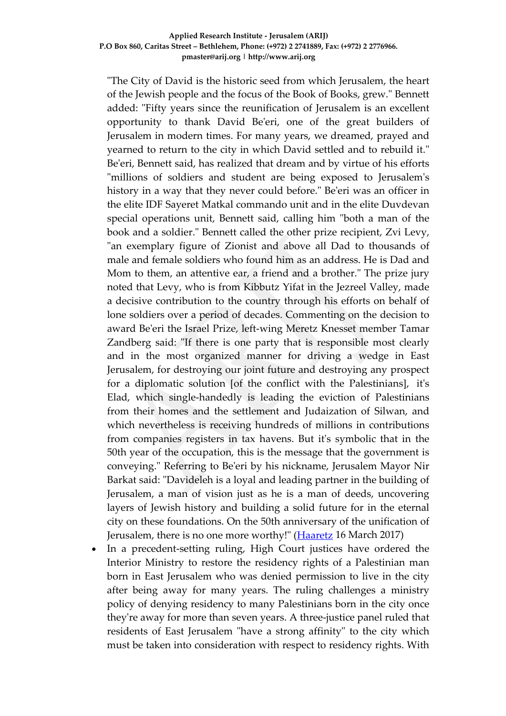"The City of David is the historic seed from which Jerusalem, the heart of the Jewish people and the focus of the Book of Books, grew." Bennett added: "Fifty years since the reunification of Jerusalem is an excellent opportunity to thank David Be'eri, one of the great builders of Jerusalem in modern times. For many years, we dreamed, prayed and yearned to return to the city in which David settled and to rebuild it." Be'eri, Bennett said, has realized that dream and by virtue of his efforts "millions of soldiers and student are being exposed to Jerusalem's history in a way that they never could before." Be'eri was an officer in the elite IDF Sayeret Matkal commando unit and in the elite Duvdevan special operations unit, Bennett said, calling him "both a man of the book and a soldier." Bennett called the other prize recipient, Zvi Levy, "an exemplary figure of Zionist and above all Dad to thousands of male and female soldiers who found him as an address. He is Dad and Mom to them, an attentive ear, a friend and a brother." The prize jury noted that Levy, who is from Kibbutz Yifat in the Jezreel Valley, made a decisive contribution to the country through his efforts on behalf of lone soldiers over a period of decades. Commenting on the decision to award Be'eri the Israel Prize, left-wing Meretz Knesset member Tamar Zandberg said: "If there is one party that is responsible most clearly and in the most organized manner for driving a wedge in East Jerusalem, for destroying our joint future and destroying any prospect for a diplomatic solution [of the conflict with the Palestinians], it's Elad, which single-handedly is leading the eviction of Palestinians from their homes and the settlement and Judaization of Silwan, and which nevertheless is receiving hundreds of millions in contributions from companies registers in tax havens. But it's symbolic that in the 50th year of the occupation, this is the message that the government is conveying." Referring to Be'eri by his nickname, Jerusalem Mayor Nir Barkat said: "Davideleh is a loyal and leading partner in the building of Jerusalem, a man of vision just as he is a man of deeds, uncovering layers of Jewish history and building a solid future for in the eternal city on these foundations. On the 50th anniversary of the unification of Jerusalem, there is no one more worthy!" [\(Haaretz](http://www.haaretz.com/israel-news/.premium-1.777765) 16 March 2017)

• In a precedent-setting ruling, High Court justices have ordered the Interior Ministry to restore the residency rights of a Palestinian man born in East Jerusalem who was denied permission to live in the city after being away for many years. The ruling challenges a ministry policy of denying residency to many Palestinians born in the city once they're away for more than seven years. A three-justice panel ruled that residents of East Jerusalem "have a strong affinity" to the city which must be taken into consideration with respect to residency rights. With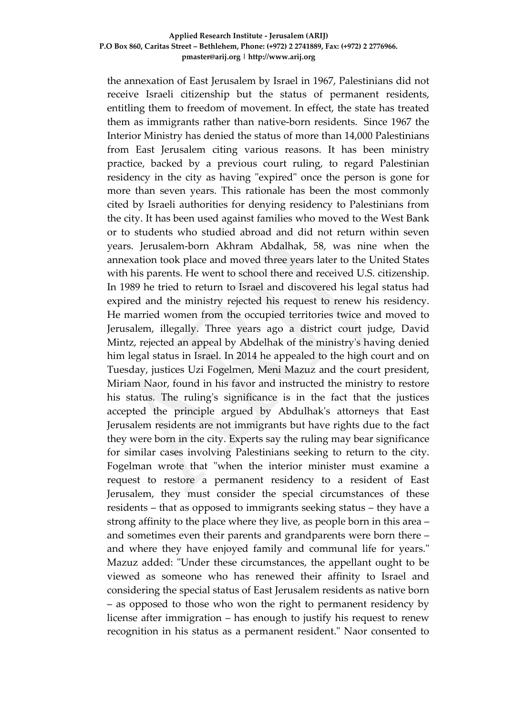### **Applied Research Institute - Jerusalem (ARIJ) P.O Box 860, Caritas Street – Bethlehem, Phone: (+972) 2 2741889, Fax: (+972) 2 2776966. pmaster@arij.org | http://www.arij.org**

the annexation of East Jerusalem by Israel in 1967, Palestinians did not receive Israeli citizenship but the status of permanent residents, entitling them to freedom of movement. In effect, the state has treated them as immigrants rather than native-born residents. Since 1967 the Interior Ministry has denied the status of more than 14,000 Palestinians from East Jerusalem citing various reasons. It has been ministry practice, backed by a previous court ruling, to regard Palestinian residency in the city as having "expired" once the person is gone for more than seven years. This rationale has been the most commonly cited by Israeli authorities for denying residency to Palestinians from the city. It has been used against families who moved to the West Bank or to students who studied abroad and did not return within seven years. Jerusalem-born Akhram Abdalhak, 58, was nine when the annexation took place and moved three years later to the United States with his parents. He went to school there and received U.S. citizenship. In 1989 he tried to return to Israel and discovered his legal status had expired and the ministry rejected his request to renew his residency. He married women from the occupied territories twice and moved to Jerusalem, illegally. Three years ago a district court judge, David Mintz, rejected an appeal by Abdelhak of the ministry's having denied him legal status in Israel. In 2014 he appealed to the high court and on Tuesday, justices Uzi Fogelmen, Meni Mazuz and the court president, Miriam Naor, found in his favor and instructed the ministry to restore his status. The ruling's significance is in the fact that the justices accepted the principle argued by Abdulhak's attorneys that East Jerusalem residents are not immigrants but have rights due to the fact they were born in the city. Experts say the ruling may bear significance for similar cases involving Palestinians seeking to return to the city. Fogelman wrote that "when the interior minister must examine a request to restore a permanent residency to a resident of East Jerusalem, they must consider the special circumstances of these residents – that as opposed to immigrants seeking status – they have a strong affinity to the place where they live, as people born in this area – and sometimes even their parents and grandparents were born there – and where they have enjoyed family and communal life for years." Mazuz added: "Under these circumstances, the appellant ought to be viewed as someone who has renewed their affinity to Israel and considering the special status of East Jerusalem residents as native born – as opposed to those who won the right to permanent residency by license after immigration – has enough to justify his request to renew recognition in his status as a permanent resident." Naor consented to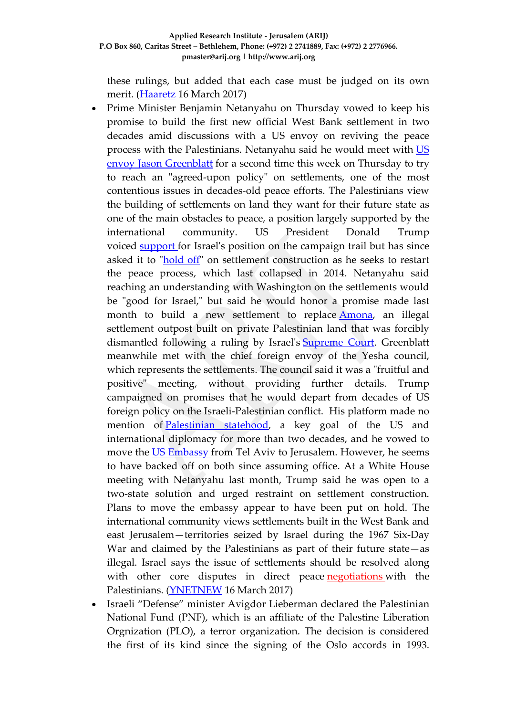these rulings, but added that each case must be judged on its own merit. [\(Haaretz](http://www.haaretz.com/israel-news/.premium-1.777750) 16 March 2017)

- Prime Minister Benjamin Netanyahu on Thursday vowed to keep his promise to build the first new official West Bank settlement in two decades amid discussions with a US envoy on reviving the peace process with the Palestinians. Netanyahu said he would meet with [US](http://www.ynetnews.com/articles/0,7340,L-4935035,00.html) envoy Jason [Greenblatt](http://www.ynetnews.com/articles/0,7340,L-4935035,00.html) for a second time this week on Thursday to try to reach an "agreed-upon policy" on settlements, one of the most contentious issues in decades-old peace efforts. The Palestinians view the building of settlements on land they want for their future state as one of the main obstacles to peace, a position largely supported by the international community. US President Donald Trump voiced [support](http://www.ynetnews.com/articles/0,7340,L-4924488,00.html) for Israel's position on the campaign trail but has since asked it to ["hold](http://www.ynetnews.com/articles/0,7340,L-4924799,00.html) off" on settlement construction as he seeks to restart the peace process, which last collapsed in 2014. Netanyahu said reaching an understanding with Washington on the settlements would be "good for Israel," but said he would honor a promise made last month to build a new settlement to replace **Amona**, an illegal settlement outpost built on private Palestinian land that was forcibly dismantled following a ruling by Israel's [Supreme](http://www.ynetnews.com/articles/0,7340,L-4911675,00.html) Court. Greenblatt meanwhile met with the chief foreign envoy of the Yesha council, which represents the settlements. The council said it was a "fruitful and positive" meeting, without providing further details. Trump campaigned on promises that he would depart from decades of US foreign policy on the Israeli-Palestinian conflict. His platform made no mention of [Palestinian](http://www.ynetnews.com/articles/0,7340,L-4918853,00.html) statehood, a key goal of the US and international diplomacy for more than two decades, and he vowed to move the US [Embassy](http://www.ynetnews.com/articles/0,7340,L-4911934,00.html) from Tel Aviv to Jerusalem. However, he seems to have backed off on both since assuming office. At a White House meeting with Netanyahu last month, Trump said he was open to a two-state solution and urged restraint on settlement construction. Plans to move the embassy appear to have been put on hold. The international community views settlements built in the West Bank and east Jerusalem—territories seized by Israel during the 1967 Six-Day War and claimed by the Palestinians as part of their future state—as illegal. Israel says the issue of settlements should be resolved along with other core disputes in direct peace [negotiations](http://www.ynetnews.com/articles/0,7340,L-4934135,00.html) with the Palestinians. [\(YNETNEW](http://www.ynetnews.com/articles/0,7340,L-4936480,00.html) 16 March 2017)
- Israeli "Defense" minister Avigdor Lieberman declared the Palestinian National Fund (PNF), which is an affiliate of the Palestine Liberation Orgnization (PLO), a terror organization. The decision is considered the first of its kind since the signing of the Oslo accords in 1993.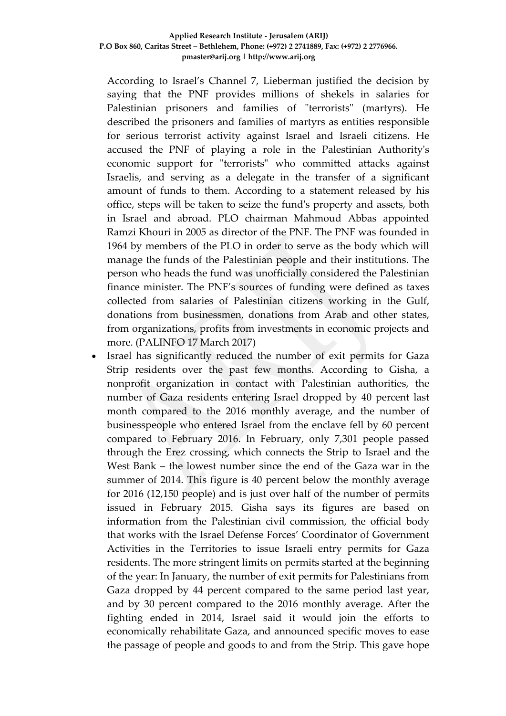According to Israel's Channel 7, Lieberman justified the decision by saying that the PNF provides millions of shekels in salaries for Palestinian prisoners and families of "terrorists" (martyrs). He described the prisoners and families of martyrs as entities responsible for serious terrorist activity against Israel and Israeli citizens. He accused the PNF of playing a role in the Palestinian Authority's economic support for "terrorists" who committed attacks against Israelis, and serving as a delegate in the transfer of a significant amount of funds to them. According to a statement released by his office, steps will be taken to seize the fund's property and assets, both in Israel and abroad. PLO chairman Mahmoud Abbas appointed Ramzi Khouri in 2005 as director of the PNF. The PNF was founded in 1964 by members of the PLO in order to serve as the body which will manage the funds of the Palestinian people and their institutions. The person who heads the fund was unofficially considered the Palestinian finance minister. The PNF's sources of funding were defined as taxes collected from salaries of Palestinian citizens working in the Gulf, donations from businessmen, donations from Arab and other states, from organizations, profits from investments in economic projects and more. (PALINFO 17 March 2017)

Israel has significantly reduced the number of exit permits for Gaza Strip residents over the past few months. According to Gisha, a nonprofit organization in contact with Palestinian authorities, the number of Gaza residents entering Israel dropped by 40 percent last month compared to the 2016 monthly average, and the number of businesspeople who entered Israel from the enclave fell by 60 percent compared to February 2016. In February, only 7,301 people passed through the Erez crossing, which connects the Strip to Israel and the West Bank – the lowest number since the end of the Gaza war in the summer of 2014. This figure is 40 percent below the monthly average for 2016 (12,150 people) and is just over half of the number of permits issued in February 2015. Gisha says its figures are based on information from the Palestinian civil commission, the official body that works with the Israel Defense Forces' Coordinator of Government Activities in the Territories to issue Israeli entry permits for Gaza residents. The more stringent limits on permits started at the beginning of the year: In January, the number of exit permits for Palestinians from Gaza dropped by 44 percent compared to the same period last year, and by 30 percent compared to the 2016 monthly average. After the fighting ended in 2014, Israel said it would join the efforts to economically rehabilitate Gaza, and announced specific moves to ease the passage of people and goods to and from the Strip. This gave hope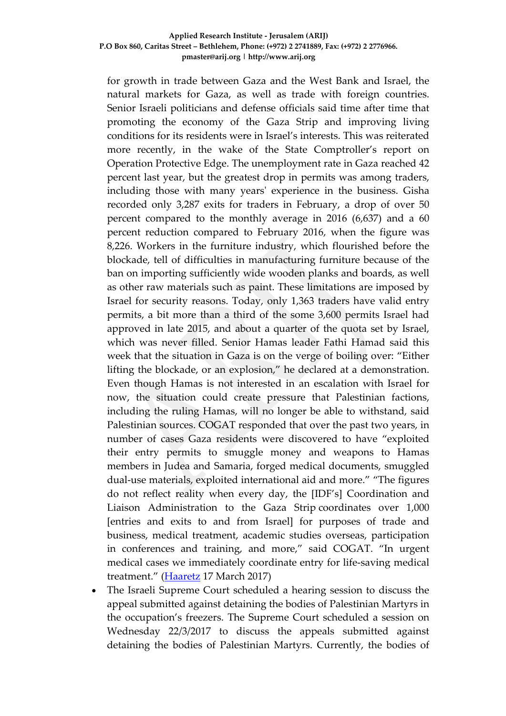### **Applied Research Institute - Jerusalem (ARIJ) P.O Box 860, Caritas Street – Bethlehem, Phone: (+972) 2 2741889, Fax: (+972) 2 2776966. pmaster@arij.org | http://www.arij.org**

for growth in trade between Gaza and the West Bank and Israel, the natural markets for Gaza, as well as trade with foreign countries. Senior Israeli politicians and defense officials said time after time that promoting the economy of the Gaza Strip and improving living conditions for its residents were in Israel's interests. This was reiterated more recently, in the wake of the State Comptroller's report on Operation Protective Edge. The unemployment rate in Gaza reached 42 percent last year, but the greatest drop in permits was among traders, including those with many years' experience in the business. Gisha recorded only 3,287 exits for traders in February, a drop of over 50 percent compared to the monthly average in 2016 (6,637) and a 60 percent reduction compared to February 2016, when the figure was 8,226. Workers in the furniture industry, which flourished before the blockade, tell of difficulties in manufacturing furniture because of the ban on importing sufficiently wide wooden planks and boards, as well as other raw materials such as paint. These limitations are imposed by Israel for security reasons. Today, only 1,363 traders have valid entry permits, a bit more than a third of the some 3,600 permits Israel had approved in late 2015, and about a quarter of the quota set by Israel, which was never filled. Senior Hamas leader Fathi Hamad said this week that the situation in Gaza is on the verge of boiling over: "Either lifting the blockade, or an explosion," he declared at a demonstration. Even though Hamas is not interested in an escalation with Israel for now, the situation could create pressure that Palestinian factions, including the ruling Hamas, will no longer be able to withstand, said Palestinian sources. COGAT responded that over the past two years, in number of cases Gaza residents were discovered to have "exploited their entry permits to smuggle money and weapons to Hamas members in Judea and Samaria, forged medical documents, smuggled dual-use materials, exploited international aid and more." "The figures do not reflect reality when every day, the [IDF's] Coordination and Liaison Administration to the Gaza Strip coordinates over 1,000 [entries and exits to and from Israel] for purposes of trade and business, medical treatment, academic studies overseas, participation in conferences and training, and more," said COGAT. "In urgent medical cases we immediately coordinate entry for life-saving medical treatment." [\(Haaretz](http://www.haaretz.com/israel-news/.premium-1.777664) 17 March 2017)

• The Israeli Supreme Court scheduled a hearing session to discuss the appeal submitted against detaining the bodies of Palestinian Martyrs in the occupation's freezers. The Supreme Court scheduled a session on Wednesday 22/3/2017 to discuss the appeals submitted against detaining the bodies of Palestinian Martyrs. Currently, the bodies of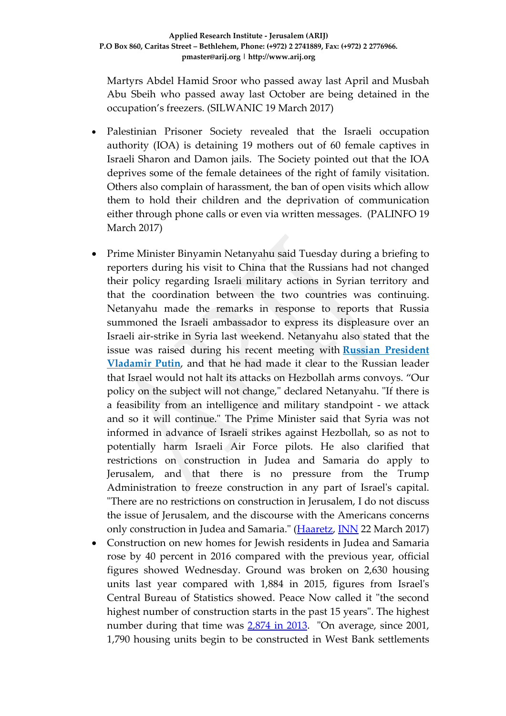Martyrs Abdel Hamid Sroor who passed away last April and Musbah Abu Sbeih who passed away last October are being detained in the occupation's freezers. (SILWANIC 19 March 2017)

- Palestinian Prisoner Society revealed that the Israeli occupation authority (IOA) is detaining 19 mothers out of 60 female captives in Israeli Sharon and Damon jails. The Society pointed out that the IOA deprives some of the female detainees of the right of family visitation. Others also complain of harassment, the ban of open visits which allow them to hold their children and the deprivation of communication either through phone calls or even via written messages. (PALINFO 19 March 2017)
- Prime Minister Binyamin Netanyahu said Tuesday during a briefing to reporters during his visit to China that the Russians had not changed their policy regarding Israeli military actions in Syrian territory and that the coordination between the two countries was continuing. Netanyahu made the remarks in response to reports that Russia summoned the Israeli ambassador to express its displeasure over an Israeli air-strike in Syria last weekend. Netanyahu also stated that the issue was raised during his recent meeting with **[Russian President](http://www.israelnationalnews.com/News/News.aspx/226441)  [Vladamir Putin](http://www.israelnationalnews.com/News/News.aspx/226441)**, and that he had made it clear to the Russian leader that Israel would not halt its attacks on Hezbollah arms convoys. "Our policy on the subject will not change," declared Netanyahu. "If there is a feasibility from an intelligence and military standpoint - we attack and so it will continue." The Prime Minister said that Syria was not informed in advance of Israeli strikes against Hezbollah, so as not to potentially harm Israeli Air Force pilots. He also clarified that restrictions on construction in Judea and Samaria do apply to Jerusalem, and that there is no pressure from the Trump Administration to freeze construction in any part of Israel's capital. "There are no restrictions on construction in Jerusalem, I do not discuss the issue of Jerusalem, and the discourse with the Americans concerns only construction in Judea and Samaria." [\(Haaretz,](http://www.haaretz.com/israel-news/.premium-1.778716) [INN](http://www.israelnationalnews.com/News/News.aspx/227068) 22 March 2017)
- Construction on new homes for Jewish residents in Judea and Samaria rose by 40 percent in 2016 compared with the previous year, official figures showed Wednesday. Ground was broken on 2,630 housing units last year compared with 1,884 in 2015, figures from Israel's Central Bureau of Statistics showed. Peace Now called it "the second highest number of construction starts in the past 15 years". The highest number during that time was  $2,874$  in 2013. "On average, since 2001, 1,790 housing units begin to be constructed in West Bank settlements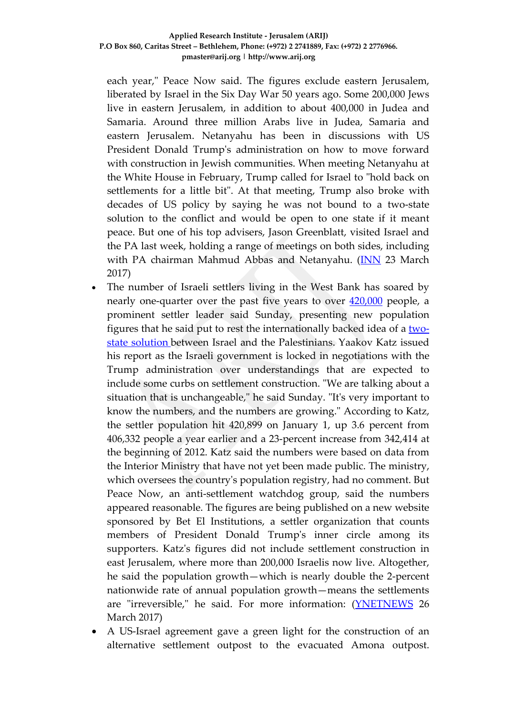each year," Peace Now said. The figures exclude eastern Jerusalem, liberated by Israel in the Six Day War 50 years ago. Some 200,000 Jews live in eastern Jerusalem, in addition to about 400,000 in Judea and Samaria. Around three million Arabs live in Judea, Samaria and eastern Jerusalem. Netanyahu has been in discussions with US President Donald Trump's administration on how to move forward with construction in Jewish communities. When meeting Netanyahu at the White House in February, Trump called for Israel to "hold back on settlements for a little bit". At that meeting, Trump also broke with decades of US policy by saying he was not bound to a two-state solution to the conflict and would be open to one state if it meant peace. But one of his top advisers, Jason Greenblatt, visited Israel and the PA last week, holding a range of meetings on both sides, including with PA chairman Mahmud Abbas and Netanyahu. [\(INN](http://www.israelnationalnews.com/News/News.aspx/227137) 23 March 2017)

- The number of Israeli settlers living in the West Bank has soared by nearly one-quarter over the past five years to over [420,000](http://www.israelnationalnews.com/News/News.aspx/227315) people, a prominent settler leader said Sunday, presenting new population figures that he said put to rest the internationally backed idea of a twostate solution between Israel and the Palestinians. Yaakov Katz issued his report as the Israeli government is locked in negotiations with the Trump administration over understandings that are expected to include some curbs on settlement construction. "We are talking about a situation that is unchangeable," he said Sunday. "It's very important to know the numbers, and the numbers are growing." According to Katz, the settler population hit 420,899 on January 1, up 3.6 percent from 406,332 people a year earlier and a 23-percent increase from 342,414 at the beginning of 2012. Katz said the numbers were based on data from the Interior Ministry that have not yet been made public. The ministry, which oversees the country's population registry, had no comment. But Peace Now, an anti-settlement watchdog group, said the numbers appeared reasonable. The figures are being published on a new website sponsored by Bet El Institutions, a settler organization that counts members of President Donald Trump's inner circle among its supporters. Katz's figures did not include settlement construction in east Jerusalem, where more than 200,000 Israelis now live. Altogether, he said the population growth—which is nearly double the 2-percent nationwide rate of annual population growth—means the settlements are "irreversible," he said. For more information: [\(YNETNEWS](http://www.ynetnews.com/articles/0,7340,L-4940869,00.html) 26 March 2017)
- A US-Israel agreement gave a green light for the construction of an alternative settlement outpost to the evacuated Amona outpost.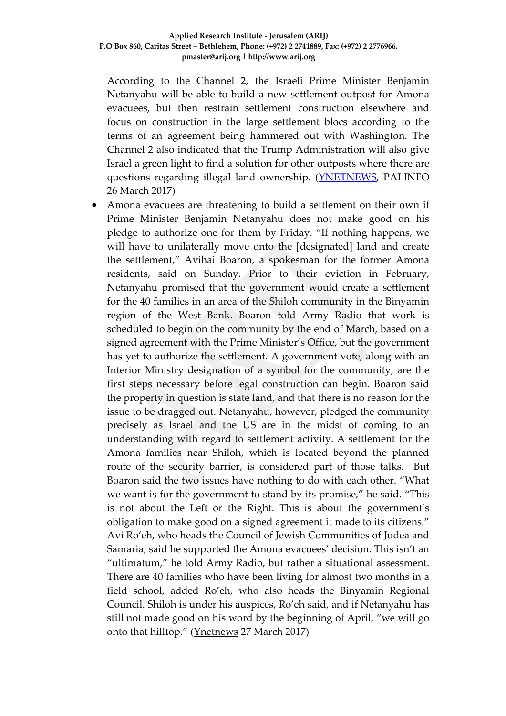According to the Channel 2, the Israeli Prime Minister Benjamin Netanyahu will be able to build a new settlement outpost for Amona evacuees, but then restrain settlement construction elsewhere and focus on construction in the large settlement blocs according to the terms of an agreement being hammered out with Washington. The Channel 2 also indicated that the Trump Administration will also give Israel a green light to find a solution for other outposts where there are questions regarding illegal land ownership. [\(YNETNEWS,](http://www.jpost.com/Israel-News/Politics-And-Diplomacy/Report-US-to-accept-Amona-replacement-in-return-for-decreased-settlement-construction-485179) PALINFO 26 March 2017)

• Amona evacuees are threatening to build a settlement on their own if Prime Minister Benjamin Netanyahu does not make good on his pledge to authorize one for them by Friday. "If nothing happens, we will have to unilaterally move onto the [designated] land and create the settlement," Avihai Boaron, a spokesman for the former Amona residents, said on Sunday. Prior to their eviction in February, Netanyahu promised that the government would create a settlement for the 40 families in an area of the Shiloh community in the Binyamin region of the West Bank. Boaron told Army Radio that work is scheduled to begin on the community by the end of March, based on a signed agreement with the Prime Minister's Office, but the government has yet to authorize the settlement. A government vote, along with an Interior Ministry designation of a symbol for the community, are the first steps necessary before legal construction can begin. Boaron said the property in question is state land, and that there is no reason for the issue to be dragged out. Netanyahu, however, pledged the community precisely as Israel and the US are in the midst of coming to an understanding with regard to settlement activity. A settlement for the Amona families near Shiloh, which is located beyond the planned route of the security barrier, is considered part of those talks. But Boaron said the two issues have nothing to do with each other. "What we want is for the government to stand by its promise," he said. "This is not about the Left or the Right. This is about the government's obligation to make good on a signed agreement it made to its citizens." Avi Ro'eh, who heads the Council of Jewish Communities of Judea and Samaria, said he supported the Amona evacuees' decision. This isn't an "ultimatum," he told Army Radio, but rather a situational assessment. There are 40 families who have been living for almost two months in a field school, added Ro'eh, who also heads the Binyamin Regional Council. Shiloh is under his auspices, Ro'eh said, and if Netanyahu has still not made good on his word by the beginning of April, "we will go onto that hilltop." [\(Ynetnews](http://www.jpost.com/Israel-News/Amona-evacuees-If-new-settlement-is-not-authorized-well-build-one-ourselves-485276) 27 March 2017)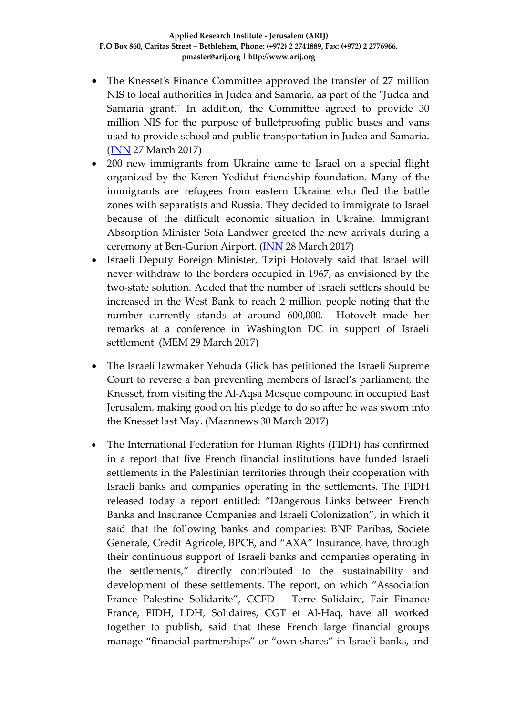- The Knesset's Finance Committee approved the transfer of 27 million NIS to local authorities in Judea and Samaria, as part of the "Judea and Samaria grant." In addition, the Committee agreed to provide 30 million NIS for the purpose of bulletproofing public buses and vans used to provide school and public transportation in Judea and Samaria. [\(INN](http://www.israelnationalnews.com/News/News.aspx/227344) 27 March 2017)
- 200 new immigrants from Ukraine came to Israel on a special flight organized by the Keren Yedidut friendship foundation. Many of the immigrants are refugees from eastern Ukraine who fled the battle zones with separatists and Russia. They decided to immigrate to Israel because of the difficult economic situation in Ukraine. Immigrant Absorption Minister Sofa Landwer greeted the new arrivals during a ceremony at Ben-Gurion Airport. [\(INN](http://www.israelnationalnews.com/News/Flash.aspx/384366) 28 March 2017)
- Israeli Deputy Foreign Minister, Tzipi Hotovely said that Israel will never withdraw to the borders occupied in 1967, as envisioned by the two-state solution. Added that the number of Israeli settlers should be increased in the West Bank to reach 2 million people noting that the number currently stands at around 600,000. Hotovelt made her remarks at a conference in Washington DC in support of Israeli settlement. [\(MEM](https://www.middleeastmonitor.com/20170329-israeli-official-says-israel-will-never-withdraw-to-1967-borders/) 29 March 2017)
- The Israeli lawmaker Yehuda Glick has petitioned the Israeli Supreme Court to reverse a ban preventing members of Israel's parliament, the Knesset, from visiting the Al-Aqsa Mosque compound in occupied East Jerusalem, making good on his pledge to do so after he was [sworn](http://www.maannews.com/Content.aspx?id=771598) into the [Knesset](http://www.maannews.com/Content.aspx?id=771598) last May. (Maannews 30 March 2017)
- The International Federation for Human Rights (FIDH) has confirmed in a report that five French financial institutions have funded Israeli settlements in the Palestinian territories through their cooperation with Israeli banks and companies operating in the settlements. The FIDH released today a report entitled: "Dangerous Links between French Banks and Insurance Companies and Israeli Colonization", in which it said that the following banks and companies: BNP Paribas, Societe Generale, Credit Agricole, BPCE, and "AXA" Insurance, have, through their continuous support of Israeli banks and companies operating in the settlements," directly contributed to the sustainability and development of these settlements. The report, on which "Association France Palestine Solidarite", CCFD – Terre Solidaire, Fair Finance France, FIDH, LDH, Solidaires, CGT et Al-Haq, have all worked together to publish, said that these French large financial groups manage "financial partnerships" or "own shares" in Israeli banks, and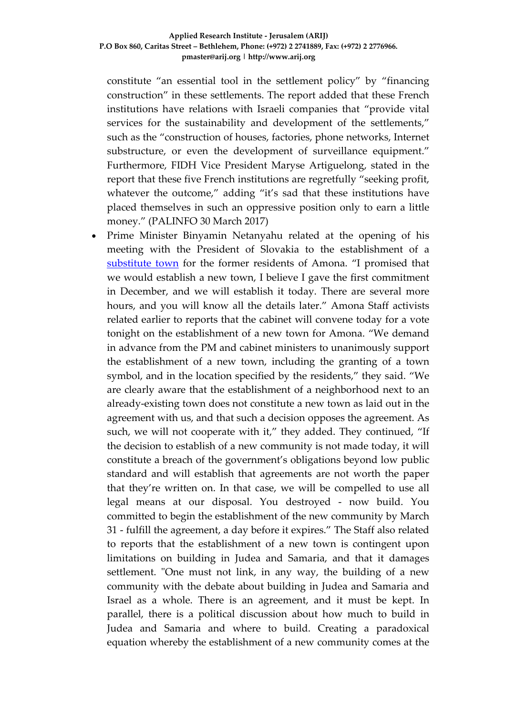constitute "an essential tool in the settlement policy" by "financing construction" in these settlements. The report added that these French institutions have relations with Israeli companies that "provide vital services for the sustainability and development of the settlements," such as the "construction of houses, factories, phone networks, Internet substructure, or even the development of surveillance equipment." Furthermore, FIDH Vice President Maryse Artiguelong, stated in the report that these five French institutions are regretfully "seeking profit, whatever the outcome," adding "it's sad that these institutions have placed themselves in such an oppressive position only to earn a little money." (PALINFO 30 March 2017)

• Prime Minister Binyamin Netanyahu related at the opening of his meeting with the President of Slovakia to the establishment of a [substitute town](http://www.haaretz.com/israel-news/1.780438) for the former residents of Amona. "I promised that we would establish a new town, I believe I gave the first commitment in December, and we will establish it today. There are several more hours, and you will know all the details later." Amona Staff activists related earlier to reports that the cabinet will convene today for a vote tonight on the establishment of a new town for Amona. "We demand in advance from the PM and cabinet ministers to unanimously support the establishment of a new town, including the granting of a town symbol, and in the location specified by the residents," they said. "We are clearly aware that the establishment of a neighborhood next to an already-existing town does not constitute a new town as laid out in the agreement with us, and that such a decision opposes the agreement. As such, we will not cooperate with it," they added. They continued, "If the decision to establish of a new community is not made today, it will constitute a breach of the government's obligations beyond low public standard and will establish that agreements are not worth the paper that they're written on. In that case, we will be compelled to use all legal means at our disposal. You destroyed - now build. You committed to begin the establishment of the new community by March 31 - fulfill the agreement, a day before it expires." The Staff also related to reports that the establishment of a new town is contingent upon limitations on building in Judea and Samaria, and that it damages settlement. "One must not link, in any way, the building of a new community with the debate about building in Judea and Samaria and Israel as a whole. There is an agreement, and it must be kept. In parallel, there is a political discussion about how much to build in Judea and Samaria and where to build. Creating a paradoxical equation whereby the establishment of a new community comes at the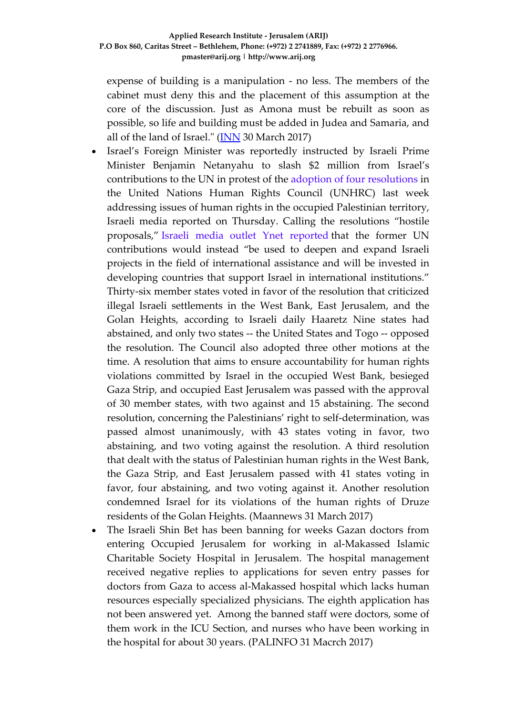expense of building is a manipulation - no less. The members of the cabinet must deny this and the placement of this assumption at the core of the discussion. Just as Amona must be rebuilt as soon as possible, so life and building must be added in Judea and Samaria, and all of the land of Israel." [\(INN](http://www.israelnationalnews.com/News/News.aspx/227510) 30 March 2017)

- Israel's Foreign Minister was reportedly instructed by Israeli Prime Minister Benjamin Netanyahu to slash \$2 million from Israel's contributions to the UN in protest of the adoption of four [resolutions](http://www.maannews.com/Content.aspx?id=776102) in the United Nations Human Rights Council (UNHRC) last week addressing issues of human rights in the occupied Palestinian territory, Israeli media reported on Thursday. Calling the resolutions "hostile proposals," Israeli media outlet Ynet reported that the former UN contributions would instead "be used to deepen and expand Israeli projects in the field of international assistance and will be invested in developing countries that support Israel in international institutions."
	- Thirty-six member states voted in favor of the resolution that criticized illegal Israeli settlements in the West Bank, East Jerusalem, and the Golan Heights, according to Israeli daily Haaretz Nine states had abstained, and only two states -- the United States and Togo -- opposed the resolution. The Council also adopted three other motions at the time. A resolution that aims to ensure accountability for human rights violations committed by Israel in the occupied West Bank, besieged Gaza Strip, and occupied East Jerusalem was passed with the approval of 30 member states, with two against and 15 abstaining. The second resolution, concerning the Palestinians' right to self-determination, was passed almost unanimously, with 43 states voting in favor, two abstaining, and two voting against the resolution. A third resolution that dealt with the status of Palestinian human rights in the West Bank, the Gaza Strip, and East Jerusalem passed with 41 states voting in favor, four abstaining, and two voting against it. Another resolution condemned Israel for its violations of the human rights of Druze residents of the Golan Heights. (Maannews 31 March 2017)
- The Israeli Shin Bet has been banning for weeks Gazan doctors from entering Occupied Jerusalem for working in al-Makassed Islamic Charitable Society Hospital in Jerusalem. The hospital management received negative replies to applications for seven entry passes for doctors from Gaza to access al-Makassed hospital which lacks human resources especially specialized physicians. The eighth application has not been answered yet. Among the banned staff were doctors, some of them work in the ICU Section, and nurses who have been working in the hospital for about 30 years. (PALINFO 31 Macrch 2017)